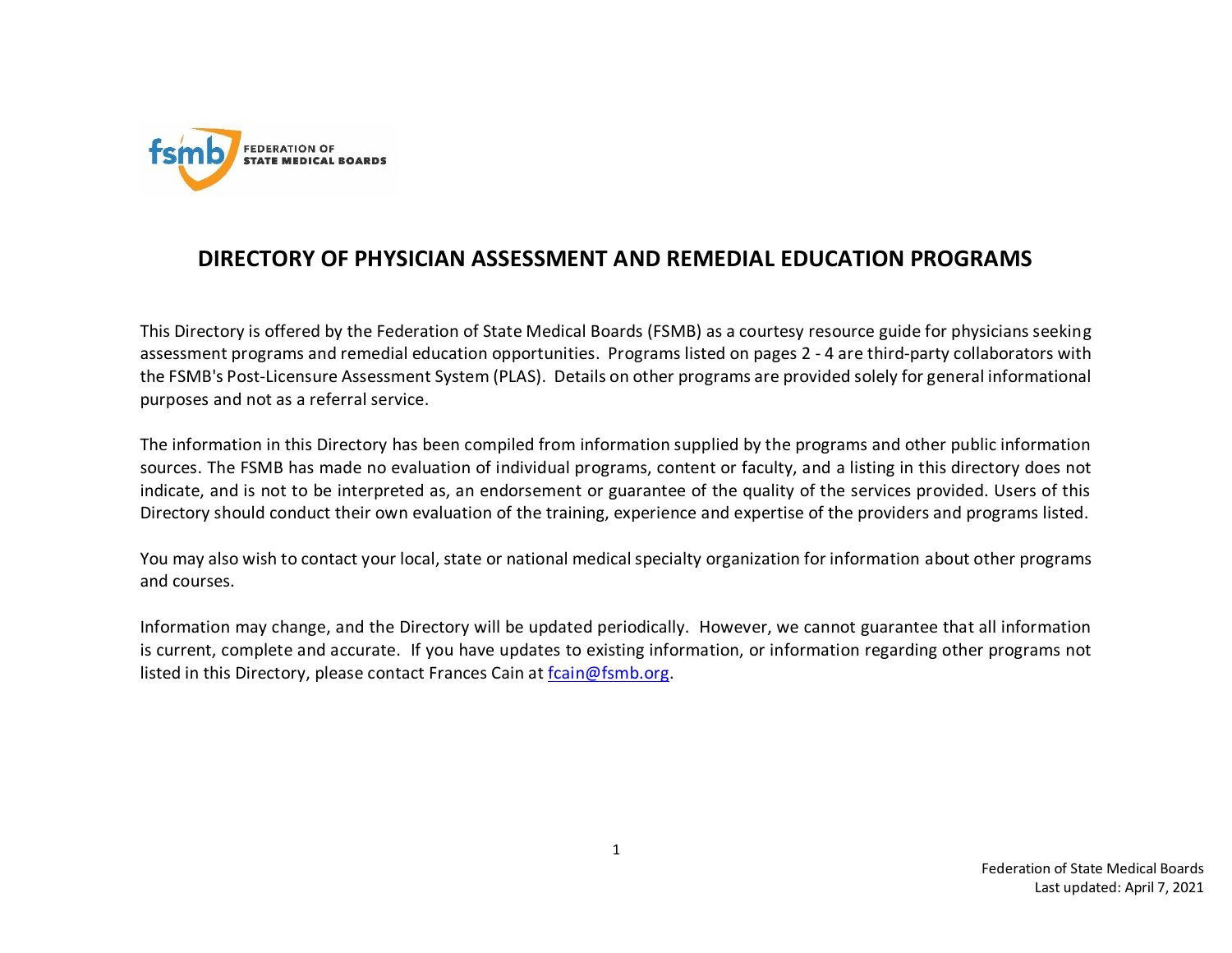

## **DIRECTORY OF PHYSICIAN ASSESSMENT AND REMEDIAL EDUCATION PROGRAMS**

This Directory is offered by the Federation of State Medical Boards (FSMB) as a courtesy resource guide for physicians seeking assessment programs and remedial education opportunities. Programs listed on pages 2 - 4 are third-party collaborators with the FSMB's Post-Licensure Assessment System (PLAS). Details on other programs are provided solely for general informational purposes and not as a referral service.

The information in this Directory has been compiled from information supplied by the programs and other public information sources. The FSMB has made no evaluation of individual programs, content or faculty, and a listing in this directory does not indicate, and is not to be interpreted as, an endorsement or guarantee of the quality of the services provided. Users of this Directory should conduct their own evaluation of the training, experience and expertise of the providers and programs listed.

You may also wish to contact your local, state or national medical specialty organization for information about other programs and courses.

Information may change, and the Directory will be updated periodically. However, we cannot guarantee that all information is current, complete and accurate. If you have updates to existing information, or information regarding other programs not listed in this Directory, please contact Frances Cain at [fcain@fsmb.org.](mailto:fcain@fsmb.org)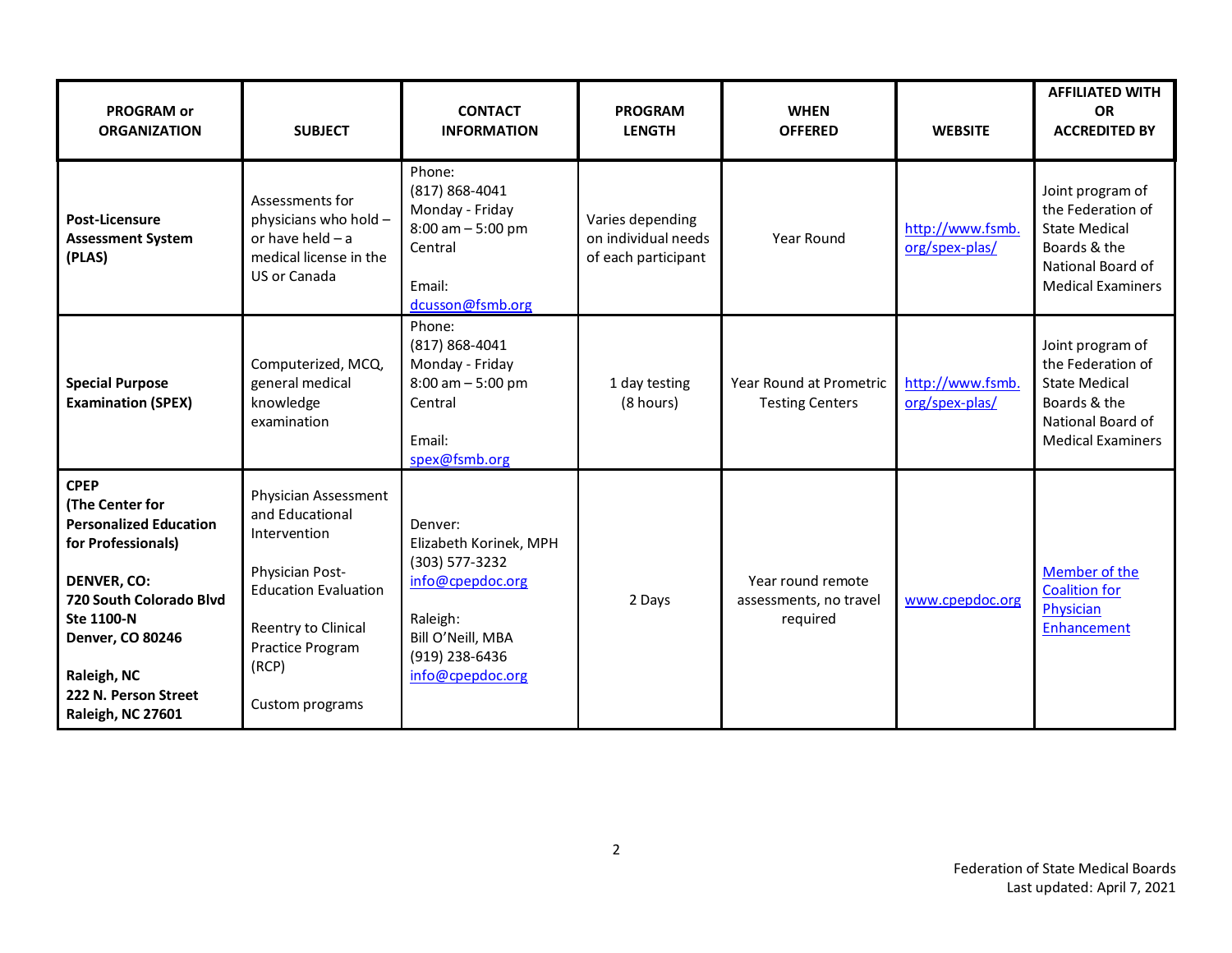| <b>PROGRAM or</b><br><b>ORGANIZATION</b>                                                                                                                                                                                                    | <b>SUBJECT</b>                                                                                                                                                                   | <b>CONTACT</b><br><b>INFORMATION</b>                                                                                                           | <b>PROGRAM</b><br><b>LENGTH</b>                                | <b>WHEN</b><br><b>OFFERED</b>                           | <b>WEBSITE</b>                     | <b>AFFILIATED WITH</b><br><b>OR</b><br><b>ACCREDITED BY</b>                                                                    |
|---------------------------------------------------------------------------------------------------------------------------------------------------------------------------------------------------------------------------------------------|----------------------------------------------------------------------------------------------------------------------------------------------------------------------------------|------------------------------------------------------------------------------------------------------------------------------------------------|----------------------------------------------------------------|---------------------------------------------------------|------------------------------------|--------------------------------------------------------------------------------------------------------------------------------|
| Post-Licensure<br><b>Assessment System</b><br>(PLAS)                                                                                                                                                                                        | Assessments for<br>physicians who hold -<br>or have held $-$ a<br>medical license in the<br>US or Canada                                                                         | Phone:<br>$(817) 868 - 4041$<br>Monday - Friday<br>$8:00$ am $-5:00$ pm<br>Central<br>Email:<br>dcusson@fsmb.org                               | Varies depending<br>on individual needs<br>of each participant | Year Round                                              | http://www.fsmb.<br>org/spex-plas/ | Joint program of<br>the Federation of<br><b>State Medical</b><br>Boards & the<br>National Board of<br><b>Medical Examiners</b> |
| <b>Special Purpose</b><br><b>Examination (SPEX)</b>                                                                                                                                                                                         | Computerized, MCQ,<br>general medical<br>knowledge<br>examination                                                                                                                | Phone:<br>$(817) 868 - 4041$<br>Monday - Friday<br>$8:00$ am $-5:00$ pm<br>Central<br>Email:<br>spex@fsmb.org                                  | 1 day testing<br>(8 hours)                                     | Year Round at Prometric<br><b>Testing Centers</b>       | http://www.fsmb.<br>org/spex-plas/ | Joint program of<br>the Federation of<br><b>State Medical</b><br>Boards & the<br>National Board of<br><b>Medical Examiners</b> |
| <b>CPEP</b><br>(The Center for<br><b>Personalized Education</b><br>for Professionals)<br><b>DENVER, CO:</b><br>720 South Colorado Blvd<br>Ste 1100-N<br><b>Denver, CO 80246</b><br>Raleigh, NC<br>222 N. Person Street<br>Raleigh, NC 27601 | Physician Assessment<br>and Educational<br>Intervention<br>Physician Post-<br><b>Education Evaluation</b><br>Reentry to Clinical<br>Practice Program<br>(RCP)<br>Custom programs | Denver:<br>Elizabeth Korinek, MPH<br>(303) 577-3232<br>info@cpepdoc.org<br>Raleigh:<br>Bill O'Neill, MBA<br>(919) 238-6436<br>info@cpepdoc.org | 2 Days                                                         | Year round remote<br>assessments, no travel<br>required | www.cpepdoc.org                    | Member of the<br><b>Coalition for</b><br>Physician<br>Enhancement                                                              |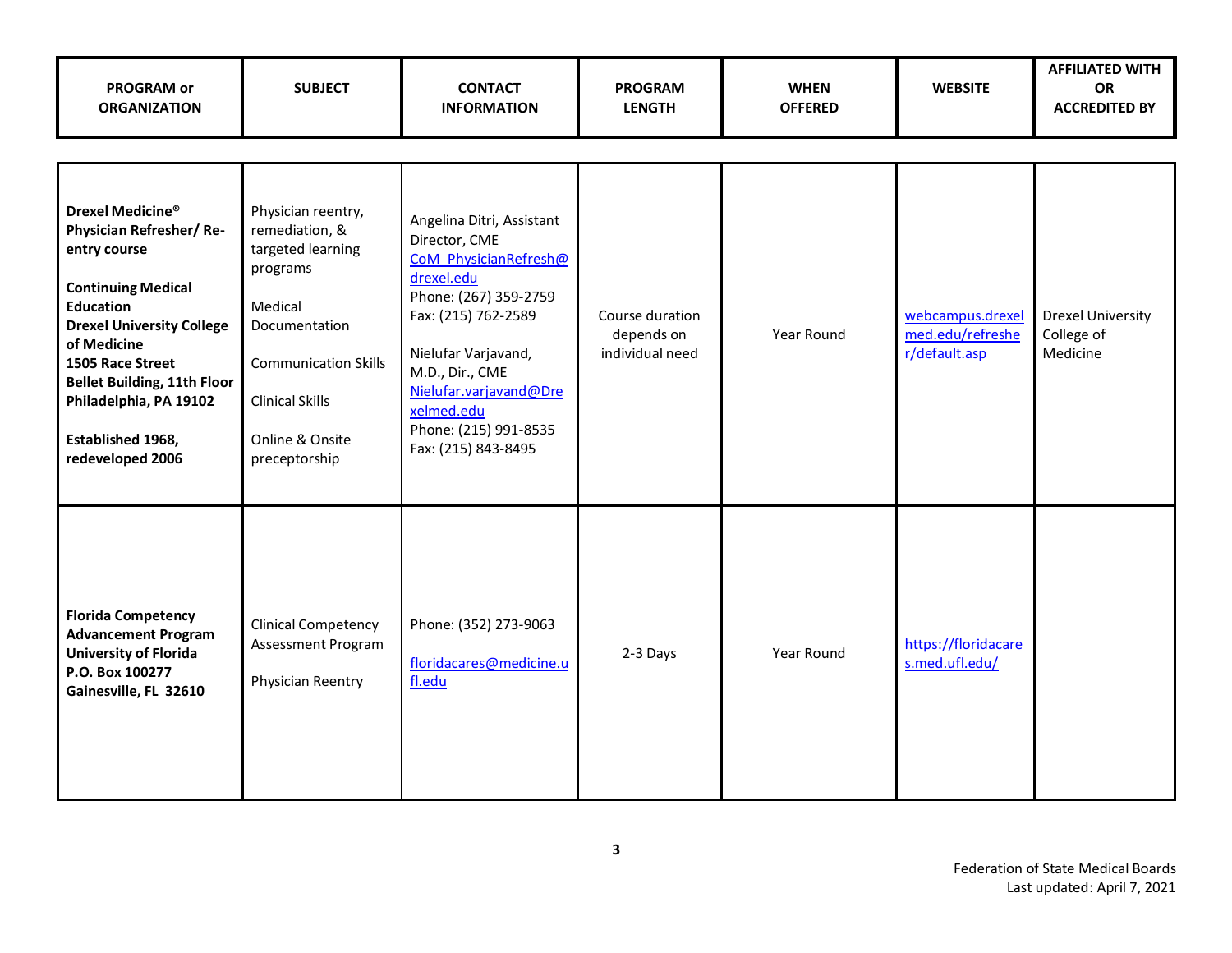| <b>PROGRAM or</b><br><b>ORGANIZATION</b>                                                                                                                                                                                                                                              | <b>SUBJECT</b>                                                                                                                                                                                 | <b>CONTACT</b><br><b>INFORMATION</b>                                                                                                                                                                                                                                | <b>PROGRAM</b><br><b>LENGTH</b>                  | <b>WHEN</b><br><b>OFFERED</b> | <b>WEBSITE</b>                                        | <b>AFFILIATED WITH</b><br>OR<br><b>ACCREDITED BY</b> |
|---------------------------------------------------------------------------------------------------------------------------------------------------------------------------------------------------------------------------------------------------------------------------------------|------------------------------------------------------------------------------------------------------------------------------------------------------------------------------------------------|---------------------------------------------------------------------------------------------------------------------------------------------------------------------------------------------------------------------------------------------------------------------|--------------------------------------------------|-------------------------------|-------------------------------------------------------|------------------------------------------------------|
|                                                                                                                                                                                                                                                                                       |                                                                                                                                                                                                |                                                                                                                                                                                                                                                                     |                                                  |                               |                                                       |                                                      |
| Drexel Medicine®<br>Physician Refresher/Re-<br>entry course<br><b>Continuing Medical</b><br>Education<br><b>Drexel University College</b><br>of Medicine<br>1505 Race Street<br><b>Bellet Building, 11th Floor</b><br>Philadelphia, PA 19102<br>Established 1968,<br>redeveloped 2006 | Physician reentry,<br>remediation, &<br>targeted learning<br>programs<br>Medical<br>Documentation<br><b>Communication Skills</b><br><b>Clinical Skills</b><br>Online & Onsite<br>preceptorship | Angelina Ditri, Assistant<br>Director, CME<br>CoM PhysicianRefresh@<br>drexel.edu<br>Phone: (267) 359-2759<br>Fax: (215) 762-2589<br>Nielufar Varjavand,<br>M.D., Dir., CME<br>Nielufar.varjavand@Dre<br>xelmed.edu<br>Phone: (215) 991-8535<br>Fax: (215) 843-8495 | Course duration<br>depends on<br>individual need | Year Round                    | webcampus.drexel<br>med.edu/refreshe<br>r/default.asp | <b>Drexel University</b><br>College of<br>Medicine   |
| <b>Florida Competency</b><br><b>Advancement Program</b><br><b>University of Florida</b><br>P.O. Box 100277<br>Gainesville, FL 32610                                                                                                                                                   | <b>Clinical Competency</b><br>Assessment Program<br>Physician Reentry                                                                                                                          | Phone: (352) 273-9063<br>floridacares@medicine.u<br>fl.edu                                                                                                                                                                                                          | 2-3 Days                                         | Year Round                    | https://floridacare<br>s.med.ufl.edu/                 |                                                      |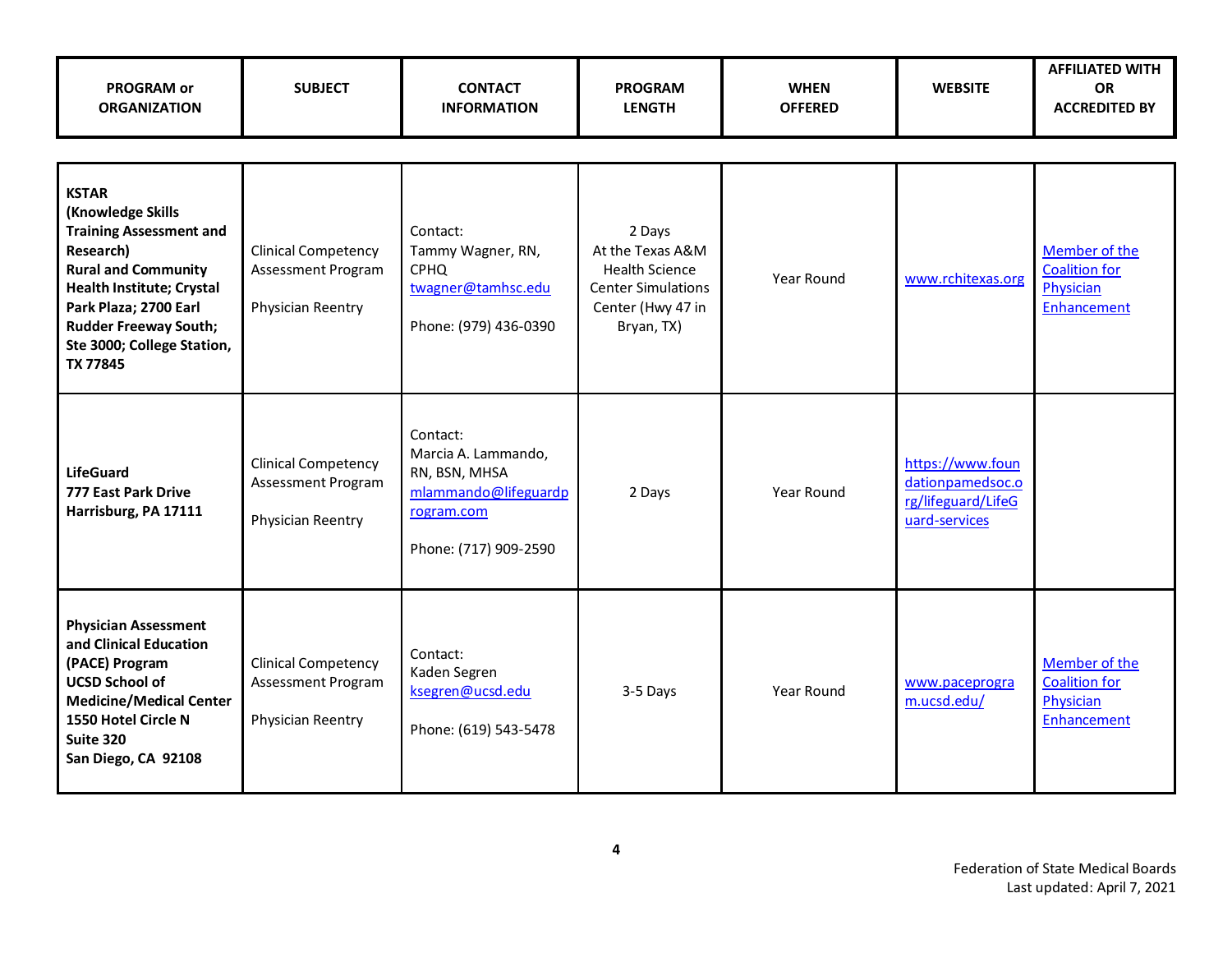| <b>PROGRAM or</b><br><b>ORGANIZATION</b>                                                                                                                                                                                                              | <b>SUBJECT</b>                                                        | <b>CONTACT</b><br><b>INFORMATION</b>                                                                            | <b>PROGRAM</b><br><b>LENGTH</b>                                                                                     | <b>WHEN</b><br><b>OFFERED</b> | <b>WEBSITE</b>                                                              | <b>AFFILIATED WITH</b><br><b>OR</b><br><b>ACCREDITED BY</b>       |
|-------------------------------------------------------------------------------------------------------------------------------------------------------------------------------------------------------------------------------------------------------|-----------------------------------------------------------------------|-----------------------------------------------------------------------------------------------------------------|---------------------------------------------------------------------------------------------------------------------|-------------------------------|-----------------------------------------------------------------------------|-------------------------------------------------------------------|
|                                                                                                                                                                                                                                                       |                                                                       |                                                                                                                 |                                                                                                                     |                               |                                                                             |                                                                   |
| <b>KSTAR</b><br>(Knowledge Skills<br><b>Training Assessment and</b><br>Research)<br><b>Rural and Community</b><br><b>Health Institute; Crystal</b><br>Park Plaza; 2700 Earl<br><b>Rudder Freeway South;</b><br>Ste 3000; College Station,<br>TX 77845 | <b>Clinical Competency</b><br>Assessment Program<br>Physician Reentry | Contact:<br>Tammy Wagner, RN,<br><b>CPHQ</b><br>twagner@tamhsc.edu<br>Phone: (979) 436-0390                     | 2 Days<br>At the Texas A&M<br><b>Health Science</b><br><b>Center Simulations</b><br>Center (Hwy 47 in<br>Bryan, TX) | Year Round                    | www.rchitexas.org                                                           | Member of the<br><b>Coalition for</b><br>Physician<br>Enhancement |
| <b>LifeGuard</b><br>777 East Park Drive<br>Harrisburg, PA 17111                                                                                                                                                                                       | <b>Clinical Competency</b><br>Assessment Program<br>Physician Reentry | Contact:<br>Marcia A. Lammando,<br>RN, BSN, MHSA<br>mlammando@lifeguardp<br>rogram.com<br>Phone: (717) 909-2590 | 2 Days                                                                                                              | Year Round                    | https://www.foun<br>dationpamedsoc.o<br>rg/lifeguard/LifeG<br>uard-services |                                                                   |
| <b>Physician Assessment</b><br>and Clinical Education<br>(PACE) Program<br><b>UCSD School of</b><br><b>Medicine/Medical Center</b><br>1550 Hotel Circle N<br>Suite 320<br>San Diego, CA 92108                                                         | <b>Clinical Competency</b><br>Assessment Program<br>Physician Reentry | Contact:<br>Kaden Segren<br>ksegren@ucsd.edu<br>Phone: (619) 543-5478                                           | 3-5 Days                                                                                                            | Year Round                    | www.paceprogra<br>m.ucsd.edu/                                               | Member of the<br><b>Coalition for</b><br>Physician<br>Enhancement |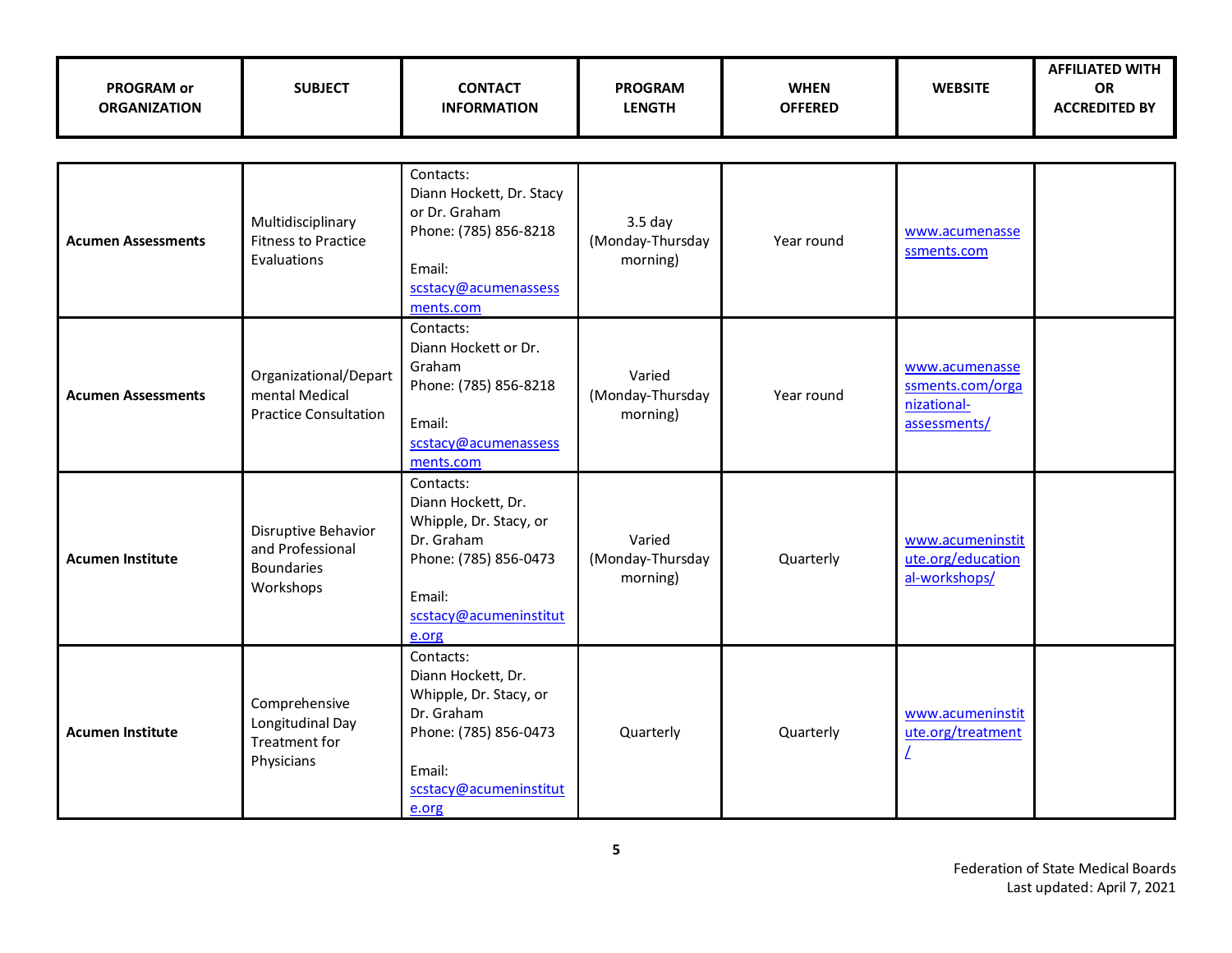| <b>PROGRAM or</b><br><b>ORGANIZATION</b> | <b>SUBJECT</b>                                                            | <b>CONTACT</b><br><b>INFORMATION</b>                                                                                                          | <b>PROGRAM</b><br><b>LENGTH</b>                    | <b>WHEN</b><br><b>OFFERED</b> | <b>WEBSITE</b>                                                    | <b>AFFILIATED WITH</b><br>OR<br><b>ACCREDITED BY</b> |  |  |  |  |
|------------------------------------------|---------------------------------------------------------------------------|-----------------------------------------------------------------------------------------------------------------------------------------------|----------------------------------------------------|-------------------------------|-------------------------------------------------------------------|------------------------------------------------------|--|--|--|--|
|                                          |                                                                           |                                                                                                                                               |                                                    |                               |                                                                   |                                                      |  |  |  |  |
| <b>Acumen Assessments</b>                | Multidisciplinary<br><b>Fitness to Practice</b><br>Evaluations            | Contacts:<br>Diann Hockett, Dr. Stacy<br>or Dr. Graham<br>Phone: (785) 856-8218<br>Email:<br>scstacy@acumenassess<br>ments.com                | 3.5 <sub>day</sub><br>(Monday-Thursday<br>morning) | Year round                    | www.acumenasse<br>ssments.com                                     |                                                      |  |  |  |  |
| <b>Acumen Assessments</b>                | Organizational/Depart<br>mental Medical<br><b>Practice Consultation</b>   | Contacts:<br>Diann Hockett or Dr.<br>Graham<br>Phone: (785) 856-8218<br>Email:<br>scstacy@acumenassess<br>ments.com                           | Varied<br>(Monday-Thursday<br>morning)             | Year round                    | www.acumenasse<br>ssments.com/orga<br>nizational-<br>assessments/ |                                                      |  |  |  |  |
| <b>Acumen Institute</b>                  | Disruptive Behavior<br>and Professional<br><b>Boundaries</b><br>Workshops | Contacts:<br>Diann Hockett, Dr.<br>Whipple, Dr. Stacy, or<br>Dr. Graham<br>Phone: (785) 856-0473<br>Email:<br>scstacy@acumeninstitut<br>e.org | Varied<br>(Monday-Thursday<br>morning)             | Quarterly                     | www.acumeninstit<br>ute.org/education<br>al-workshops/            |                                                      |  |  |  |  |
| <b>Acumen Institute</b>                  | Comprehensive<br>Longitudinal Day<br><b>Treatment for</b><br>Physicians   | Contacts:<br>Diann Hockett, Dr.<br>Whipple, Dr. Stacy, or<br>Dr. Graham<br>Phone: (785) 856-0473<br>Email:<br>scstacy@acumeninstitut<br>e.org | Quarterly                                          | Quarterly                     | www.acumeninstit<br>ute.org/treatment                             |                                                      |  |  |  |  |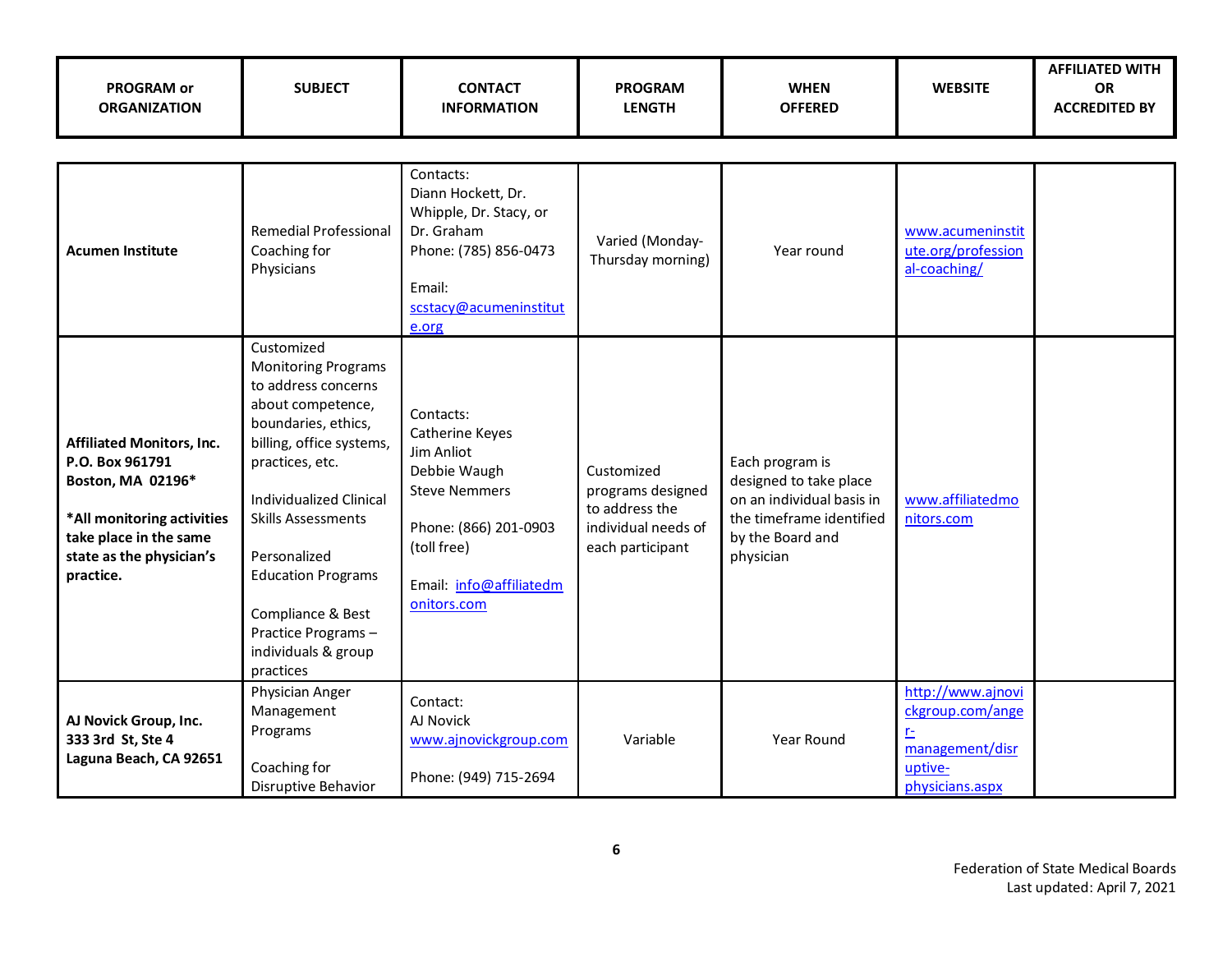| <b>PROGRAM or</b><br><b>ORGANIZATION</b>                                                                                                                                  | <b>SUBJECT</b>                                                                                                                                                                                                                                                                                                                                        | <b>CONTACT</b><br><b>INFORMATION</b>                                                                                                                                 | <b>PROGRAM</b><br><b>LENGTH</b>                                                              | <b>WHEN</b><br><b>OFFERED</b>                                                                                                       | <b>WEBSITE</b>                                                                                           | <b>AFFILIATED WITH</b><br><b>OR</b><br><b>ACCREDITED BY</b> |
|---------------------------------------------------------------------------------------------------------------------------------------------------------------------------|-------------------------------------------------------------------------------------------------------------------------------------------------------------------------------------------------------------------------------------------------------------------------------------------------------------------------------------------------------|----------------------------------------------------------------------------------------------------------------------------------------------------------------------|----------------------------------------------------------------------------------------------|-------------------------------------------------------------------------------------------------------------------------------------|----------------------------------------------------------------------------------------------------------|-------------------------------------------------------------|
|                                                                                                                                                                           |                                                                                                                                                                                                                                                                                                                                                       |                                                                                                                                                                      |                                                                                              |                                                                                                                                     |                                                                                                          |                                                             |
| <b>Acumen Institute</b>                                                                                                                                                   | <b>Remedial Professional</b><br>Coaching for<br>Physicians                                                                                                                                                                                                                                                                                            | Contacts:<br>Diann Hockett, Dr.<br>Whipple, Dr. Stacy, or<br>Dr. Graham<br>Phone: (785) 856-0473<br>Email:<br>scstacy@acumeninstitut<br>e.org                        | Varied (Monday-<br>Thursday morning)                                                         | Year round                                                                                                                          | www.acumeninstit<br>ute.org/profession<br>al-coaching/                                                   |                                                             |
| <b>Affiliated Monitors, Inc.</b><br>P.O. Box 961791<br>Boston, MA 02196*<br>*All monitoring activities<br>take place in the same<br>state as the physician's<br>practice. | Customized<br><b>Monitoring Programs</b><br>to address concerns<br>about competence,<br>boundaries, ethics,<br>billing, office systems,<br>practices, etc.<br><b>Individualized Clinical</b><br><b>Skills Assessments</b><br>Personalized<br><b>Education Programs</b><br>Compliance & Best<br>Practice Programs-<br>individuals & group<br>practices | Contacts:<br>Catherine Keyes<br>Jim Anliot<br>Debbie Waugh<br><b>Steve Nemmers</b><br>Phone: (866) 201-0903<br>(toll free)<br>Email: info@affiliatedm<br>onitors.com | Customized<br>programs designed<br>to address the<br>individual needs of<br>each participant | Each program is<br>designed to take place<br>on an individual basis in<br>the timeframe identified<br>by the Board and<br>physician | www.affiliatedmo<br>nitors.com                                                                           |                                                             |
| AJ Novick Group, Inc.<br>333 3rd St, Ste 4<br>Laguna Beach, CA 92651                                                                                                      | Physician Anger<br>Management<br>Programs<br>Coaching for<br>Disruptive Behavior                                                                                                                                                                                                                                                                      | Contact:<br>AJ Novick<br>www.ajnovickgroup.com<br>Phone: (949) 715-2694                                                                                              | Variable                                                                                     | Year Round                                                                                                                          | http://www.ajnovi<br>ckgroup.com/ange<br>r <sub>1</sub><br>management/disr<br>uptive-<br>physicians.aspx |                                                             |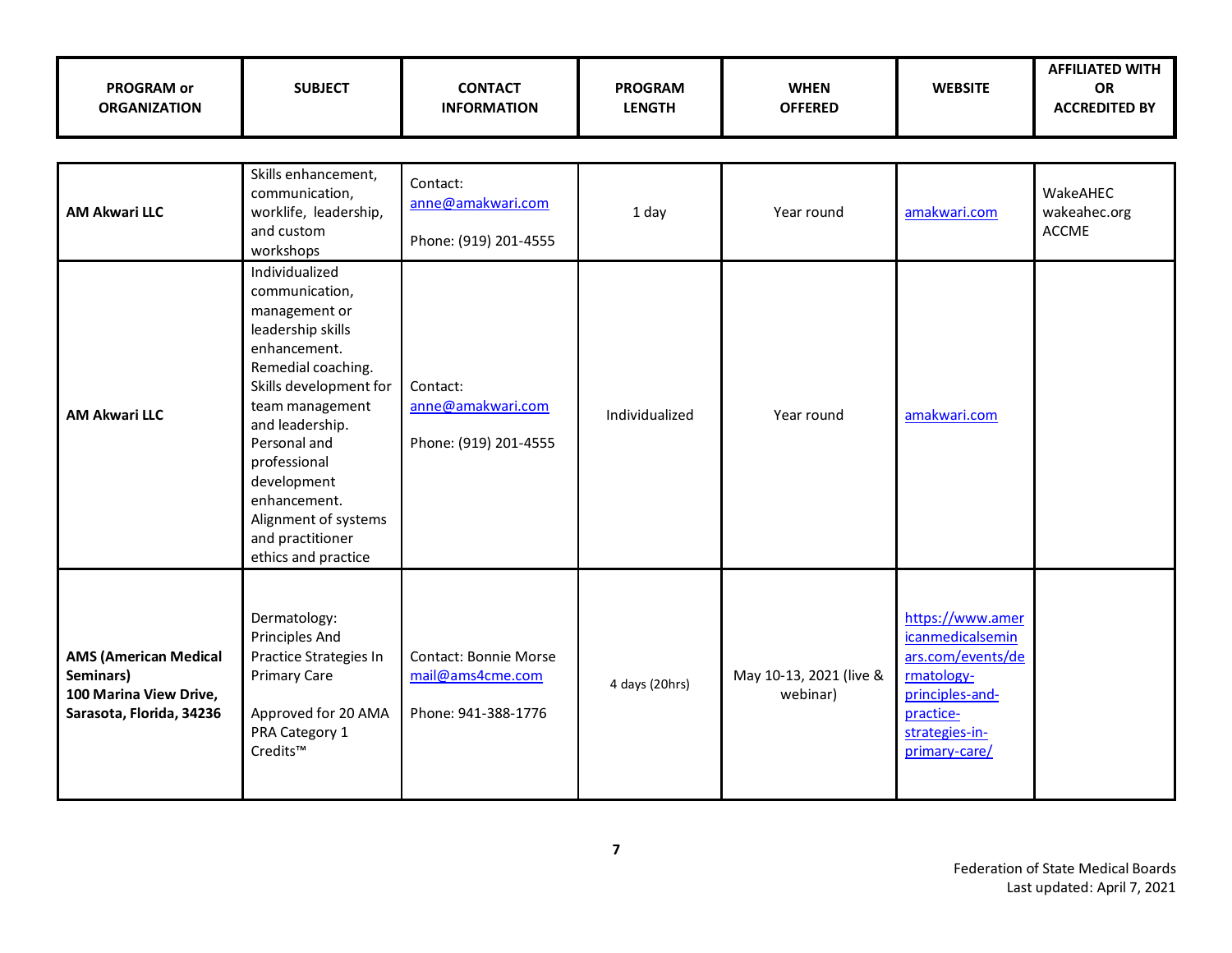| <b>PROGRAM or</b><br><b>ORGANIZATION</b>                                                        | <b>SUBJECT</b>                                                                                                                                                                                                                                                                                                 | <b>CONTACT</b><br><b>INFORMATION</b>                                    | <b>PROGRAM</b><br><b>LENGTH</b> | <b>WHEN</b><br><b>OFFERED</b>       | <b>WEBSITE</b>                                                                                                                             | <b>AFFILIATED WITH</b><br>OR<br><b>ACCREDITED BY</b> |  |  |
|-------------------------------------------------------------------------------------------------|----------------------------------------------------------------------------------------------------------------------------------------------------------------------------------------------------------------------------------------------------------------------------------------------------------------|-------------------------------------------------------------------------|---------------------------------|-------------------------------------|--------------------------------------------------------------------------------------------------------------------------------------------|------------------------------------------------------|--|--|
|                                                                                                 |                                                                                                                                                                                                                                                                                                                |                                                                         |                                 |                                     |                                                                                                                                            |                                                      |  |  |
| <b>AM Akwari LLC</b>                                                                            | Skills enhancement,<br>communication,<br>worklife, leadership,<br>and custom<br>workshops                                                                                                                                                                                                                      | Contact:<br>anne@amakwari.com<br>Phone: (919) 201-4555                  | 1 day                           | Year round                          | amakwari.com                                                                                                                               | WakeAHEC<br>wakeahec.org<br><b>ACCME</b>             |  |  |
| <b>AM Akwari LLC</b>                                                                            | Individualized<br>communication,<br>management or<br>leadership skills<br>enhancement.<br>Remedial coaching.<br>Skills development for<br>team management<br>and leadership.<br>Personal and<br>professional<br>development<br>enhancement.<br>Alignment of systems<br>and practitioner<br>ethics and practice | Contact:<br>anne@amakwari.com<br>Phone: (919) 201-4555                  | Individualized                  | Year round                          | amakwari.com                                                                                                                               |                                                      |  |  |
| <b>AMS (American Medical</b><br>Seminars)<br>100 Marina View Drive,<br>Sarasota, Florida, 34236 | Dermatology:<br><b>Principles And</b><br>Practice Strategies In<br><b>Primary Care</b><br>Approved for 20 AMA<br>PRA Category 1<br>Credits™                                                                                                                                                                    | <b>Contact: Bonnie Morse</b><br>mail@ams4cme.com<br>Phone: 941-388-1776 | 4 days (20hrs)                  | May 10-13, 2021 (live &<br>webinar) | https://www.amer<br>icanmedicalsemin<br>ars.com/events/de<br>rmatology-<br>principles-and-<br>practice-<br>strategies-in-<br>primary-care/ |                                                      |  |  |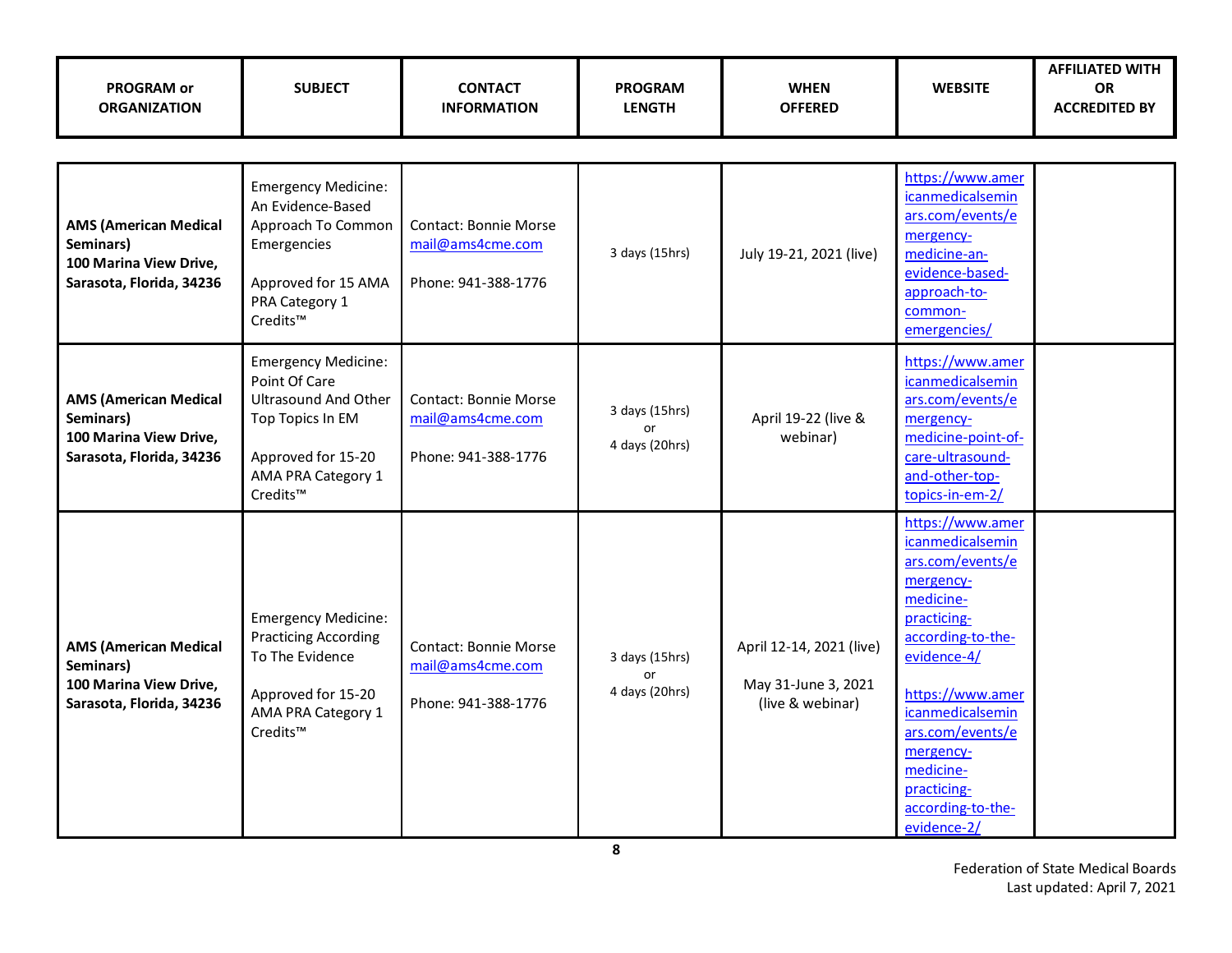| <b>PROGRAM or</b><br><b>ORGANIZATION</b>                                                        | <b>SUBJECT</b>                                                                                                                                         | <b>CONTACT</b><br><b>INFORMATION</b>                                    | <b>PROGRAM</b><br><b>LENGTH</b>        | <b>WHEN</b><br><b>OFFERED</b>                                       | <b>WEBSITE</b>                                                                                                                                                                                                                                                                        | <b>AFFILIATED WITH</b><br><b>OR</b><br><b>ACCREDITED BY</b> |
|-------------------------------------------------------------------------------------------------|--------------------------------------------------------------------------------------------------------------------------------------------------------|-------------------------------------------------------------------------|----------------------------------------|---------------------------------------------------------------------|---------------------------------------------------------------------------------------------------------------------------------------------------------------------------------------------------------------------------------------------------------------------------------------|-------------------------------------------------------------|
|                                                                                                 |                                                                                                                                                        |                                                                         |                                        |                                                                     |                                                                                                                                                                                                                                                                                       |                                                             |
| <b>AMS (American Medical</b><br>Seminars)<br>100 Marina View Drive,<br>Sarasota, Florida, 34236 | <b>Emergency Medicine:</b><br>An Evidence-Based<br>Approach To Common<br>Emergencies<br>Approved for 15 AMA<br>PRA Category 1<br>Credits™              | <b>Contact: Bonnie Morse</b><br>mail@ams4cme.com<br>Phone: 941-388-1776 | 3 days (15hrs)                         | July 19-21, 2021 (live)                                             | https://www.amer<br>icanmedicalsemin<br>ars.com/events/e<br>mergency-<br>medicine-an-<br>evidence-based-<br>approach-to-<br>common-<br>emergencies/                                                                                                                                   |                                                             |
| <b>AMS (American Medical</b><br>Seminars)<br>100 Marina View Drive,<br>Sarasota, Florida, 34236 | <b>Emergency Medicine:</b><br>Point Of Care<br><b>Ultrasound And Other</b><br>Top Topics In EM<br>Approved for 15-20<br>AMA PRA Category 1<br>Credits™ | <b>Contact: Bonnie Morse</b><br>mail@ams4cme.com<br>Phone: 941-388-1776 | 3 days (15hrs)<br>or<br>4 days (20hrs) | April 19-22 (live &<br>webinar)                                     | https://www.amer<br>icanmedicalsemin<br>ars.com/events/e<br>mergency-<br>medicine-point-of-<br>care-ultrasound-<br>and-other-top-<br>topics-in-em-2/                                                                                                                                  |                                                             |
| <b>AMS (American Medical</b><br>Seminars)<br>100 Marina View Drive,<br>Sarasota, Florida, 34236 | <b>Emergency Medicine:</b><br><b>Practicing According</b><br>To The Evidence<br>Approved for 15-20<br>AMA PRA Category 1<br>Credits™                   | <b>Contact: Bonnie Morse</b><br>mail@ams4cme.com<br>Phone: 941-388-1776 | 3 days (15hrs)<br>or<br>4 days (20hrs) | April 12-14, 2021 (live)<br>May 31-June 3, 2021<br>(live & webinar) | https://www.amer<br><i>icanmedicalsemin</i><br>ars.com/events/e<br>mergency-<br>medicine-<br>practicing-<br>according-to-the-<br>evidence-4/<br>https://www.amer<br>icanmedicalsemin<br>ars.com/events/e<br>mergency-<br>medicine-<br>practicing-<br>according-to-the-<br>evidence-2/ |                                                             |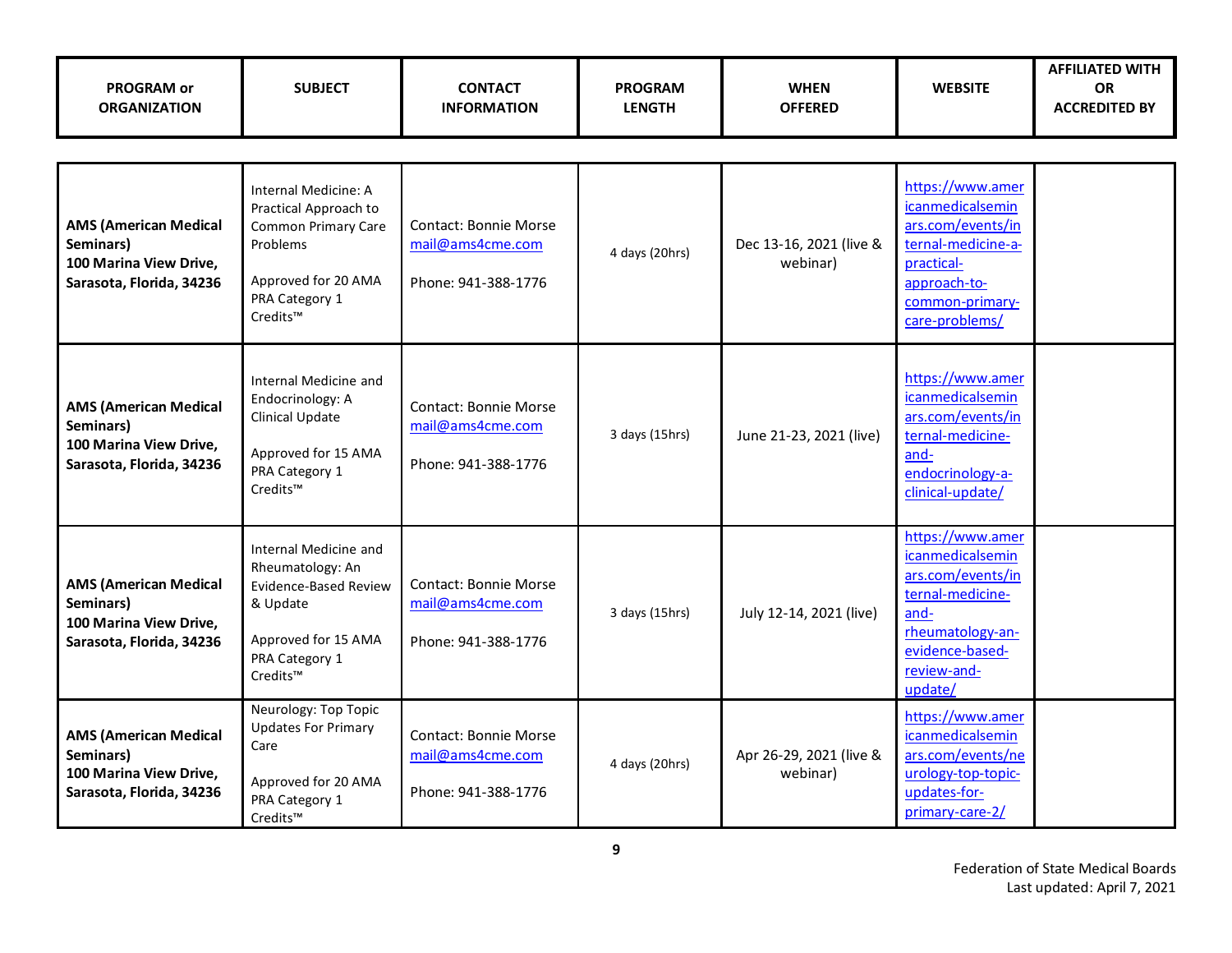| <b>PROGRAM or</b><br><b>ORGANIZATION</b>                                                        | <b>SUBJECT</b>                                                                                                                               | <b>CONTACT</b><br><b>INFORMATION</b>                                    | <b>PROGRAM</b><br><b>LENGTH</b> | <b>WHEN</b><br><b>OFFERED</b>       | <b>WEBSITE</b>                                                                                                                                                | <b>AFFILIATED WITH</b><br><b>OR</b><br><b>ACCREDITED BY</b> |
|-------------------------------------------------------------------------------------------------|----------------------------------------------------------------------------------------------------------------------------------------------|-------------------------------------------------------------------------|---------------------------------|-------------------------------------|---------------------------------------------------------------------------------------------------------------------------------------------------------------|-------------------------------------------------------------|
|                                                                                                 |                                                                                                                                              |                                                                         |                                 |                                     |                                                                                                                                                               |                                                             |
| <b>AMS (American Medical</b><br>Seminars)<br>100 Marina View Drive,<br>Sarasota, Florida, 34236 | Internal Medicine: A<br>Practical Approach to<br><b>Common Primary Care</b><br>Problems<br>Approved for 20 AMA<br>PRA Category 1<br>Credits™ | <b>Contact: Bonnie Morse</b><br>mail@ams4cme.com<br>Phone: 941-388-1776 | 4 days (20hrs)                  | Dec 13-16, 2021 (live &<br>webinar) | https://www.amer<br>icanmedicalsemin<br>ars.com/events/in<br>ternal-medicine-a-<br>practical-<br>approach-to-<br>common-primary-<br>care-problems/            |                                                             |
| <b>AMS (American Medical</b><br>Seminars)<br>100 Marina View Drive,<br>Sarasota, Florida, 34236 | Internal Medicine and<br>Endocrinology: A<br>Clinical Update<br>Approved for 15 AMA<br>PRA Category 1<br>Credits™                            | <b>Contact: Bonnie Morse</b><br>mail@ams4cme.com<br>Phone: 941-388-1776 | 3 days (15hrs)                  | June 21-23, 2021 (live)             | https://www.amer<br>icanmedicalsemin<br>ars.com/events/in<br>ternal-medicine-<br>and-<br>endocrinology-a-<br>clinical-update/                                 |                                                             |
| <b>AMS (American Medical</b><br>Seminars)<br>100 Marina View Drive,<br>Sarasota, Florida, 34236 | Internal Medicine and<br>Rheumatology: An<br><b>Evidence-Based Review</b><br>& Update<br>Approved for 15 AMA<br>PRA Category 1<br>Credits™   | Contact: Bonnie Morse<br>mail@ams4cme.com<br>Phone: 941-388-1776        | 3 days (15hrs)                  | July 12-14, 2021 (live)             | https://www.amer<br><i>icanmedicalsemin</i><br>ars.com/events/in<br>ternal-medicine-<br>and-<br>rheumatology-an-<br>evidence-based-<br>review-and-<br>update/ |                                                             |
| <b>AMS (American Medical</b><br>Seminars)<br>100 Marina View Drive,<br>Sarasota, Florida, 34236 | Neurology: Top Topic<br><b>Updates For Primary</b><br>Care<br>Approved for 20 AMA<br>PRA Category 1<br>Credits™                              | <b>Contact: Bonnie Morse</b><br>mail@ams4cme.com<br>Phone: 941-388-1776 | 4 days (20hrs)                  | Apr 26-29, 2021 (live &<br>webinar) | https://www.amer<br>icanmedicalsemin<br>ars.com/events/ne<br>urology-top-topic-<br>updates-for-<br>primary-care-2/                                            |                                                             |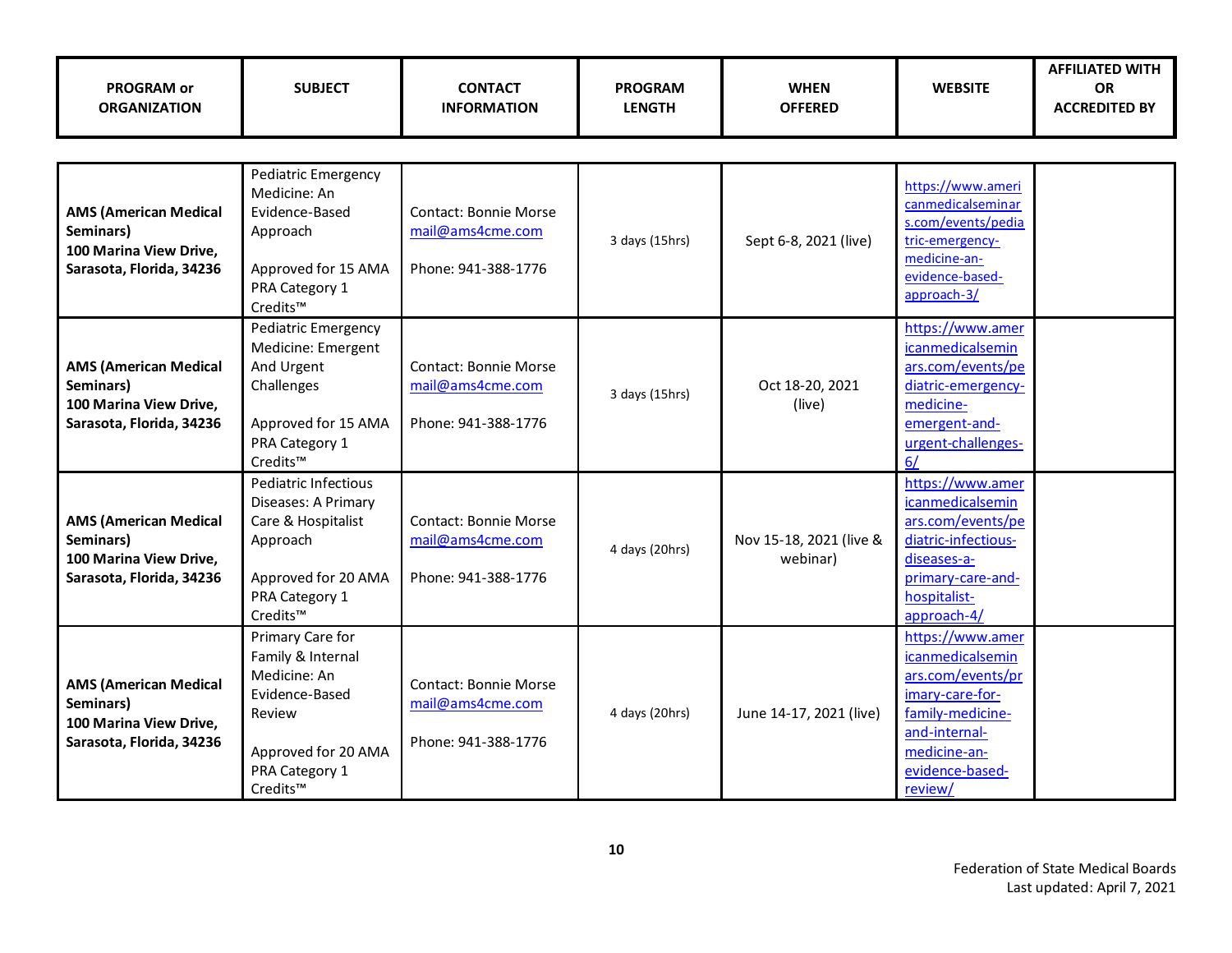| <b>PROGRAM or</b><br><b>ORGANIZATION</b>                                                        | <b>SUBJECT</b>                                                                                                                         | <b>CONTACT</b><br><b>INFORMATION</b>                                    | <b>PROGRAM</b><br><b>LENGTH</b> | <b>WHEN</b><br><b>OFFERED</b>       | <b>WEBSITE</b>                                                                                                                                                  | <b>AFFILIATED WITH</b><br><b>OR</b><br><b>ACCREDITED BY</b> |
|-------------------------------------------------------------------------------------------------|----------------------------------------------------------------------------------------------------------------------------------------|-------------------------------------------------------------------------|---------------------------------|-------------------------------------|-----------------------------------------------------------------------------------------------------------------------------------------------------------------|-------------------------------------------------------------|
|                                                                                                 |                                                                                                                                        |                                                                         |                                 |                                     |                                                                                                                                                                 |                                                             |
| <b>AMS (American Medical</b><br>Seminars)<br>100 Marina View Drive,<br>Sarasota, Florida, 34236 | Pediatric Emergency<br>Medicine: An<br>Evidence-Based<br>Approach<br>Approved for 15 AMA<br>PRA Category 1<br>Credits™                 | <b>Contact: Bonnie Morse</b><br>mail@ams4cme.com<br>Phone: 941-388-1776 | 3 days (15hrs)                  | Sept 6-8, 2021 (live)               | https://www.ameri<br>canmedicalseminar<br>s.com/events/pedia<br>tric-emergency-<br>medicine-an-<br>evidence-based-<br>approach-3/                               |                                                             |
| <b>AMS (American Medical</b><br>Seminars)<br>100 Marina View Drive,<br>Sarasota, Florida, 34236 | Pediatric Emergency<br>Medicine: Emergent<br>And Urgent<br>Challenges<br>Approved for 15 AMA<br>PRA Category 1<br>Credits™             | <b>Contact: Bonnie Morse</b><br>mail@ams4cme.com<br>Phone: 941-388-1776 | 3 days (15hrs)                  | Oct 18-20, 2021<br>(live)           | https://www.amer<br>icanmedicalsemin<br>ars.com/events/pe<br>diatric-emergency-<br>medicine-<br>emergent-and-<br>urgent-challenges-<br>6/                       |                                                             |
| <b>AMS (American Medical</b><br>Seminars)<br>100 Marina View Drive,<br>Sarasota, Florida, 34236 | Pediatric Infectious<br>Diseases: A Primary<br>Care & Hospitalist<br>Approach<br>Approved for 20 AMA<br>PRA Category 1<br>Credits™     | <b>Contact: Bonnie Morse</b><br>mail@ams4cme.com<br>Phone: 941-388-1776 | 4 days (20hrs)                  | Nov 15-18, 2021 (live &<br>webinar) | https://www.amer<br>icanmedicalsemin<br>ars.com/events/pe<br>diatric-infectious-<br>diseases-a-<br>primary-care-and-<br>hospitalist-<br>approach-4/             |                                                             |
| <b>AMS (American Medical</b><br>Seminars)<br>100 Marina View Drive,<br>Sarasota, Florida, 34236 | Primary Care for<br>Family & Internal<br>Medicine: An<br>Evidence-Based<br>Review<br>Approved for 20 AMA<br>PRA Category 1<br>Credits™ | Contact: Bonnie Morse<br>mail@ams4cme.com<br>Phone: 941-388-1776        | 4 days (20hrs)                  | June 14-17, 2021 (live)             | https://www.amer<br>icanmedicalsemin<br>ars.com/events/pr<br>imary-care-for-<br>family-medicine-<br>and-internal-<br>medicine-an-<br>evidence-based-<br>review/ |                                                             |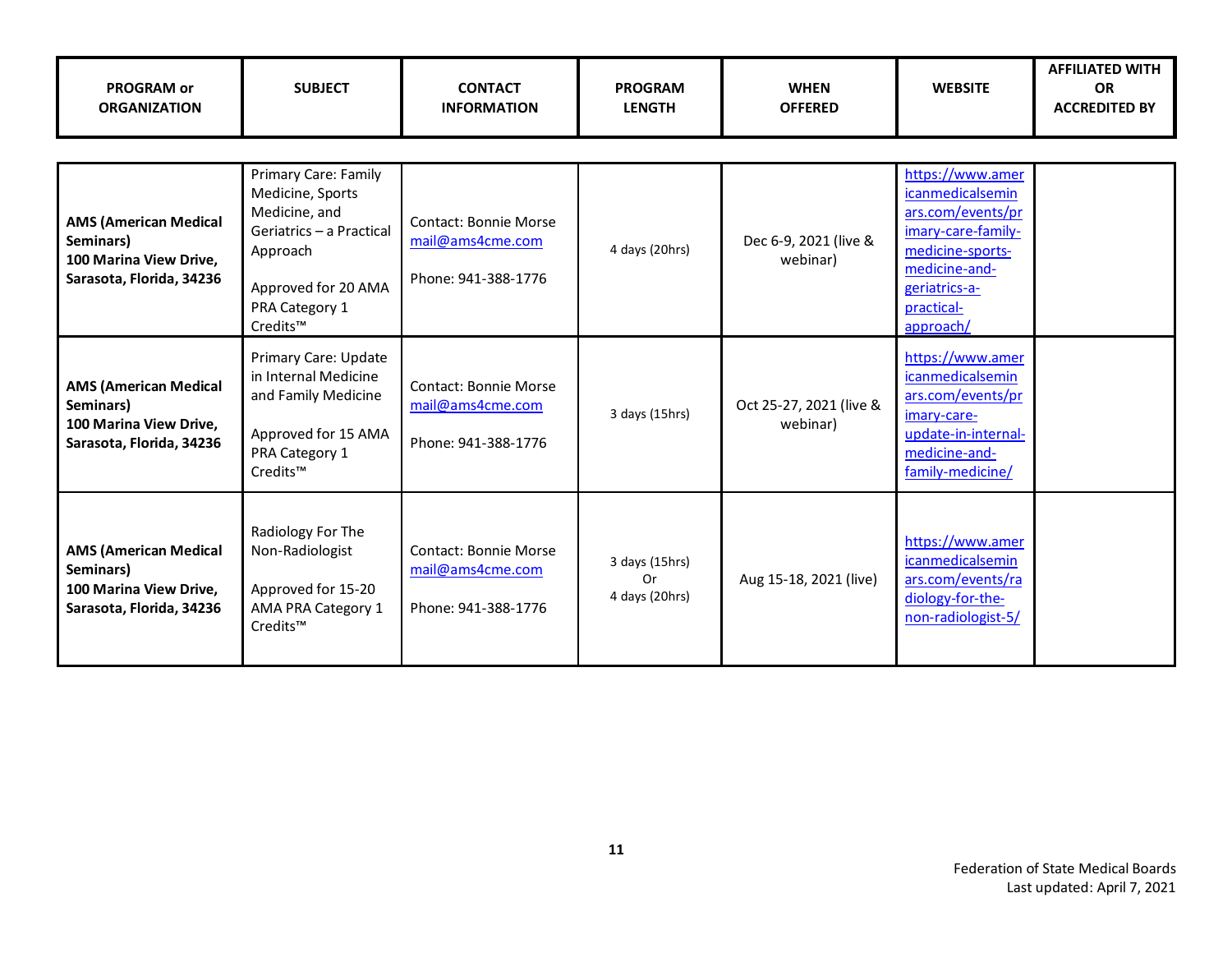| <b>PROGRAM or</b><br><b>ORGANIZATION</b>                                                        | <b>SUBJECT</b>                                                                                                                                         | <b>CONTACT</b><br><b>INFORMATION</b>                             | <b>PROGRAM</b><br><b>LENGTH</b>        | <b>WHEN</b><br><b>OFFERED</b>       | <b>WEBSITE</b>                                                                                                                                                          | <b>AFFILIATED WITH</b><br><b>OR</b><br><b>ACCREDITED BY</b> |
|-------------------------------------------------------------------------------------------------|--------------------------------------------------------------------------------------------------------------------------------------------------------|------------------------------------------------------------------|----------------------------------------|-------------------------------------|-------------------------------------------------------------------------------------------------------------------------------------------------------------------------|-------------------------------------------------------------|
| <b>AMS (American Medical</b><br>Seminars)<br>100 Marina View Drive,<br>Sarasota, Florida, 34236 | Primary Care: Family<br>Medicine, Sports<br>Medicine, and<br>Geriatrics - a Practical<br>Approach<br>Approved for 20 AMA<br>PRA Category 1<br>Credits™ | Contact: Bonnie Morse<br>mail@ams4cme.com<br>Phone: 941-388-1776 | 4 days (20hrs)                         | Dec 6-9, 2021 (live &<br>webinar)   | https://www.amer<br><i>icanmedicalsemin</i><br>ars.com/events/pr<br>imary-care-family-<br>medicine-sports-<br>medicine-and-<br>geriatrics-a-<br>practical-<br>approach/ |                                                             |
| <b>AMS (American Medical</b><br>Seminars)<br>100 Marina View Drive,<br>Sarasota, Florida, 34236 | Primary Care: Update<br>in Internal Medicine<br>and Family Medicine<br>Approved for 15 AMA<br>PRA Category 1<br>Credits™                               | Contact: Bonnie Morse<br>mail@ams4cme.com<br>Phone: 941-388-1776 | 3 days (15hrs)                         | Oct 25-27, 2021 (live &<br>webinar) | https://www.amer<br>icanmedicalsemin<br>ars.com/events/pr<br>imary-care-<br>update-in-internal-<br>medicine-and-<br>family-medicine/                                    |                                                             |
| <b>AMS (American Medical</b><br>Seminars)<br>100 Marina View Drive,<br>Sarasota, Florida, 34236 | Radiology For The<br>Non-Radiologist<br>Approved for 15-20<br>AMA PRA Category 1<br>Credits™                                                           | Contact: Bonnie Morse<br>mail@ams4cme.com<br>Phone: 941-388-1776 | 3 days (15hrs)<br>Or<br>4 days (20hrs) | Aug 15-18, 2021 (live)              | https://www.amer<br>icanmedicalsemin<br>ars.com/events/ra<br>diology-for-the-<br>non-radiologist-5/                                                                     |                                                             |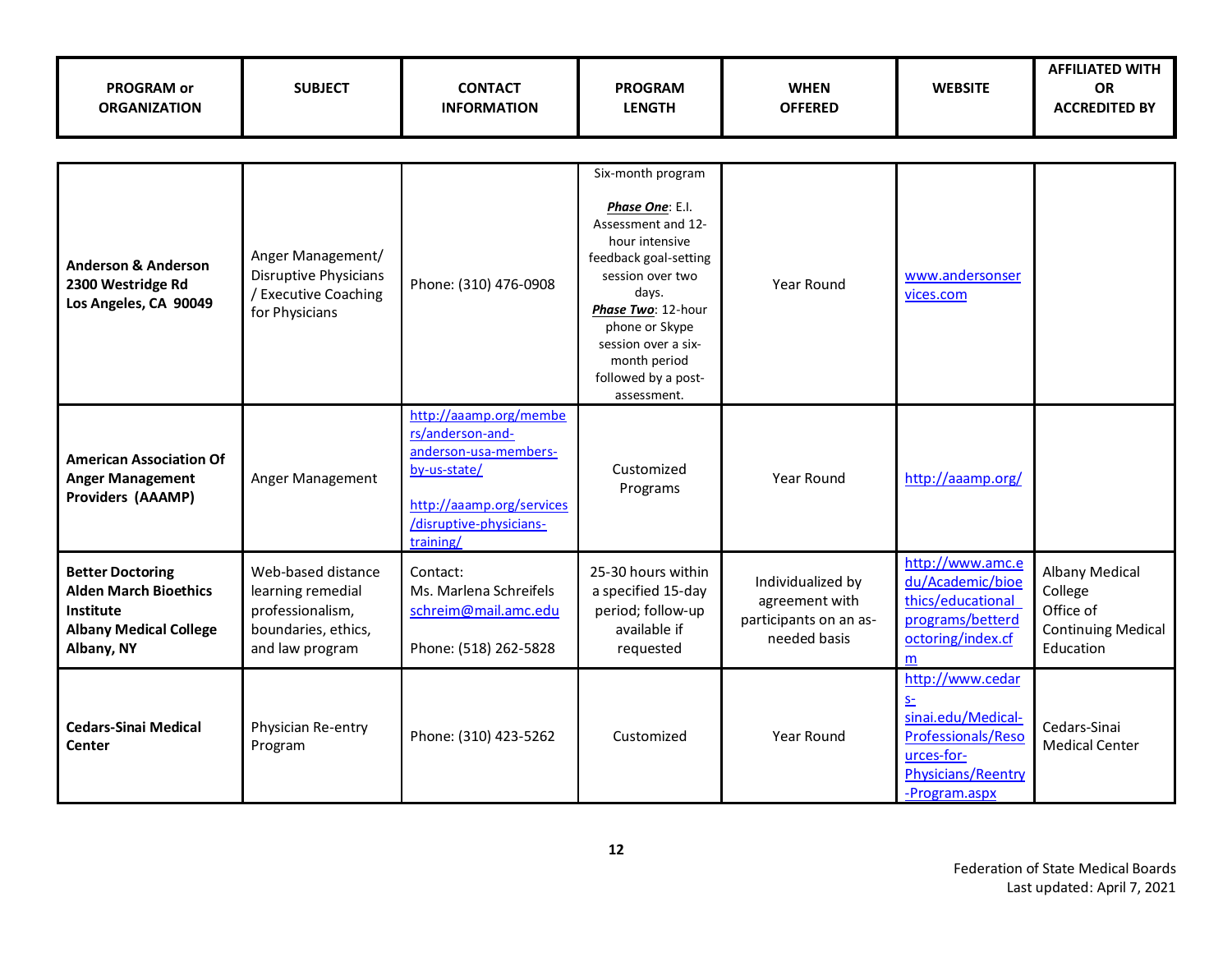| <b>PROGRAM or</b><br><b>ORGANIZATION</b>                                                                            | <b>SUBJECT</b>                                                                                        | <b>CONTACT</b><br><b>INFORMATION</b>                                                                                                                     | <b>PROGRAM</b><br><b>LENGTH</b>                                                                                                                                                                                                                         | <b>WHEN</b><br><b>OFFERED</b>                                                 | <b>WEBSITE</b>                                                                                                                      | <b>AFFILIATED WITH</b><br><b>OR</b><br><b>ACCREDITED BY</b>                      |
|---------------------------------------------------------------------------------------------------------------------|-------------------------------------------------------------------------------------------------------|----------------------------------------------------------------------------------------------------------------------------------------------------------|---------------------------------------------------------------------------------------------------------------------------------------------------------------------------------------------------------------------------------------------------------|-------------------------------------------------------------------------------|-------------------------------------------------------------------------------------------------------------------------------------|----------------------------------------------------------------------------------|
|                                                                                                                     |                                                                                                       |                                                                                                                                                          |                                                                                                                                                                                                                                                         |                                                                               |                                                                                                                                     |                                                                                  |
| <b>Anderson &amp; Anderson</b><br>2300 Westridge Rd<br>Los Angeles, CA 90049                                        | Anger Management/<br><b>Disruptive Physicians</b><br>/ Executive Coaching<br>for Physicians           | Phone: (310) 476-0908                                                                                                                                    | Six-month program<br>Phase One: E.I.<br>Assessment and 12-<br>hour intensive<br>feedback goal-setting<br>session over two<br>days.<br>Phase Two: 12-hour<br>phone or Skype<br>session over a six-<br>month period<br>followed by a post-<br>assessment. | Year Round                                                                    | www.andersonser<br>vices.com                                                                                                        |                                                                                  |
| <b>American Association Of</b><br><b>Anger Management</b><br><b>Providers (AAAMP)</b>                               | Anger Management                                                                                      | http://aaamp.org/membe<br>rs/anderson-and-<br>anderson-usa-members-<br>by-us-state/<br>http://aaamp.org/services<br>/disruptive-physicians-<br>training/ | Customized<br>Programs                                                                                                                                                                                                                                  | Year Round                                                                    | http://aaamp.org/                                                                                                                   |                                                                                  |
| <b>Better Doctoring</b><br><b>Alden March Bioethics</b><br>Institute<br><b>Albany Medical College</b><br>Albany, NY | Web-based distance<br>learning remedial<br>professionalism,<br>boundaries, ethics,<br>and law program | Contact:<br>Ms. Marlena Schreifels<br>schreim@mail.amc.edu<br>Phone: (518) 262-5828                                                                      | 25-30 hours within<br>a specified 15-day<br>period; follow-up<br>available if<br>requested                                                                                                                                                              | Individualized by<br>agreement with<br>participants on an as-<br>needed basis | http://www.amc.e<br>du/Academic/bioe<br>thics/educational<br>programs/betterd<br>octoring/index.cf<br>m                             | Albany Medical<br>College<br>Office of<br><b>Continuing Medical</b><br>Education |
| <b>Cedars-Sinai Medical</b><br><b>Center</b>                                                                        | Physician Re-entry<br>Program                                                                         | Phone: (310) 423-5262                                                                                                                                    | Customized                                                                                                                                                                                                                                              | Year Round                                                                    | http://www.cedar<br>S <sub>1</sub><br>sinai.edu/Medical-<br>Professionals/Reso<br>urces-for-<br>Physicians/Reentry<br>-Program.aspx | Cedars-Sinai<br><b>Medical Center</b>                                            |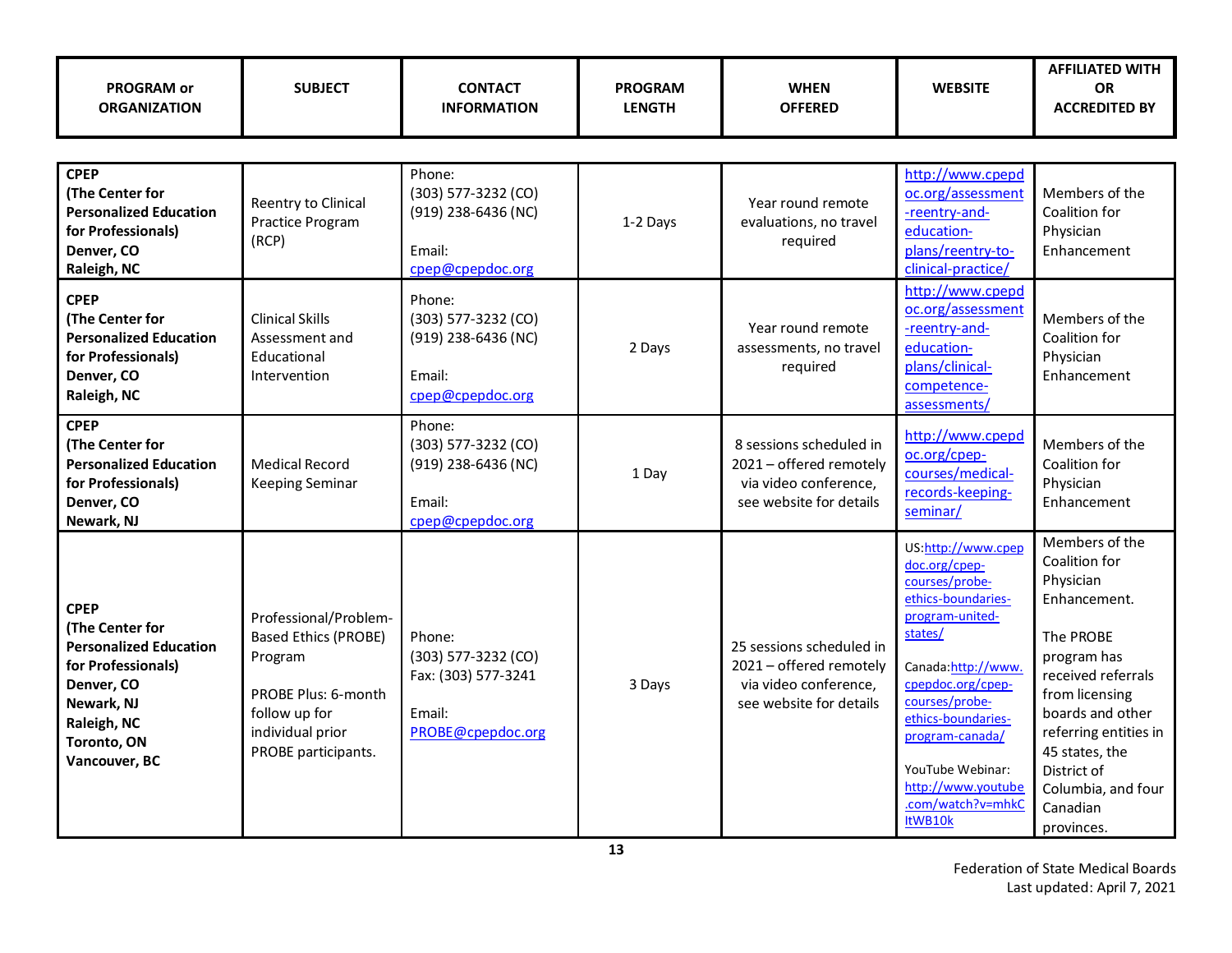| <b>PROGRAM or</b><br><b>ORGANIZATION</b>                                                                                                                         | <b>SUBJECT</b>                                                                                                                                     | <b>CONTACT</b><br><b>INFORMATION</b>                                                  | <b>PROGRAM</b><br><b>LENGTH</b> | <b>WHEN</b><br><b>OFFERED</b>                                                                           | <b>WEBSITE</b>                                                                                                                                                                                                                                                                            | <b>AFFILIATED WITH</b><br><b>OR</b><br><b>ACCREDITED BY</b>                                                                                                                                                                                                    |
|------------------------------------------------------------------------------------------------------------------------------------------------------------------|----------------------------------------------------------------------------------------------------------------------------------------------------|---------------------------------------------------------------------------------------|---------------------------------|---------------------------------------------------------------------------------------------------------|-------------------------------------------------------------------------------------------------------------------------------------------------------------------------------------------------------------------------------------------------------------------------------------------|----------------------------------------------------------------------------------------------------------------------------------------------------------------------------------------------------------------------------------------------------------------|
|                                                                                                                                                                  |                                                                                                                                                    |                                                                                       |                                 |                                                                                                         |                                                                                                                                                                                                                                                                                           |                                                                                                                                                                                                                                                                |
| <b>CPEP</b><br>(The Center for<br><b>Personalized Education</b><br>for Professionals)<br>Denver, CO<br>Raleigh, NC                                               | Reentry to Clinical<br>Practice Program<br>(RCP)                                                                                                   | Phone:<br>(303) 577-3232 (CO)<br>(919) 238-6436 (NC)<br>Email:<br>cpep@cpepdoc.org    | 1-2 Days                        | Year round remote<br>evaluations, no travel<br>required                                                 | http://www.cpepd<br>oc.org/assessment<br>-reentry-and-<br>education-<br>plans/reentry-to-<br>clinical-practice/                                                                                                                                                                           | Members of the<br>Coalition for<br>Physician<br>Enhancement                                                                                                                                                                                                    |
| <b>CPEP</b><br>(The Center for<br><b>Personalized Education</b><br>for Professionals)<br>Denver, CO<br>Raleigh, NC                                               | <b>Clinical Skills</b><br>Assessment and<br>Educational<br>Intervention                                                                            | Phone:<br>(303) 577-3232 (CO)<br>(919) 238-6436 (NC)<br>Email:<br>cpep@cpepdoc.org    | 2 Days                          | Year round remote<br>assessments, no travel<br>required                                                 | http://www.cpepd<br>oc.org/assessment<br>-reentry-and-<br>education-<br>plans/clinical-<br>competence-<br>assessments/                                                                                                                                                                    | Members of the<br>Coalition for<br>Physician<br>Enhancement                                                                                                                                                                                                    |
| <b>CPEP</b><br>(The Center for<br><b>Personalized Education</b><br>for Professionals)<br>Denver, CO<br>Newark, NJ                                                | <b>Medical Record</b><br><b>Keeping Seminar</b>                                                                                                    | Phone:<br>$(303)$ 577-3232 (CO)<br>(919) 238-6436 (NC)<br>Email:<br>cpep@cpepdoc.org  | 1 Day                           | 8 sessions scheduled in<br>2021 - offered remotely<br>via video conference,<br>see website for details  | http://www.cpepd<br>oc.org/cpep-<br>courses/medical-<br>records-keeping-<br>seminar/                                                                                                                                                                                                      | Members of the<br>Coalition for<br>Physician<br>Enhancement                                                                                                                                                                                                    |
| <b>CPEP</b><br>(The Center for<br><b>Personalized Education</b><br>for Professionals)<br>Denver, CO<br>Newark, NJ<br>Raleigh, NC<br>Toronto, ON<br>Vancouver, BC | Professional/Problem-<br><b>Based Ethics (PROBE)</b><br>Program<br>PROBE Plus: 6-month<br>follow up for<br>individual prior<br>PROBE participants. | Phone:<br>$(303)$ 577-3232 (CO)<br>Fax: (303) 577-3241<br>Email:<br>PROBE@cpepdoc.org | 3 Days                          | 25 sessions scheduled in<br>2021 - offered remotely<br>via video conference,<br>see website for details | US:http://www.cpep<br>doc.org/cpep-<br>courses/probe-<br>ethics-boundaries-<br>program-united-<br>states/<br>Canada:http://www.<br>cpepdoc.org/cpep-<br>courses/probe-<br>ethics-boundaries-<br>program-canada/<br>YouTube Webinar:<br>http://www.youtube<br>.com/watch?v=mhkC<br>ItWB10k | Members of the<br>Coalition for<br>Physician<br>Enhancement.<br>The PROBE<br>program has<br>received referrals<br>from licensing<br>boards and other<br>referring entities in<br>45 states, the<br>District of<br>Columbia, and four<br>Canadian<br>provinces. |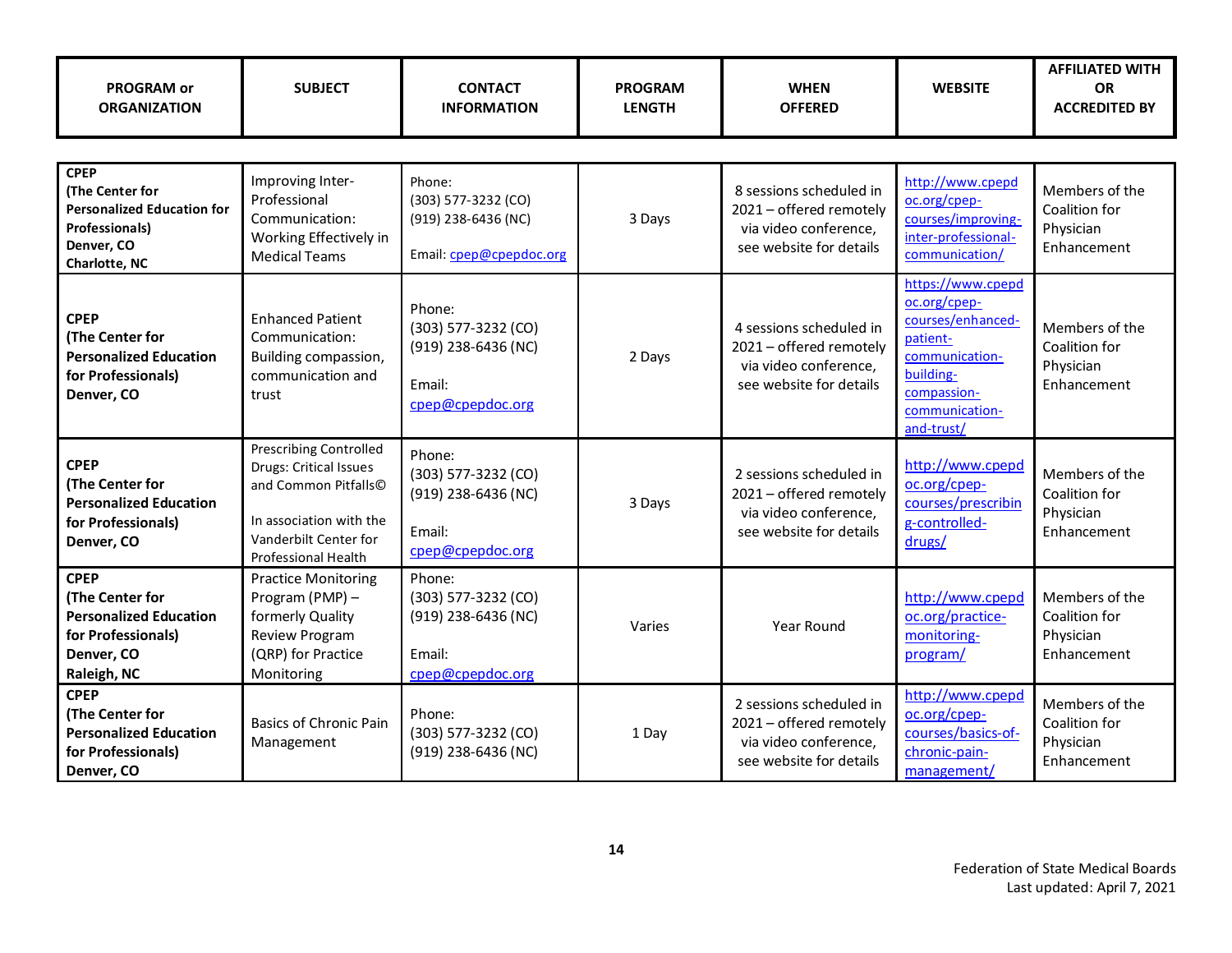| PROGRAM or<br><b>ORGANIZATION</b>                                                                                           | <b>SUBJECT</b>                                                                                                                                                           | <b>CONTACT</b><br><b>INFORMATION</b>                                               | <b>PROGRAM</b><br><b>LENGTH</b> | <b>WHEN</b><br><b>OFFERED</b>                                                                          | <b>WEBSITE</b>                                                                                                                                   | <b>AFFILIATED WITH</b><br><b>OR</b><br><b>ACCREDITED BY</b> |  |  |
|-----------------------------------------------------------------------------------------------------------------------------|--------------------------------------------------------------------------------------------------------------------------------------------------------------------------|------------------------------------------------------------------------------------|---------------------------------|--------------------------------------------------------------------------------------------------------|--------------------------------------------------------------------------------------------------------------------------------------------------|-------------------------------------------------------------|--|--|
|                                                                                                                             |                                                                                                                                                                          |                                                                                    |                                 |                                                                                                        |                                                                                                                                                  |                                                             |  |  |
| <b>CPEP</b><br>(The Center for<br><b>Personalized Education for</b><br><b>Professionals)</b><br>Denver, CO<br>Charlotte, NC | Improving Inter-<br>Professional<br>Communication:<br>Working Effectively in<br><b>Medical Teams</b>                                                                     | Phone:<br>(303) 577-3232 (CO)<br>(919) 238-6436 (NC)<br>Email: cpep@cpepdoc.org    | 3 Days                          | 8 sessions scheduled in<br>2021 - offered remotely<br>via video conference,<br>see website for details | http://www.cpepd<br>oc.org/cpep-<br>courses/improving-<br>inter-professional-<br>communication/                                                  | Members of the<br>Coalition for<br>Physician<br>Enhancement |  |  |
| <b>CPEP</b><br>(The Center for<br><b>Personalized Education</b><br>for Professionals)<br>Denver, CO                         | <b>Enhanced Patient</b><br>Communication:<br>Building compassion,<br>communication and<br>trust                                                                          | Phone:<br>(303) 577-3232 (CO)<br>(919) 238-6436 (NC)<br>Fmail:<br>cpep@cpepdoc.org | 2 Days                          | 4 sessions scheduled in<br>2021 - offered remotely<br>via video conference,<br>see website for details | https://www.cpepd<br>oc.org/cpep-<br>courses/enhanced-<br>patient-<br>communication-<br>building-<br>compassion-<br>communication-<br>and-trust/ | Members of the<br>Coalition for<br>Physician<br>Enhancement |  |  |
| <b>CPEP</b><br>(The Center for<br><b>Personalized Education</b><br>for Professionals)<br>Denver, CO                         | <b>Prescribing Controlled</b><br><b>Drugs: Critical Issues</b><br>and Common Pitfalls©<br>In association with the<br>Vanderbilt Center for<br><b>Professional Health</b> | Phone:<br>(303) 577-3232 (CO)<br>(919) 238-6436 (NC)<br>Email:<br>cpep@cpepdoc.org | 3 Days                          | 2 sessions scheduled in<br>2021 - offered remotely<br>via video conference,<br>see website for details | http://www.cpepd<br>oc.org/cpep-<br>courses/prescribin<br>g-controlled-<br>drugs/                                                                | Members of the<br>Coalition for<br>Physician<br>Enhancement |  |  |
| <b>CPEP</b><br>(The Center for<br><b>Personalized Education</b><br>for Professionals)<br>Denver, CO<br>Raleigh, NC          | <b>Practice Monitoring</b><br>Program (PMP) -<br>formerly Quality<br>Review Program<br>(QRP) for Practice<br>Monitoring                                                  | Phone:<br>(303) 577-3232 (CO)<br>(919) 238-6436 (NC)<br>Email:<br>cpep@cpepdoc.org | Varies                          | Year Round                                                                                             | http://www.cpepd<br>oc.org/practice-<br>monitoring-<br>program/                                                                                  | Members of the<br>Coalition for<br>Physician<br>Enhancement |  |  |
| <b>CPEP</b><br>(The Center for<br><b>Personalized Education</b><br>for Professionals)<br>Denver, CO                         | Basics of Chronic Pain<br>Management                                                                                                                                     | Phone:<br>(303) 577-3232 (CO)<br>(919) 238-6436 (NC)                               | 1 Day                           | 2 sessions scheduled in<br>2021 - offered remotely<br>via video conference,<br>see website for details | http://www.cpepd<br>oc.org/cpep-<br>courses/basics-of-<br>chronic-pain-<br>management/                                                           | Members of the<br>Coalition for<br>Physician<br>Enhancement |  |  |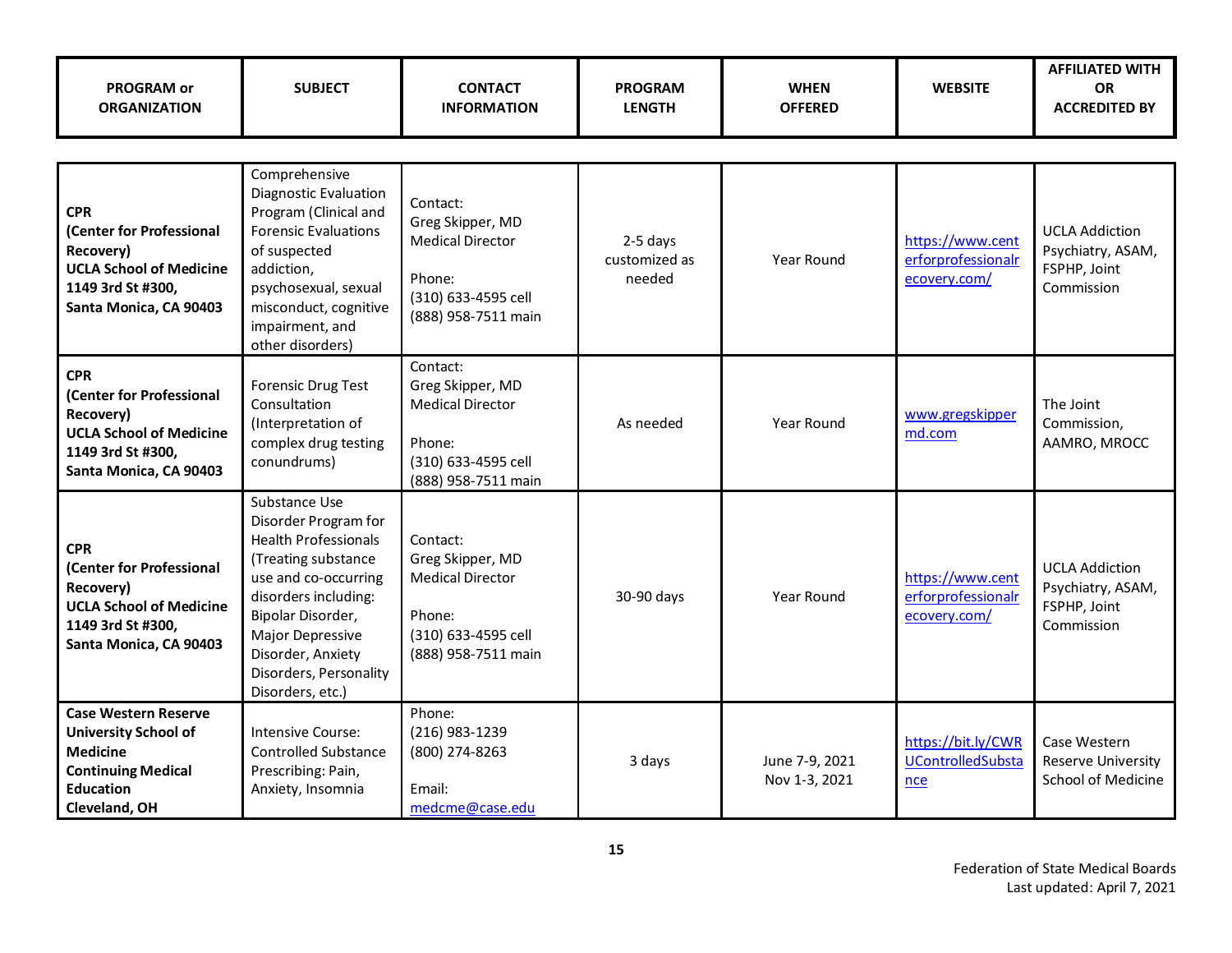| <b>PROGRAM or</b><br><b>ORGANIZATION</b>                                                                                                        | <b>SUBJECT</b>                                                                                                                                                                                                                                          | <b>CONTACT</b><br><b>INFORMATION</b>                                                                            | <b>PROGRAM</b><br><b>LENGTH</b>     | <b>WHEN</b><br><b>OFFERED</b>   | <b>WEBSITE</b>                                         | <b>AFFILIATED WITH</b><br><b>OR</b><br><b>ACCREDITED BY</b>              |
|-------------------------------------------------------------------------------------------------------------------------------------------------|---------------------------------------------------------------------------------------------------------------------------------------------------------------------------------------------------------------------------------------------------------|-----------------------------------------------------------------------------------------------------------------|-------------------------------------|---------------------------------|--------------------------------------------------------|--------------------------------------------------------------------------|
|                                                                                                                                                 |                                                                                                                                                                                                                                                         |                                                                                                                 |                                     |                                 |                                                        |                                                                          |
| <b>CPR</b><br>(Center for Professional<br>Recovery)<br><b>UCLA School of Medicine</b><br>1149 3rd St #300,<br>Santa Monica, CA 90403            | Comprehensive<br><b>Diagnostic Evaluation</b><br>Program (Clinical and<br><b>Forensic Evaluations</b><br>of suspected<br>addiction,<br>psychosexual, sexual<br>misconduct, cognitive<br>impairment, and<br>other disorders)                             | Contact:<br>Greg Skipper, MD<br><b>Medical Director</b><br>Phone:<br>(310) 633-4595 cell<br>(888) 958-7511 main | 2-5 days<br>customized as<br>needed | Year Round                      | https://www.cent<br>erforprofessionalr<br>ecovery.com/ | <b>UCLA Addiction</b><br>Psychiatry, ASAM,<br>FSPHP, Joint<br>Commission |
| <b>CPR</b><br>(Center for Professional<br>Recovery)<br><b>UCLA School of Medicine</b><br>1149 3rd St #300,<br>Santa Monica, CA 90403            | Forensic Drug Test<br>Consultation<br>(Interpretation of<br>complex drug testing<br>conundrums)                                                                                                                                                         | Contact:<br>Greg Skipper, MD<br><b>Medical Director</b><br>Phone:<br>(310) 633-4595 cell<br>(888) 958-7511 main | As needed                           | Year Round                      | www.gregskipper<br>md.com                              | The Joint<br>Commission,<br>AAMRO, MROCC                                 |
| <b>CPR</b><br>(Center for Professional<br>Recovery)<br><b>UCLA School of Medicine</b><br>1149 3rd St #300,<br>Santa Monica, CA 90403            | Substance Use<br>Disorder Program for<br><b>Health Professionals</b><br>(Treating substance<br>use and co-occurring<br>disorders including:<br>Bipolar Disorder,<br>Major Depressive<br>Disorder, Anxiety<br>Disorders, Personality<br>Disorders, etc.) | Contact:<br>Greg Skipper, MD<br><b>Medical Director</b><br>Phone:<br>(310) 633-4595 cell<br>(888) 958-7511 main | 30-90 days                          | <b>Year Round</b>               | https://www.cent<br>erforprofessionalr<br>ecovery.com/ | <b>UCLA Addiction</b><br>Psychiatry, ASAM,<br>FSPHP, Joint<br>Commission |
| <b>Case Western Reserve</b><br><b>University School of</b><br><b>Medicine</b><br><b>Continuing Medical</b><br><b>Education</b><br>Cleveland, OH | Intensive Course:<br><b>Controlled Substance</b><br>Prescribing: Pain,<br>Anxiety, Insomnia                                                                                                                                                             | Phone:<br>(216) 983-1239<br>(800) 274-8263<br>Email:<br>medcme@case.edu                                         | 3 days                              | June 7-9, 2021<br>Nov 1-3, 2021 | https://bit.ly/CWR<br><b>UControlledSubsta</b><br>nce  | Case Western<br><b>Reserve University</b><br><b>School of Medicine</b>   |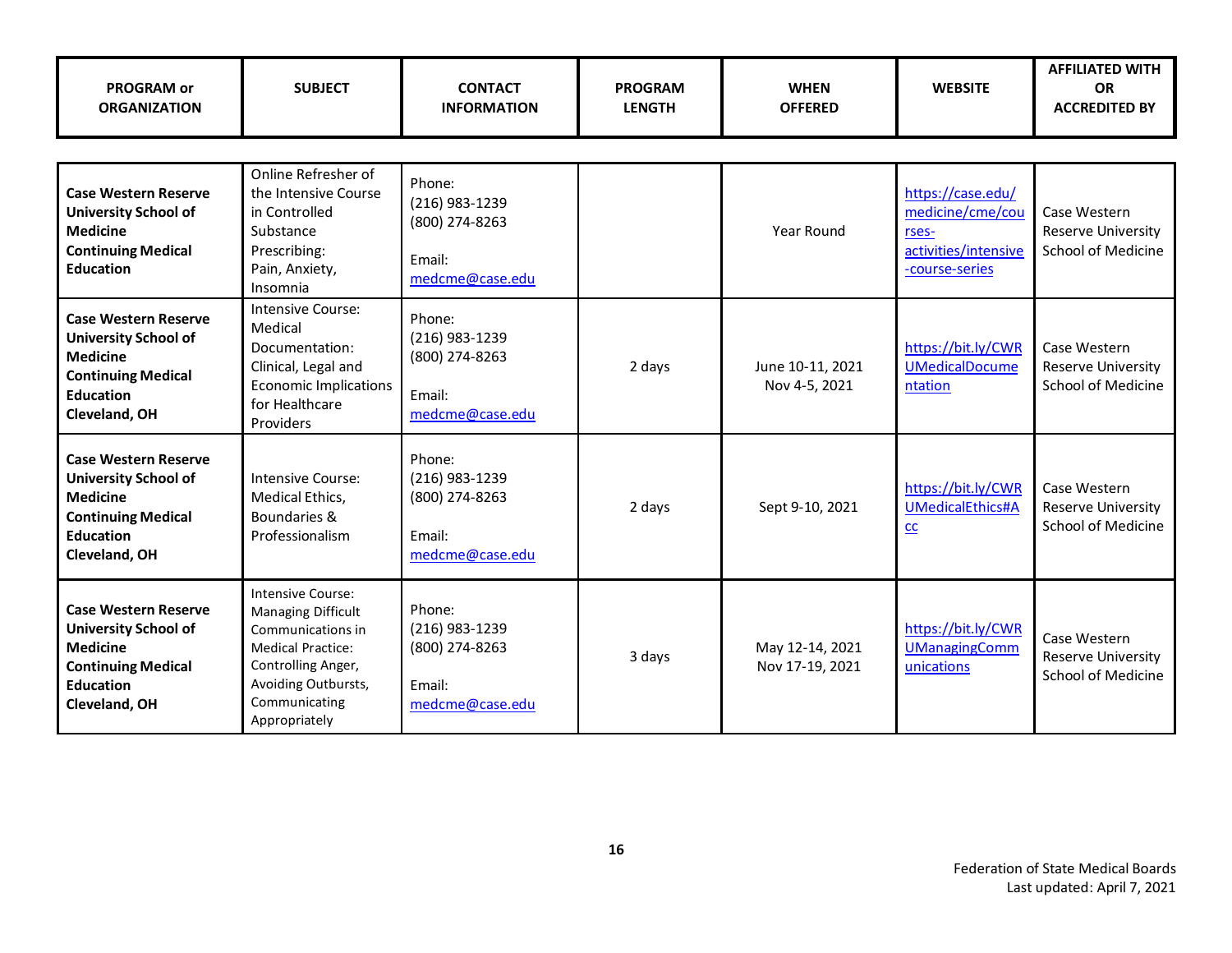| <b>PROGRAM or</b><br><b>ORGANIZATION</b>                                                                                                        | <b>SUBJECT</b>                                                                                                                                                          | <b>CONTACT</b><br><b>INFORMATION</b>                                    | <b>PROGRAM</b><br><b>LENGTH</b> | <b>WHEN</b><br><b>OFFERED</b>      | <b>WEBSITE</b>                                                                           | <b>AFFILIATED WITH</b><br><b>OR</b><br><b>ACCREDITED BY</b>            |  |  |  |
|-------------------------------------------------------------------------------------------------------------------------------------------------|-------------------------------------------------------------------------------------------------------------------------------------------------------------------------|-------------------------------------------------------------------------|---------------------------------|------------------------------------|------------------------------------------------------------------------------------------|------------------------------------------------------------------------|--|--|--|
|                                                                                                                                                 |                                                                                                                                                                         |                                                                         |                                 |                                    |                                                                                          |                                                                        |  |  |  |
| <b>Case Western Reserve</b><br><b>University School of</b><br><b>Medicine</b><br><b>Continuing Medical</b><br><b>Education</b>                  | Online Refresher of<br>the Intensive Course<br>in Controlled<br>Substance<br>Prescribing:<br>Pain, Anxiety,<br>Insomnia                                                 | Phone:<br>(216) 983-1239<br>(800) 274-8263<br>Email:<br>medcme@case.edu |                                 | Year Round                         | https://case.edu/<br>medicine/cme/cou<br>rses-<br>activities/intensive<br>-course-series | Case Western<br><b>Reserve University</b><br><b>School of Medicine</b> |  |  |  |
| <b>Case Western Reserve</b><br><b>University School of</b><br><b>Medicine</b><br><b>Continuing Medical</b><br><b>Education</b><br>Cleveland, OH | Intensive Course:<br>Medical<br>Documentation:<br>Clinical, Legal and<br><b>Economic Implications</b><br>for Healthcare<br>Providers                                    | Phone:<br>(216) 983-1239<br>(800) 274-8263<br>Email:<br>medcme@case.edu | 2 days                          | June 10-11, 2021<br>Nov 4-5, 2021  | https://bit.ly/CWR<br><b>UMedicalDocume</b><br>ntation                                   | Case Western<br><b>Reserve University</b><br>School of Medicine        |  |  |  |
| <b>Case Western Reserve</b><br><b>University School of</b><br><b>Medicine</b><br><b>Continuing Medical</b><br><b>Education</b><br>Cleveland, OH | Intensive Course:<br>Medical Ethics,<br>Boundaries &<br>Professionalism                                                                                                 | Phone:<br>(216) 983-1239<br>(800) 274-8263<br>Email:<br>medcme@case.edu | 2 days                          | Sept 9-10, 2021                    | https://bit.ly/CWR<br><b>UMedicalEthics#A</b><br>$CC$                                    | Case Western<br><b>Reserve University</b><br><b>School of Medicine</b> |  |  |  |
| <b>Case Western Reserve</b><br><b>University School of</b><br><b>Medicine</b><br><b>Continuing Medical</b><br><b>Education</b><br>Cleveland, OH | Intensive Course:<br>Managing Difficult<br>Communications in<br><b>Medical Practice:</b><br>Controlling Anger,<br>Avoiding Outbursts,<br>Communicating<br>Appropriately | Phone:<br>(216) 983-1239<br>(800) 274-8263<br>Email:<br>medcme@case.edu | 3 days                          | May 12-14, 2021<br>Nov 17-19, 2021 | https://bit.ly/CWR<br><b>UManagingComm</b><br>unications                                 | Case Western<br><b>Reserve University</b><br>School of Medicine        |  |  |  |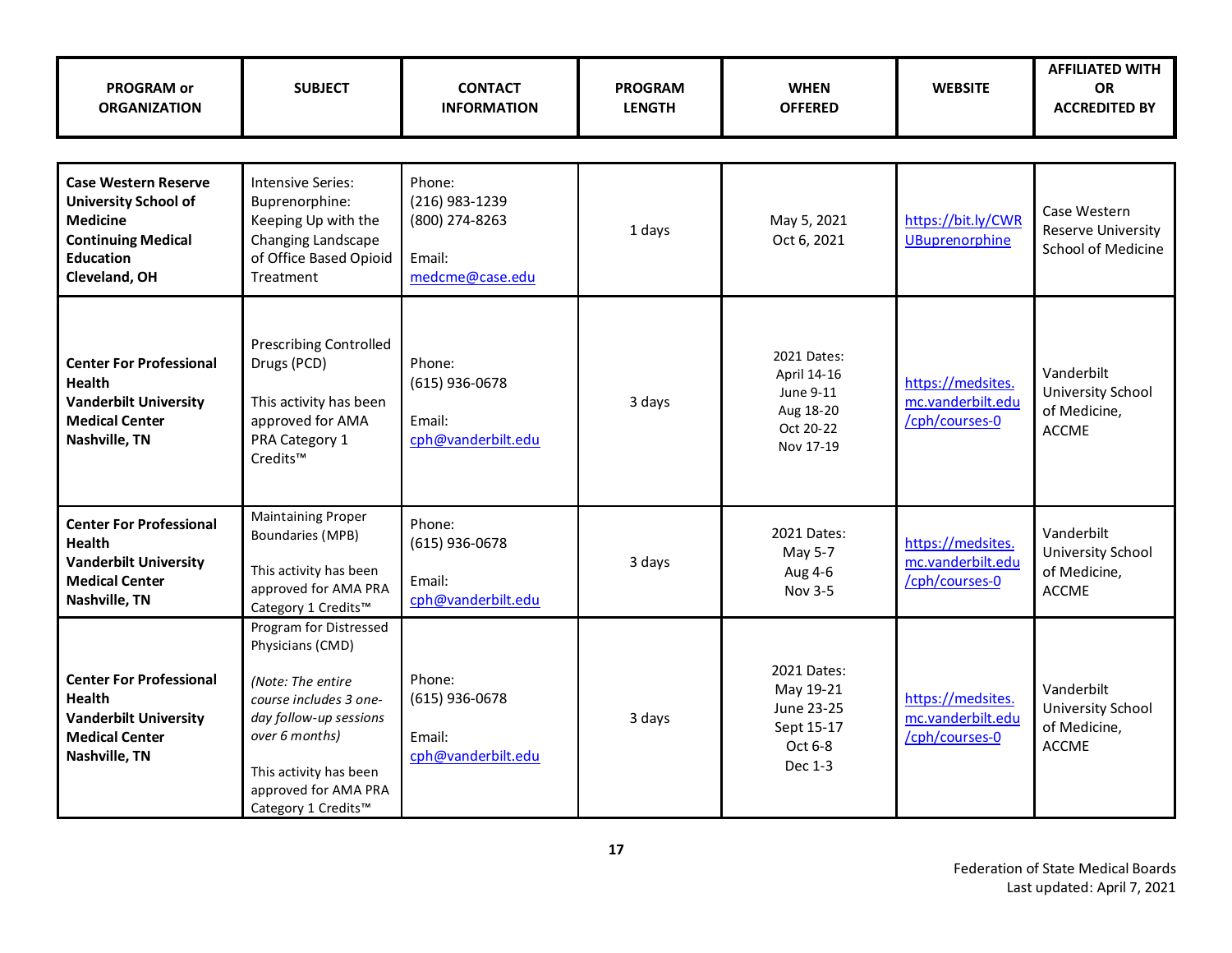| <b>PROGRAM or</b><br><b>ORGANIZATION</b>                                                                                                        | <b>SUBJECT</b>                                                                                                                                                                                                 | <b>CONTACT</b><br><b>INFORMATION</b>                                    | <b>PROGRAM</b><br><b>LENGTH</b> | <b>WHEN</b><br><b>OFFERED</b>                                                  | <b>WEBSITE</b>                                           | <b>AFFILIATED WITH</b><br><b>OR</b><br><b>ACCREDITED BY</b>     |  |  |  |
|-------------------------------------------------------------------------------------------------------------------------------------------------|----------------------------------------------------------------------------------------------------------------------------------------------------------------------------------------------------------------|-------------------------------------------------------------------------|---------------------------------|--------------------------------------------------------------------------------|----------------------------------------------------------|-----------------------------------------------------------------|--|--|--|
|                                                                                                                                                 |                                                                                                                                                                                                                |                                                                         |                                 |                                                                                |                                                          |                                                                 |  |  |  |
| <b>Case Western Reserve</b><br><b>University School of</b><br><b>Medicine</b><br><b>Continuing Medical</b><br><b>Education</b><br>Cleveland, OH | <b>Intensive Series:</b><br>Buprenorphine:<br>Keeping Up with the<br>Changing Landscape<br>of Office Based Opioid<br>Treatment                                                                                 | Phone:<br>(216) 983-1239<br>(800) 274-8263<br>Email:<br>medcme@case.edu | 1 days                          | May 5, 2021<br>Oct 6, 2021                                                     | https://bit.ly/CWR<br><b>UBuprenorphine</b>              | Case Western<br><b>Reserve University</b><br>School of Medicine |  |  |  |
| <b>Center For Professional</b><br>Health<br><b>Vanderbilt University</b><br><b>Medical Center</b><br>Nashville, TN                              | <b>Prescribing Controlled</b><br>Drugs (PCD)<br>This activity has been<br>approved for AMA<br>PRA Category 1<br>Credits™                                                                                       | Phone:<br>$(615)$ 936-0678<br>Email:<br>cph@vanderbilt.edu              | 3 days                          | 2021 Dates:<br>April 14-16<br>June 9-11<br>Aug 18-20<br>Oct 20-22<br>Nov 17-19 | https://medsites.<br>mc.vanderbilt.edu<br>/cph/courses-0 | Vanderbilt<br>University School<br>of Medicine,<br><b>ACCME</b> |  |  |  |
| <b>Center For Professional</b><br><b>Health</b><br><b>Vanderbilt University</b><br><b>Medical Center</b><br>Nashville, TN                       | <b>Maintaining Proper</b><br>Boundaries (MPB)<br>This activity has been<br>approved for AMA PRA<br>Category 1 Credits™                                                                                         | Phone:<br>(615) 936-0678<br>Email:<br>cph@vanderbilt.edu                | 3 days                          | 2021 Dates:<br>May 5-7<br>Aug 4-6<br>Nov 3-5                                   | https://medsites.<br>mc.vanderbilt.edu<br>/cph/courses-0 | Vanderbilt<br>University School<br>of Medicine,<br><b>ACCME</b> |  |  |  |
| <b>Center For Professional</b><br><b>Health</b><br><b>Vanderbilt University</b><br><b>Medical Center</b><br>Nashville, TN                       | Program for Distressed<br>Physicians (CMD)<br>(Note: The entire<br>course includes 3 one-<br>day follow-up sessions<br>over 6 months)<br>This activity has been<br>approved for AMA PRA<br>Category 1 Credits™ | Phone:<br>$(615)$ 936-0678<br>Email:<br>cph@vanderbilt.edu              | 3 days                          | 2021 Dates:<br>May 19-21<br>June 23-25<br>Sept 15-17<br>Oct 6-8<br>Dec 1-3     | https://medsites.<br>mc.vanderbilt.edu<br>/cph/courses-0 | Vanderbilt<br>University School<br>of Medicine,<br><b>ACCME</b> |  |  |  |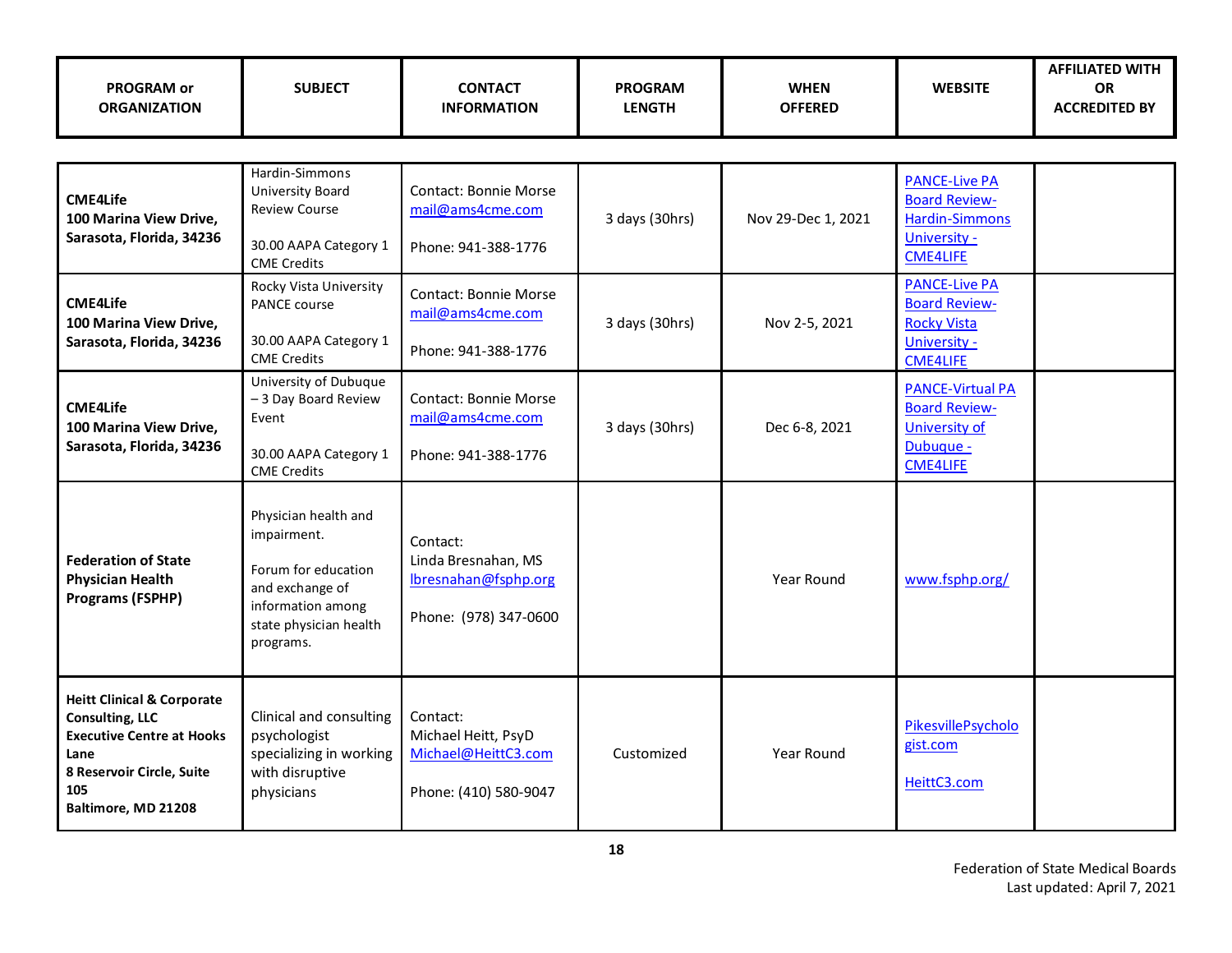| <b>PROGRAM or</b><br><b>ORGANIZATION</b>                                                                                                                               | <b>SUBJECT</b>                                                                                                                            | <b>CONTACT</b><br><b>INFORMATION</b>                                             | <b>PROGRAM</b><br><b>LENGTH</b> | <b>WHEN</b><br><b>OFFERED</b> | <b>WEBSITE</b>                                                                                           | <b>AFFILIATED WITH</b><br><b>OR</b><br><b>ACCREDITED BY</b> |
|------------------------------------------------------------------------------------------------------------------------------------------------------------------------|-------------------------------------------------------------------------------------------------------------------------------------------|----------------------------------------------------------------------------------|---------------------------------|-------------------------------|----------------------------------------------------------------------------------------------------------|-------------------------------------------------------------|
|                                                                                                                                                                        |                                                                                                                                           |                                                                                  |                                 |                               |                                                                                                          |                                                             |
| <b>CME4Life</b><br>100 Marina View Drive,<br>Sarasota, Florida, 34236                                                                                                  | Hardin-Simmons<br><b>University Board</b><br><b>Review Course</b><br>30.00 AAPA Category 1<br><b>CME Credits</b>                          | <b>Contact: Bonnie Morse</b><br>mail@ams4cme.com<br>Phone: 941-388-1776          | 3 days (30hrs)                  | Nov 29-Dec 1, 2021            | <b>PANCE-Live PA</b><br><b>Board Review-</b><br><b>Hardin-Simmons</b><br>University -<br><b>CME4LIFE</b> |                                                             |
| <b>CME4Life</b><br>100 Marina View Drive,<br>Sarasota, Florida, 34236                                                                                                  | Rocky Vista University<br>PANCE course<br>30.00 AAPA Category 1<br><b>CME Credits</b>                                                     | <b>Contact: Bonnie Morse</b><br>mail@ams4cme.com<br>Phone: 941-388-1776          | 3 days (30hrs)                  | Nov 2-5, 2021                 | <b>PANCE-Live PA</b><br><b>Board Review-</b><br><b>Rocky Vista</b><br>University -<br><b>CME4LIFE</b>    |                                                             |
| <b>CME4Life</b><br>100 Marina View Drive,<br>Sarasota, Florida, 34236                                                                                                  | University of Dubuque<br>- 3 Day Board Review<br>Event<br>30.00 AAPA Category 1<br><b>CME Credits</b>                                     | <b>Contact: Bonnie Morse</b><br>mail@ams4cme.com<br>Phone: 941-388-1776          | 3 days (30hrs)                  | Dec 6-8, 2021                 | <b>PANCE-Virtual PA</b><br><b>Board Review-</b><br><b>University of</b><br>Dubuque -<br><b>CME4LIFE</b>  |                                                             |
| <b>Federation of State</b><br><b>Physician Health</b><br><b>Programs (FSPHP)</b>                                                                                       | Physician health and<br>impairment.<br>Forum for education<br>and exchange of<br>information among<br>state physician health<br>programs. | Contact:<br>Linda Bresnahan, MS<br>lbresnahan@fsphp.org<br>Phone: (978) 347-0600 |                                 | Year Round                    | www.fsphp.org/                                                                                           |                                                             |
| <b>Heitt Clinical &amp; Corporate</b><br><b>Consulting, LLC</b><br><b>Executive Centre at Hooks</b><br>Lane<br>8 Reservoir Circle, Suite<br>105<br>Baltimore, MD 21208 | Clinical and consulting<br>psychologist<br>specializing in working<br>with disruptive<br>physicians                                       | Contact:<br>Michael Heitt, PsyD<br>Michael@HeittC3.com<br>Phone: (410) 580-9047  | Customized                      | Year Round                    | PikesvillePsycholo<br>gist.com<br>HeittC3.com                                                            |                                                             |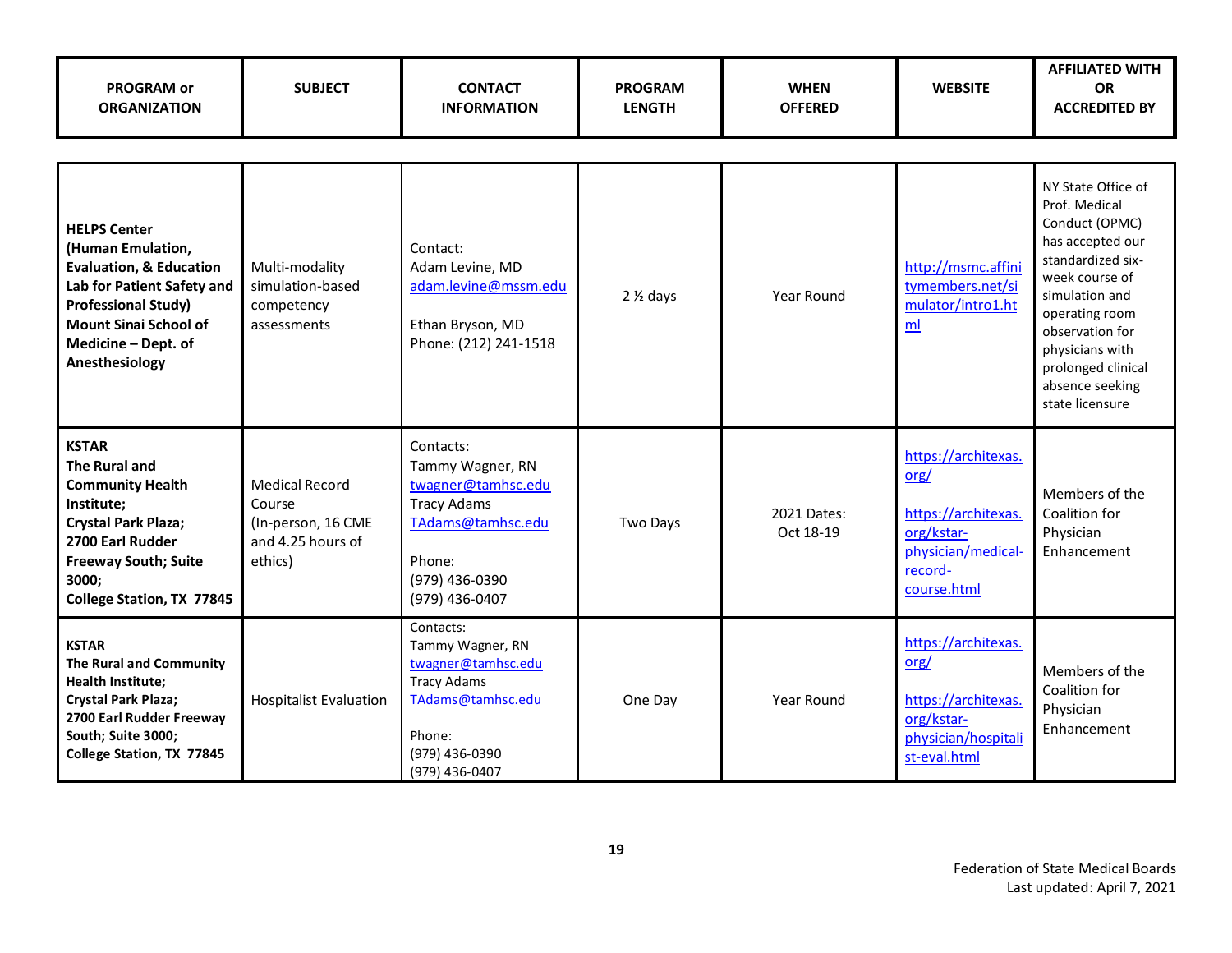| <b>PROGRAM or</b><br><b>ORGANIZATION</b>                                                                                                                                                                            | <b>SUBJECT</b>                                                                        | <b>CONTACT</b><br><b>INFORMATION</b>                                                                                                         | <b>PROGRAM</b><br><b>LENGTH</b> | <b>WHEN</b><br><b>OFFERED</b> | <b>WEBSITE</b>                                                                                                   | <b>AFFILIATED WITH</b><br><b>OR</b><br><b>ACCREDITED BY</b>                                                                                                                                                                                            |  |  |
|---------------------------------------------------------------------------------------------------------------------------------------------------------------------------------------------------------------------|---------------------------------------------------------------------------------------|----------------------------------------------------------------------------------------------------------------------------------------------|---------------------------------|-------------------------------|------------------------------------------------------------------------------------------------------------------|--------------------------------------------------------------------------------------------------------------------------------------------------------------------------------------------------------------------------------------------------------|--|--|
|                                                                                                                                                                                                                     |                                                                                       |                                                                                                                                              |                                 |                               |                                                                                                                  |                                                                                                                                                                                                                                                        |  |  |
| <b>HELPS Center</b><br>(Human Emulation,<br><b>Evaluation, &amp; Education</b><br>Lab for Patient Safety and<br><b>Professional Study)</b><br><b>Mount Sinai School of</b><br>Medicine - Dept. of<br>Anesthesiology | Multi-modality<br>simulation-based<br>competency<br>assessments                       | Contact:<br>Adam Levine, MD<br>adam.levine@mssm.edu<br>Ethan Bryson, MD<br>Phone: (212) 241-1518                                             | $2\frac{1}{2}$ days             | Year Round                    | http://msmc.affini<br>tymembers.net/si<br>mulator/intro1.ht<br>ml                                                | NY State Office of<br>Prof. Medical<br>Conduct (OPMC)<br>has accepted our<br>standardized six-<br>week course of<br>simulation and<br>operating room<br>observation for<br>physicians with<br>prolonged clinical<br>absence seeking<br>state licensure |  |  |
| <b>KSTAR</b><br><b>The Rural and</b><br><b>Community Health</b><br>Institute;<br><b>Crystal Park Plaza;</b><br>2700 Earl Rudder<br><b>Freeway South; Suite</b><br>3000;<br>College Station, TX 77845                | <b>Medical Record</b><br>Course<br>(In-person, 16 CME<br>and 4.25 hours of<br>ethics) | Contacts:<br>Tammy Wagner, RN<br>twagner@tamhsc.edu<br><b>Tracy Adams</b><br>TAdams@tamhsc.edu<br>Phone:<br>(979) 436-0390<br>(979) 436-0407 | Two Days                        | 2021 Dates:<br>Oct 18-19      | https://architexas.<br>org/<br>https://architexas.<br>org/kstar-<br>physician/medical-<br>record-<br>course.html | Members of the<br>Coalition for<br>Physician<br>Enhancement                                                                                                                                                                                            |  |  |
| <b>KSTAR</b><br>The Rural and Community<br>Health Institute;<br><b>Crystal Park Plaza;</b><br>2700 Earl Rudder Freeway<br>South; Suite 3000;<br>College Station, TX 77845                                           | <b>Hospitalist Evaluation</b>                                                         | Contacts:<br>Tammy Wagner, RN<br>twagner@tamhsc.edu<br><b>Tracy Adams</b><br>TAdams@tamhsc.edu<br>Phone:<br>(979) 436-0390<br>(979) 436-0407 | One Day                         | Year Round                    | https://architexas.<br>org/<br>https://architexas.<br>org/kstar-<br>physician/hospitali<br>st-eval.html          | Members of the<br>Coalition for<br>Physician<br>Enhancement                                                                                                                                                                                            |  |  |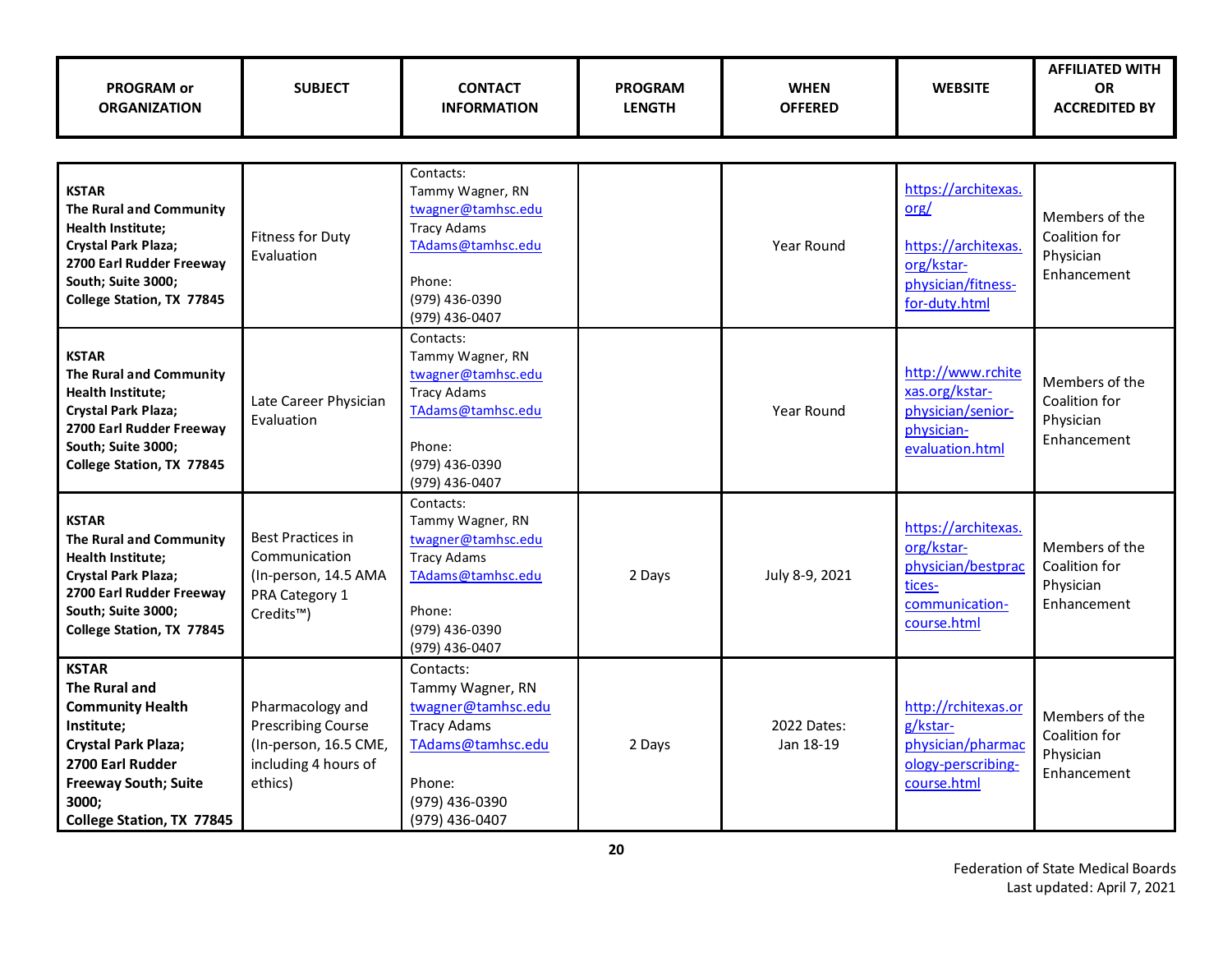| <b>PROGRAM or</b><br><b>ORGANIZATION</b>                                                                                                                                                      | <b>SUBJECT</b>                                                                                                | <b>CONTACT</b><br><b>INFORMATION</b>                                                                                                         | <b>PROGRAM</b><br><b>LENGTH</b> | <b>WHEN</b><br><b>OFFERED</b> | <b>WEBSITE</b>                                                                                          | <b>AFFILIATED WITH</b><br><b>OR</b><br><b>ACCREDITED BY</b> |
|-----------------------------------------------------------------------------------------------------------------------------------------------------------------------------------------------|---------------------------------------------------------------------------------------------------------------|----------------------------------------------------------------------------------------------------------------------------------------------|---------------------------------|-------------------------------|---------------------------------------------------------------------------------------------------------|-------------------------------------------------------------|
|                                                                                                                                                                                               |                                                                                                               |                                                                                                                                              |                                 |                               |                                                                                                         |                                                             |
| <b>KSTAR</b><br><b>The Rural and Community</b><br><b>Health Institute;</b><br>Crystal Park Plaza;<br>2700 Earl Rudder Freeway<br>South; Suite 3000;<br>College Station, TX 77845              | <b>Fitness for Duty</b><br>Evaluation                                                                         | Contacts:<br>Tammy Wagner, RN<br>twagner@tamhsc.edu<br><b>Tracy Adams</b><br>TAdams@tamhsc.edu<br>Phone:<br>(979) 436-0390<br>(979) 436-0407 |                                 | <b>Year Round</b>             | https://architexas.<br>org/<br>https://architexas.<br>org/kstar-<br>physician/fitness-<br>for-duty.html | Members of the<br>Coalition for<br>Physician<br>Enhancement |
| <b>KSTAR</b><br><b>The Rural and Community</b><br>Health Institute;<br>Crystal Park Plaza;<br>2700 Earl Rudder Freeway<br>South; Suite 3000;<br>College Station, TX 77845                     | Late Career Physician<br>Evaluation                                                                           | Contacts:<br>Tammy Wagner, RN<br>twagner@tamhsc.edu<br><b>Tracy Adams</b><br>TAdams@tamhsc.edu<br>Phone:<br>(979) 436-0390<br>(979) 436-0407 |                                 | Year Round                    | http://www.rchite<br>xas.org/kstar-<br>physician/senior-<br>physician-<br>evaluation.html               | Members of the<br>Coalition for<br>Physician<br>Enhancement |
| <b>KSTAR</b><br><b>The Rural and Community</b><br><b>Health Institute;</b><br><b>Crystal Park Plaza;</b><br>2700 Earl Rudder Freeway<br>South; Suite 3000;<br>College Station, TX 77845       | <b>Best Practices in</b><br>Communication<br>(In-person, 14.5 AMA<br>PRA Category 1<br>Credits <sup>™</sup> ) | Contacts:<br>Tammy Wagner, RN<br>twagner@tamhsc.edu<br><b>Tracy Adams</b><br>TAdams@tamhsc.edu<br>Phone:<br>(979) 436-0390<br>(979) 436-0407 | 2 Days                          | July 8-9, 2021                | https://architexas.<br>org/kstar-<br>physician/bestprac<br>tices-<br>communication-<br>course.html      | Members of the<br>Coalition for<br>Physician<br>Enhancement |
| <b>KSTAR</b><br>The Rural and<br><b>Community Health</b><br>Institute;<br><b>Crystal Park Plaza;</b><br>2700 Earl Rudder<br><b>Freeway South; Suite</b><br>3000;<br>College Station, TX 77845 | Pharmacology and<br><b>Prescribing Course</b><br>(In-person, 16.5 CME,<br>including 4 hours of<br>ethics)     | Contacts:<br>Tammy Wagner, RN<br>twagner@tamhsc.edu<br><b>Tracy Adams</b><br>TAdams@tamhsc.edu<br>Phone:<br>(979) 436-0390<br>(979) 436-0407 | 2 Days                          | 2022 Dates:<br>Jan 18-19      | http://rchitexas.or<br>g/kstar-<br>physician/pharmac<br>ology-perscribing-<br>course.html               | Members of the<br>Coalition for<br>Physician<br>Enhancement |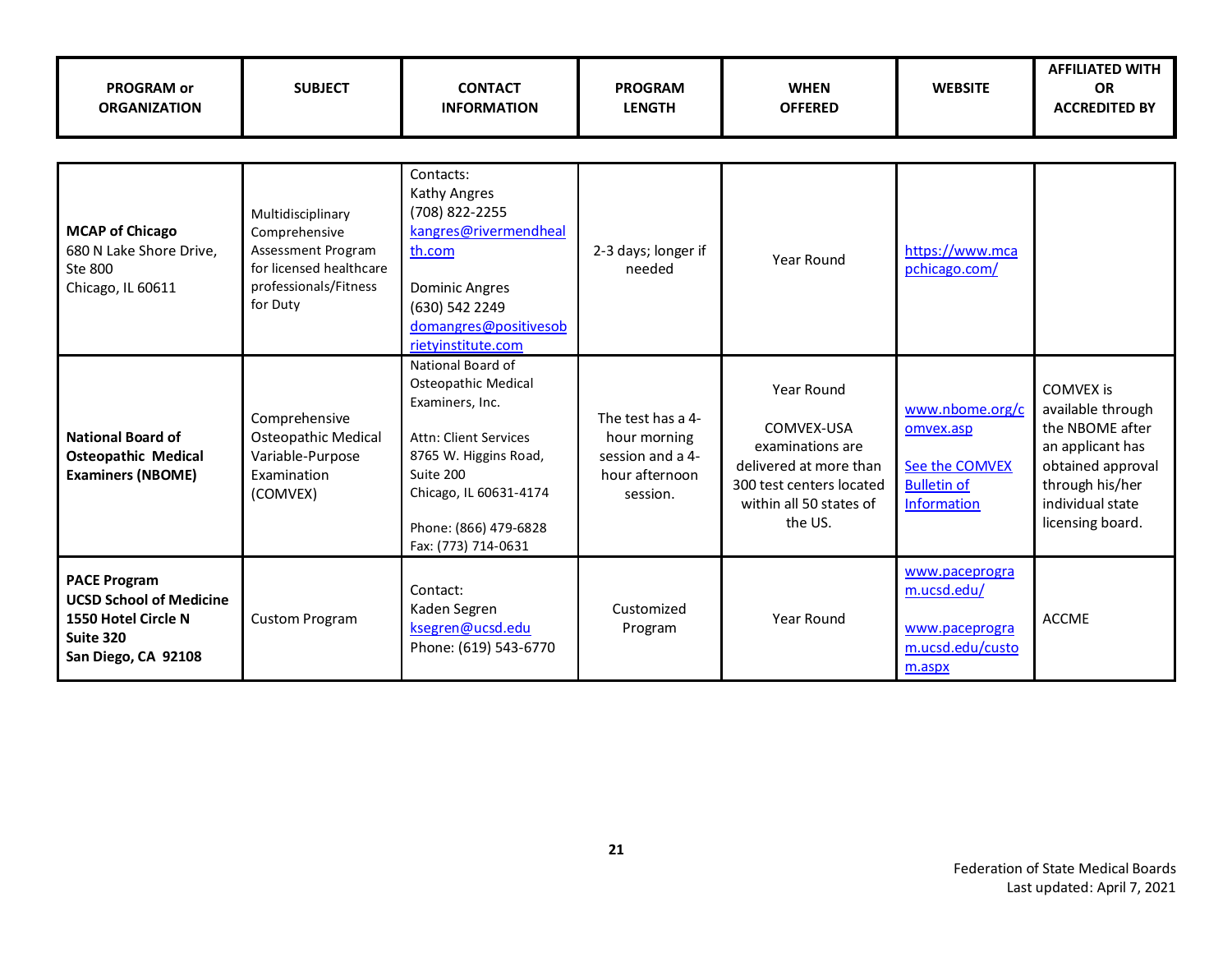| <b>PROGRAM or</b><br><b>ORGANIZATION</b>                                                                         | <b>SUBJECT</b>                                                                                                           | <b>CONTACT</b><br><b>INFORMATION</b>                                                                                                                                                                        | <b>PROGRAM</b><br><b>LENGTH</b>                                                     | <b>WHEN</b><br><b>OFFERED</b>                                                                                                            | <b>WEBSITE</b>                                                                      | <b>AFFILIATED WITH</b><br><b>OR</b><br><b>ACCREDITED BY</b>                                                                                                  |
|------------------------------------------------------------------------------------------------------------------|--------------------------------------------------------------------------------------------------------------------------|-------------------------------------------------------------------------------------------------------------------------------------------------------------------------------------------------------------|-------------------------------------------------------------------------------------|------------------------------------------------------------------------------------------------------------------------------------------|-------------------------------------------------------------------------------------|--------------------------------------------------------------------------------------------------------------------------------------------------------------|
| <b>MCAP of Chicago</b><br>680 N Lake Shore Drive,<br>Ste 800<br>Chicago, IL 60611                                | Multidisciplinary<br>Comprehensive<br>Assessment Program<br>for licensed healthcare<br>professionals/Fitness<br>for Duty | Contacts:<br>Kathy Angres<br>(708) 822-2255<br>kangres@rivermendheal<br>th.com<br><b>Dominic Angres</b><br>(630) 542 2249<br>domangres@positivesob<br>rietyinstitute.com                                    | 2-3 days; longer if<br>needed                                                       | Year Round                                                                                                                               | https://www.mca<br>pchicago.com/                                                    |                                                                                                                                                              |
| <b>National Board of</b><br><b>Osteopathic Medical</b><br><b>Examiners (NBOME)</b>                               | Comprehensive<br><b>Osteopathic Medical</b><br>Variable-Purpose<br>Examination<br>(COMVEX)                               | National Board of<br>Osteopathic Medical<br>Examiners, Inc.<br><b>Attn: Client Services</b><br>8765 W. Higgins Road,<br>Suite 200<br>Chicago, IL 60631-4174<br>Phone: (866) 479-6828<br>Fax: (773) 714-0631 | The test has a 4-<br>hour morning<br>session and a 4-<br>hour afternoon<br>session. | Year Round<br>COMVEX-USA<br>examinations are<br>delivered at more than<br>300 test centers located<br>within all 50 states of<br>the US. | www.nbome.org/c<br>omvex.asp<br>See the COMVEX<br><b>Bulletin of</b><br>Information | <b>COMVEX is</b><br>available through<br>the NBOME after<br>an applicant has<br>obtained approval<br>through his/her<br>individual state<br>licensing board. |
| <b>PACE Program</b><br><b>UCSD School of Medicine</b><br>1550 Hotel Circle N<br>Suite 320<br>San Diego, CA 92108 | <b>Custom Program</b>                                                                                                    | Contact:<br>Kaden Segren<br>ksegren@ucsd.edu<br>Phone: (619) 543-6770                                                                                                                                       | Customized<br>Program                                                               | Year Round                                                                                                                               | www.paceprogra<br>m.ucsd.edu/<br>www.paceprogra<br>m.ucsd.edu/custo<br>m.aspx       | <b>ACCME</b>                                                                                                                                                 |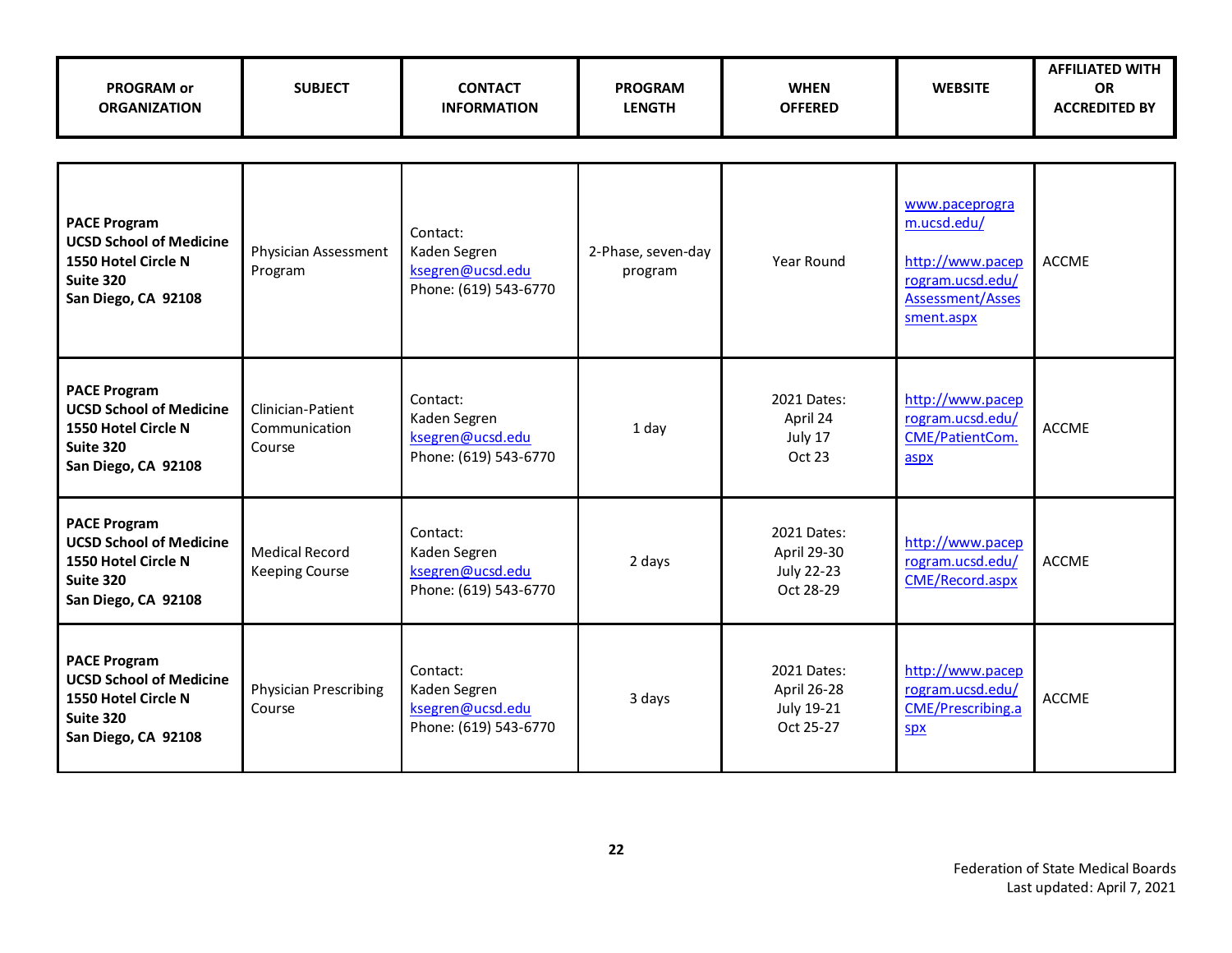| <b>PROGRAM or</b><br><b>ORGANIZATION</b>                                                                                | <b>SUBJECT</b>                                 | <b>CONTACT</b><br><b>INFORMATION</b>                                  | <b>PROGRAM</b><br><b>LENGTH</b> | <b>WHEN</b><br><b>OFFERED</b>                                | <b>WEBSITE</b>                                                                                          | <b>AFFILIATED WITH</b><br><b>OR</b><br><b>ACCREDITED BY</b> |
|-------------------------------------------------------------------------------------------------------------------------|------------------------------------------------|-----------------------------------------------------------------------|---------------------------------|--------------------------------------------------------------|---------------------------------------------------------------------------------------------------------|-------------------------------------------------------------|
|                                                                                                                         |                                                |                                                                       |                                 |                                                              |                                                                                                         |                                                             |
| <b>PACE Program</b><br><b>UCSD School of Medicine</b><br>1550 Hotel Circle N<br>Suite 320<br>San Diego, CA 92108        | Physician Assessment<br>Program                | Contact:<br>Kaden Segren<br>ksegren@ucsd.edu<br>Phone: (619) 543-6770 | 2-Phase, seven-day<br>program   | Year Round                                                   | www.paceprogra<br>m.ucsd.edu/<br>http://www.pacep<br>rogram.ucsd.edu/<br>Assessment/Asses<br>sment.aspx | <b>ACCME</b>                                                |
| <b>PACE Program</b><br><b>UCSD School of Medicine</b><br>1550 Hotel Circle N<br><b>Suite 320</b><br>San Diego, CA 92108 | Clinician-Patient<br>Communication<br>Course   | Contact:<br>Kaden Segren<br>ksegren@ucsd.edu<br>Phone: (619) 543-6770 | 1 day                           | 2021 Dates:<br>April 24<br>July 17<br>Oct 23                 | http://www.pacep<br>rogram.ucsd.edu/<br>CME/PatientCom.<br>aspx                                         | <b>ACCME</b>                                                |
| <b>PACE Program</b><br><b>UCSD School of Medicine</b><br>1550 Hotel Circle N<br>Suite 320<br>San Diego, CA 92108        | <b>Medical Record</b><br><b>Keeping Course</b> | Contact:<br>Kaden Segren<br>ksegren@ucsd.edu<br>Phone: (619) 543-6770 | 2 days                          | 2021 Dates:<br>April 29-30<br><b>July 22-23</b><br>Oct 28-29 | http://www.pacep<br>rogram.ucsd.edu/<br>CME/Record.aspx                                                 | <b>ACCME</b>                                                |
| <b>PACE Program</b><br><b>UCSD School of Medicine</b><br>1550 Hotel Circle N<br><b>Suite 320</b><br>San Diego, CA 92108 | <b>Physician Prescribing</b><br>Course         | Contact:<br>Kaden Segren<br>ksegren@ucsd.edu<br>Phone: (619) 543-6770 | 3 days                          | 2021 Dates:<br>April 26-28<br>July 19-21<br>Oct 25-27        | http://www.pacep<br>rogram.ucsd.edu/<br>CME/Prescribing.a<br>SDX                                        | <b>ACCME</b>                                                |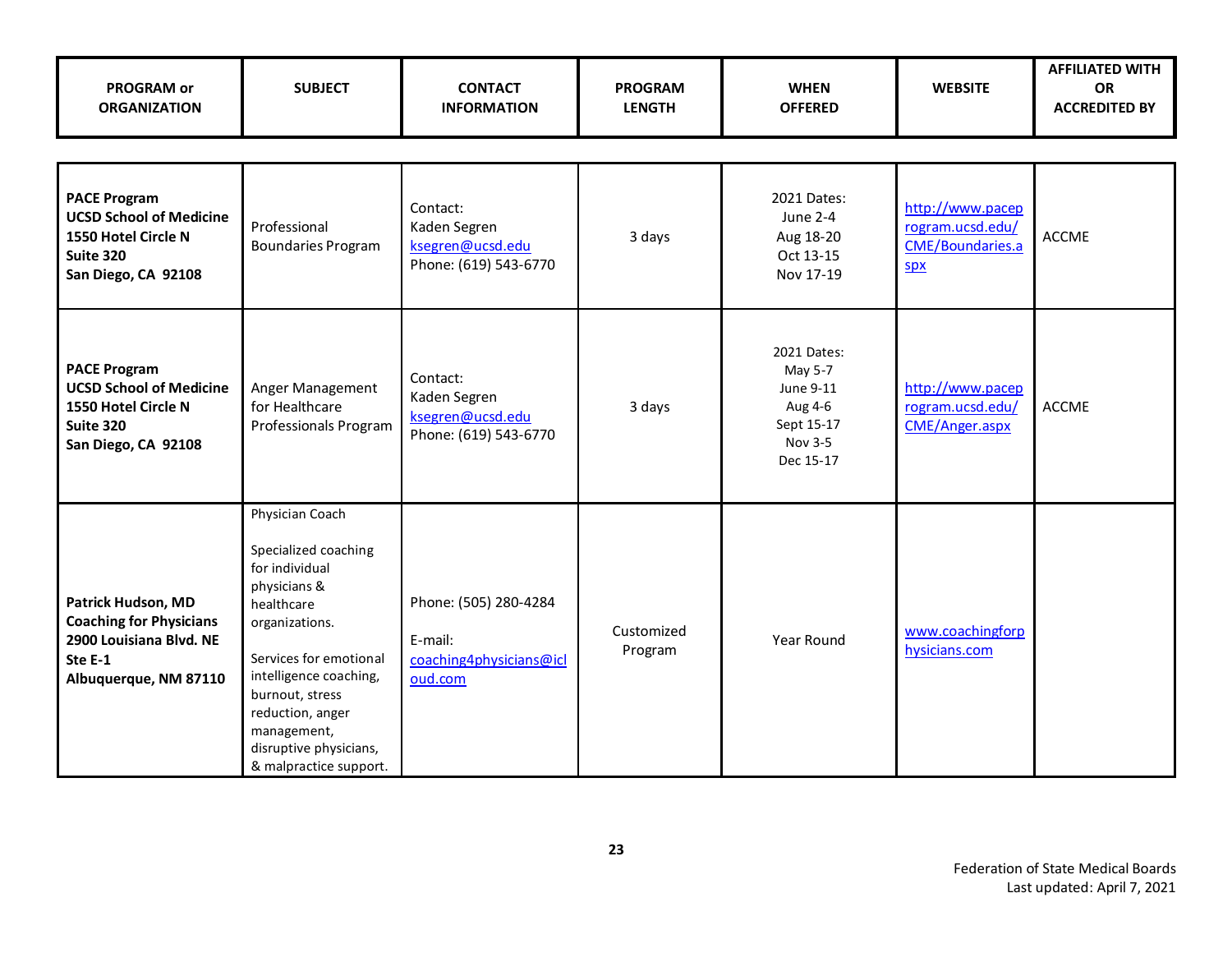| <b>PROGRAM or</b><br><b>ORGANIZATION</b>                                                                            | <b>SUBJECT</b>                                                                                                                                                                                                                                                          | <b>CONTACT</b><br><b>INFORMATION</b>                                   | <b>PROGRAM</b><br><b>LENGTH</b> | <b>WHEN</b><br><b>OFFERED</b>                                                        | <b>WEBSITE</b>                                                  | <b>AFFILIATED WITH</b><br><b>OR</b><br><b>ACCREDITED BY</b> |
|---------------------------------------------------------------------------------------------------------------------|-------------------------------------------------------------------------------------------------------------------------------------------------------------------------------------------------------------------------------------------------------------------------|------------------------------------------------------------------------|---------------------------------|--------------------------------------------------------------------------------------|-----------------------------------------------------------------|-------------------------------------------------------------|
|                                                                                                                     |                                                                                                                                                                                                                                                                         |                                                                        |                                 |                                                                                      |                                                                 |                                                             |
| <b>PACE Program</b><br><b>UCSD School of Medicine</b><br>1550 Hotel Circle N<br>Suite 320<br>San Diego, CA 92108    | Professional<br><b>Boundaries Program</b>                                                                                                                                                                                                                               | Contact:<br>Kaden Segren<br>ksegren@ucsd.edu<br>Phone: (619) 543-6770  | 3 days                          | 2021 Dates:<br><b>June 2-4</b><br>Aug 18-20<br>Oct 13-15<br>Nov 17-19                | http://www.pacep<br>rogram.ucsd.edu/<br>CME/Boundaries.a<br>Spx | <b>ACCME</b>                                                |
| <b>PACE Program</b><br><b>UCSD School of Medicine</b><br>1550 Hotel Circle N<br>Suite 320<br>San Diego, CA 92108    | Anger Management<br>for Healthcare<br>Professionals Program                                                                                                                                                                                                             | Contact:<br>Kaden Segren<br>ksegren@ucsd.edu<br>Phone: (619) 543-6770  | 3 days                          | 2021 Dates:<br>May 5-7<br>June 9-11<br>Aug 4-6<br>Sept 15-17<br>Nov 3-5<br>Dec 15-17 | http://www.pacep<br>rogram.ucsd.edu/<br>CME/Anger.aspx          | <b>ACCME</b>                                                |
| Patrick Hudson, MD<br><b>Coaching for Physicians</b><br>2900 Louisiana Blvd. NE<br>Ste E-1<br>Albuquerque, NM 87110 | Physician Coach<br>Specialized coaching<br>for individual<br>physicians &<br>healthcare<br>organizations.<br>Services for emotional<br>intelligence coaching,<br>burnout, stress<br>reduction, anger<br>management,<br>disruptive physicians,<br>& malpractice support. | Phone: (505) 280-4284<br>E-mail:<br>coaching4physicians@icl<br>oud.com | Customized<br>Program           | Year Round                                                                           | www.coachingforp<br>hysicians.com                               |                                                             |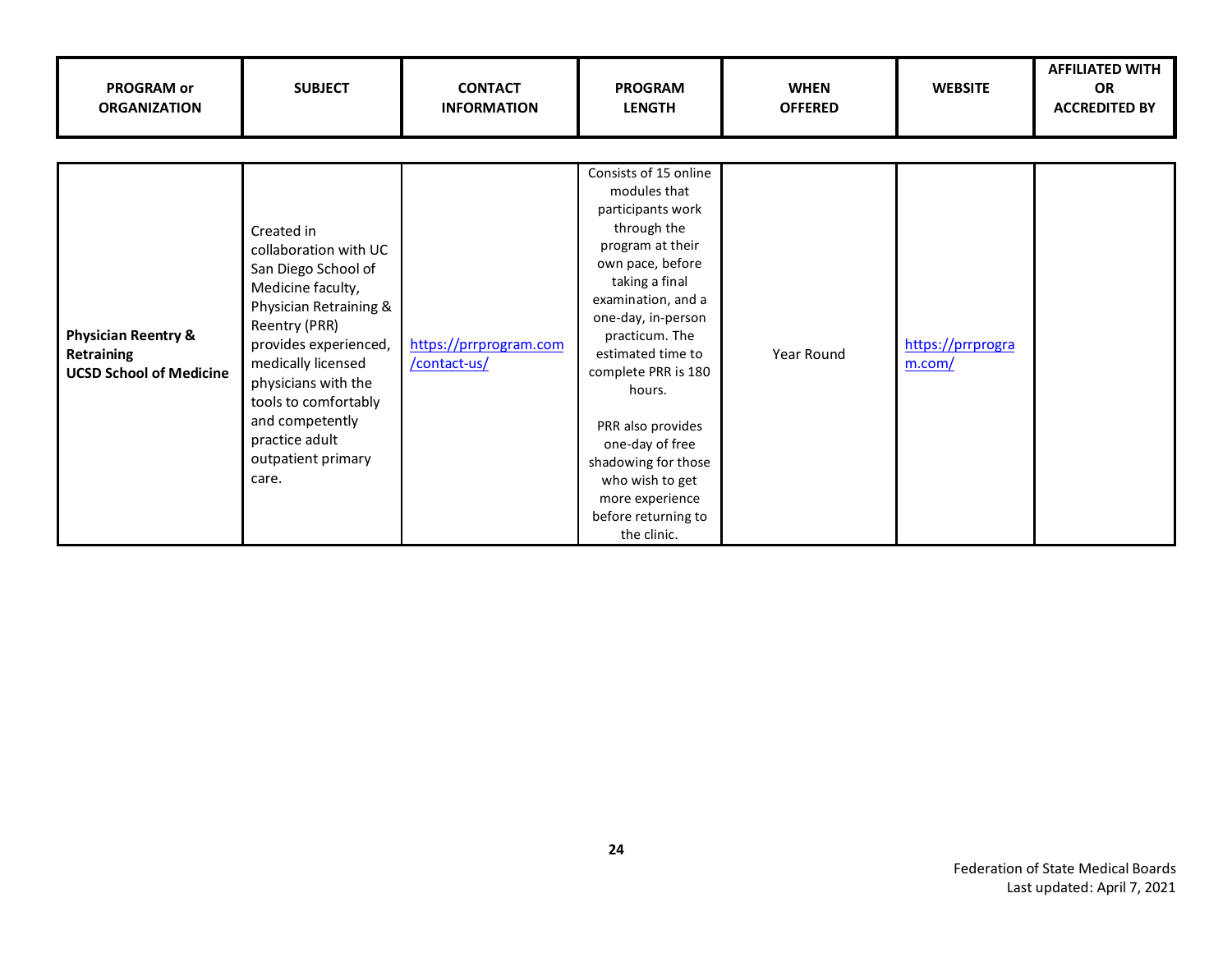| <b>PROGRAM or</b><br><b>ORGANIZATION</b>                                       | <b>SUBJECT</b>                                                                                                                                                                                                                                                                               | <b>CONTACT</b><br><b>INFORMATION</b>   | <b>PROGRAM</b><br><b>LENGTH</b>                                                                                                                                                                                                                                                                                                                                                                    | <b>WHEN</b><br><b>OFFERED</b> | <b>WEBSITE</b>              | <b>AFFILIATED WITH</b><br><b>OR</b><br><b>ACCREDITED BY</b> |
|--------------------------------------------------------------------------------|----------------------------------------------------------------------------------------------------------------------------------------------------------------------------------------------------------------------------------------------------------------------------------------------|----------------------------------------|----------------------------------------------------------------------------------------------------------------------------------------------------------------------------------------------------------------------------------------------------------------------------------------------------------------------------------------------------------------------------------------------------|-------------------------------|-----------------------------|-------------------------------------------------------------|
| <b>Physician Reentry &amp;</b><br>Retraining<br><b>UCSD School of Medicine</b> | Created in<br>collaboration with UC<br>San Diego School of<br>Medicine faculty,<br>Physician Retraining &<br>Reentry (PRR)<br>provides experienced,<br>medically licensed<br>physicians with the<br>tools to comfortably<br>and competently<br>practice adult<br>outpatient primary<br>care. | https://prrprogram.com<br>/contact-us/ | Consists of 15 online<br>modules that<br>participants work<br>through the<br>program at their<br>own pace, before<br>taking a final<br>examination, and a<br>one-day, in-person<br>practicum. The<br>estimated time to<br>complete PRR is 180<br>hours.<br>PRR also provides<br>one-day of free<br>shadowing for those<br>who wish to get<br>more experience<br>before returning to<br>the clinic. | Year Round                    | https://prrprogra<br>m.com/ |                                                             |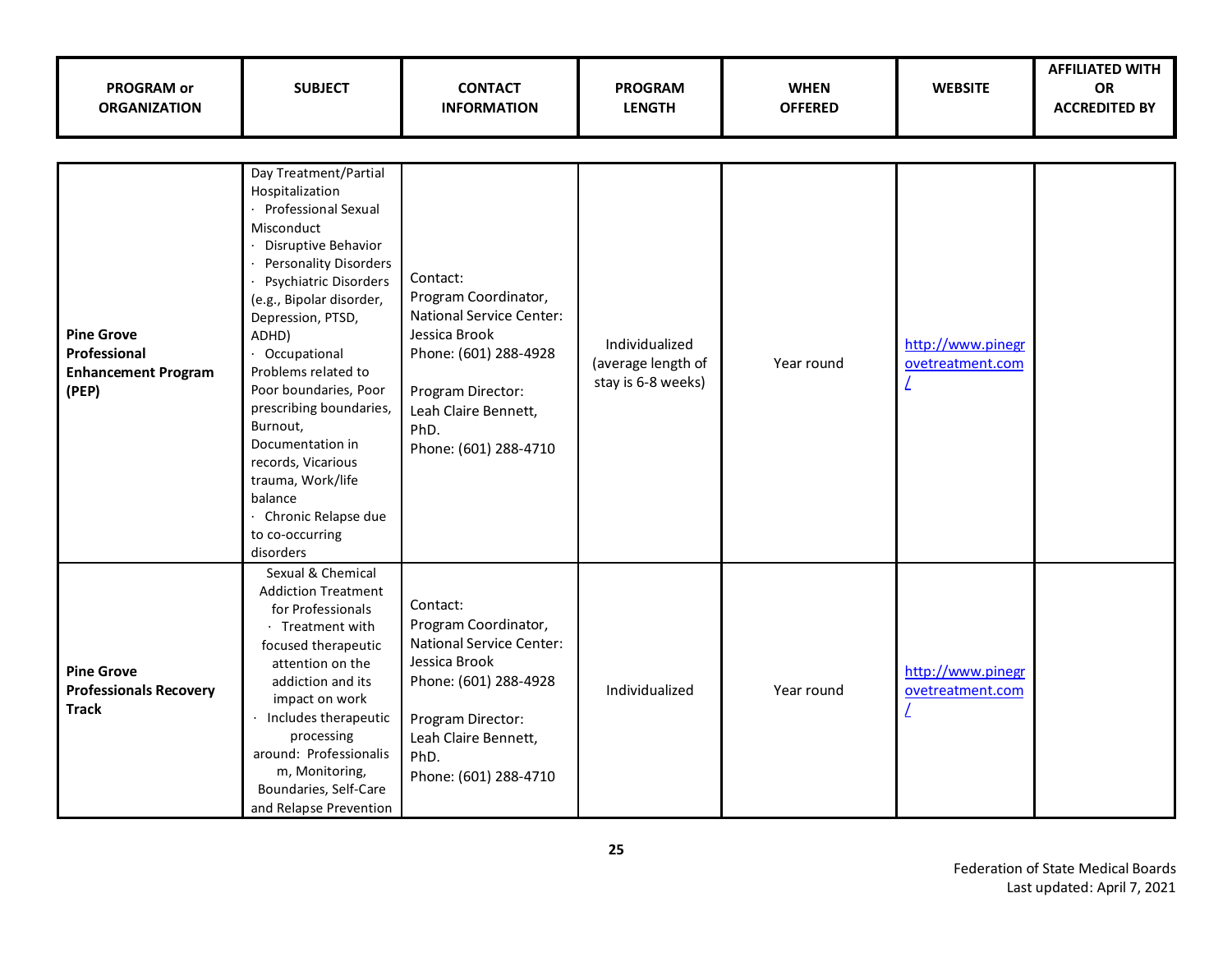| PROGRAM or<br><b>ORGANIZATION</b>                                        | <b>SUBJECT</b>                                                                                                                                                                                                                                                                                                                                                                                                                                                        | <b>CONTACT</b><br><b>INFORMATION</b>                                                                                                                                                        | <b>PROGRAM</b><br><b>LENGTH</b>                            | <b>WHEN</b><br><b>OFFERED</b> | <b>WEBSITE</b>                        | <b>AFFILIATED WITH</b><br>OR<br><b>ACCREDITED BY</b> |
|--------------------------------------------------------------------------|-----------------------------------------------------------------------------------------------------------------------------------------------------------------------------------------------------------------------------------------------------------------------------------------------------------------------------------------------------------------------------------------------------------------------------------------------------------------------|---------------------------------------------------------------------------------------------------------------------------------------------------------------------------------------------|------------------------------------------------------------|-------------------------------|---------------------------------------|------------------------------------------------------|
| <b>Pine Grove</b><br>Professional<br><b>Enhancement Program</b><br>(PEP) | Day Treatment/Partial<br>Hospitalization<br>· Professional Sexual<br>Misconduct<br>Disruptive Behavior<br><b>Personality Disorders</b><br>Psychiatric Disorders<br>(e.g., Bipolar disorder,<br>Depression, PTSD,<br>ADHD)<br>· Occupational<br>Problems related to<br>Poor boundaries, Poor<br>prescribing boundaries,<br>Burnout,<br>Documentation in<br>records, Vicarious<br>trauma, Work/life<br>balance<br>· Chronic Relapse due<br>to co-occurring<br>disorders | Contact:<br>Program Coordinator,<br><b>National Service Center:</b><br>Jessica Brook<br>Phone: (601) 288-4928<br>Program Director:<br>Leah Claire Bennett,<br>PhD.<br>Phone: (601) 288-4710 | Individualized<br>(average length of<br>stay is 6-8 weeks) | Year round                    | http://www.pinegr<br>ovetreatment.com |                                                      |
| <b>Pine Grove</b><br><b>Professionals Recovery</b><br><b>Track</b>       | Sexual & Chemical<br><b>Addiction Treatment</b><br>for Professionals<br>· Treatment with<br>focused therapeutic<br>attention on the<br>addiction and its<br>impact on work<br>Includes therapeutic<br>processing<br>around: Professionalis<br>m, Monitoring,<br>Boundaries, Self-Care<br>and Relapse Prevention                                                                                                                                                       | Contact:<br>Program Coordinator,<br><b>National Service Center:</b><br>Jessica Brook<br>Phone: (601) 288-4928<br>Program Director:<br>Leah Claire Bennett,<br>PhD.<br>Phone: (601) 288-4710 | Individualized                                             | Year round                    | http://www.pinegr<br>ovetreatment.com |                                                      |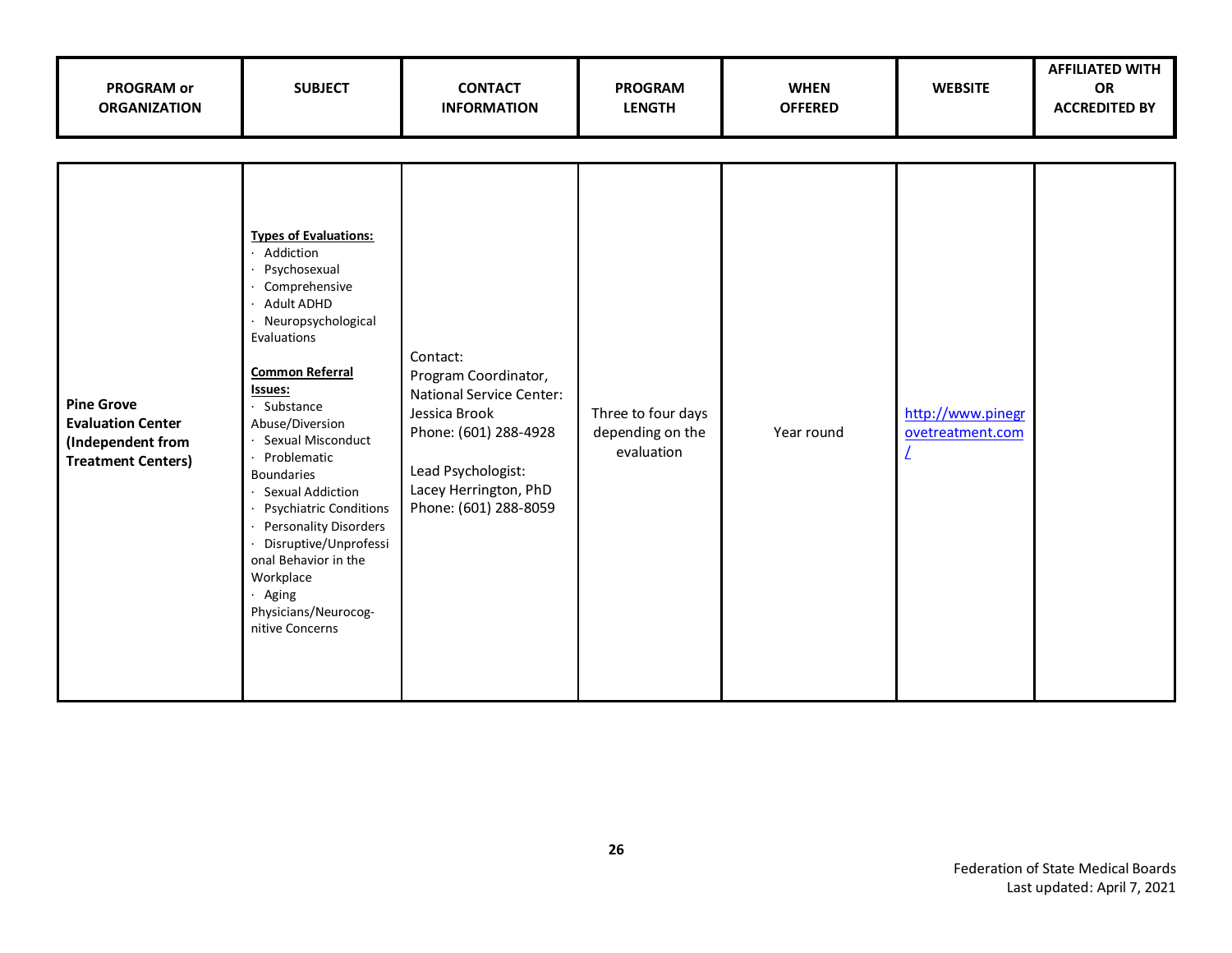| <b>PROGRAM or</b><br><b>ORGANIZATION</b>                                                        | <b>SUBJECT</b>                                                                                                                                                                                                                                                                                                                                                                                                                                                               | <b>CONTACT</b><br><b>INFORMATION</b>                                                                                                                                                  | <b>PROGRAM</b><br><b>LENGTH</b>                      | <b>WHEN</b><br><b>OFFERED</b> | <b>WEBSITE</b>                        | <b>AFFILIATED WITH</b><br>OR<br><b>ACCREDITED BY</b> |
|-------------------------------------------------------------------------------------------------|------------------------------------------------------------------------------------------------------------------------------------------------------------------------------------------------------------------------------------------------------------------------------------------------------------------------------------------------------------------------------------------------------------------------------------------------------------------------------|---------------------------------------------------------------------------------------------------------------------------------------------------------------------------------------|------------------------------------------------------|-------------------------------|---------------------------------------|------------------------------------------------------|
| <b>Pine Grove</b><br><b>Evaluation Center</b><br>(Independent from<br><b>Treatment Centers)</b> | <b>Types of Evaluations:</b><br>Addiction<br>Psychosexual<br>Comprehensive<br>Adult ADHD<br>· Neuropsychological<br>Evaluations<br><b>Common Referral</b><br>Issues:<br>· Substance<br>Abuse/Diversion<br>· Sexual Misconduct<br>Problematic<br><b>Boundaries</b><br>· Sexual Addiction<br><b>Psychiatric Conditions</b><br><b>Personality Disorders</b><br>Disruptive/Unprofessi<br>onal Behavior in the<br>Workplace<br>· Aging<br>Physicians/Neurocog-<br>nitive Concerns | Contact:<br>Program Coordinator,<br><b>National Service Center:</b><br>Jessica Brook<br>Phone: (601) 288-4928<br>Lead Psychologist:<br>Lacey Herrington, PhD<br>Phone: (601) 288-8059 | Three to four days<br>depending on the<br>evaluation | Year round                    | http://www.pinegr<br>ovetreatment.com |                                                      |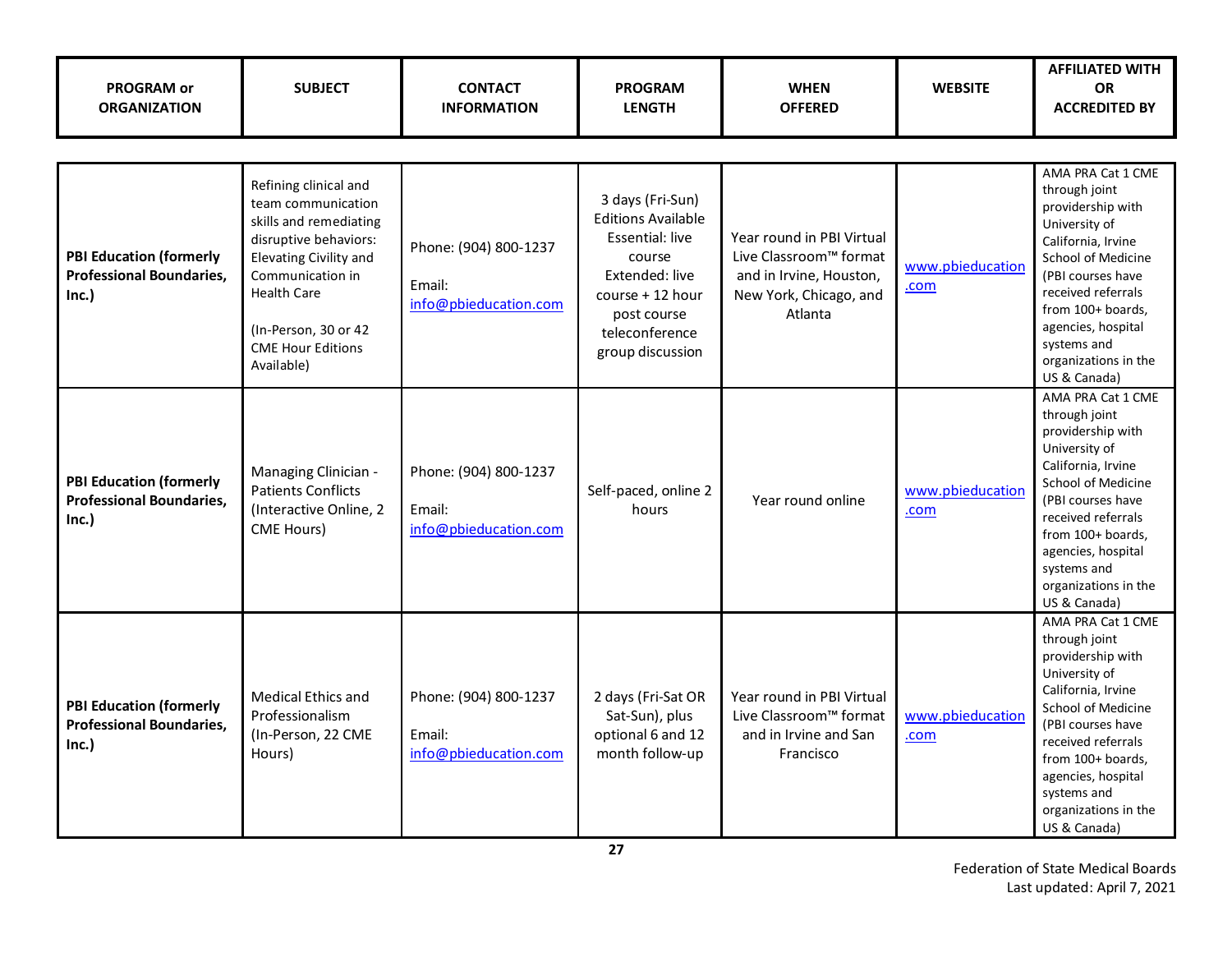| <b>PROGRAM or</b><br><b>ORGANIZATION</b>                                   | <b>SUBJECT</b>                                                                                                                                                                                                                       | <b>CONTACT</b><br><b>INFORMATION</b>                     | <b>PROGRAM</b><br><b>LENGTH</b>                                                                                                                                       | <b>WHEN</b><br><b>OFFERED</b>                                                                                       | <b>WEBSITE</b>           | <b>AFFILIATED WITH</b><br><b>OR</b><br><b>ACCREDITED BY</b>                                                                                                                                                                                                              |
|----------------------------------------------------------------------------|--------------------------------------------------------------------------------------------------------------------------------------------------------------------------------------------------------------------------------------|----------------------------------------------------------|-----------------------------------------------------------------------------------------------------------------------------------------------------------------------|---------------------------------------------------------------------------------------------------------------------|--------------------------|--------------------------------------------------------------------------------------------------------------------------------------------------------------------------------------------------------------------------------------------------------------------------|
| <b>PBI Education (formerly</b><br><b>Professional Boundaries,</b><br>Inc.) | Refining clinical and<br>team communication<br>skills and remediating<br>disruptive behaviors:<br>Elevating Civility and<br>Communication in<br><b>Health Care</b><br>(In-Person, 30 or 42<br><b>CME Hour Editions</b><br>Available) | Phone: (904) 800-1237<br>Email:<br>info@pbieducation.com | 3 days (Fri-Sun)<br><b>Editions Available</b><br>Essential: live<br>course<br>Extended: live<br>course + 12 hour<br>post course<br>teleconference<br>group discussion | Year round in PBI Virtual<br>Live Classroom™ format<br>and in Irvine, Houston,<br>New York, Chicago, and<br>Atlanta | www.pbieducation<br>.com | AMA PRA Cat 1 CME<br>through joint<br>providership with<br>University of<br>California, Irvine<br><b>School of Medicine</b><br>(PBI courses have<br>received referrals<br>from 100+ boards,<br>agencies, hospital<br>systems and<br>organizations in the<br>US & Canada) |
| <b>PBI Education (formerly</b><br><b>Professional Boundaries,</b><br>Inc.) | Managing Clinician -<br><b>Patients Conflicts</b><br>(Interactive Online, 2<br>CME Hours)                                                                                                                                            | Phone: (904) 800-1237<br>Email:<br>info@pbieducation.com | Self-paced, online 2<br>hours                                                                                                                                         | Year round online                                                                                                   | www.pbieducation<br>.com | AMA PRA Cat 1 CME<br>through joint<br>providership with<br>University of<br>California, Irvine<br><b>School of Medicine</b><br>(PBI courses have<br>received referrals<br>from 100+ boards,<br>agencies, hospital<br>systems and<br>organizations in the<br>US & Canada) |
| <b>PBI Education (formerly</b><br><b>Professional Boundaries,</b><br>Inc.) | <b>Medical Ethics and</b><br>Professionalism<br>(In-Person, 22 CME<br>Hours)                                                                                                                                                         | Phone: (904) 800-1237<br>Email:<br>info@pbieducation.com | 2 days (Fri-Sat OR<br>Sat-Sun), plus<br>optional 6 and 12<br>month follow-up                                                                                          | Year round in PBI Virtual<br>Live Classroom™ format<br>and in Irvine and San<br>Francisco                           | www.pbieducation<br>.com | AMA PRA Cat 1 CME<br>through joint<br>providership with<br>University of<br>California, Irvine<br>School of Medicine<br>(PBI courses have<br>received referrals<br>from 100+ boards,<br>agencies, hospital<br>systems and<br>organizations in the<br>US & Canada)        |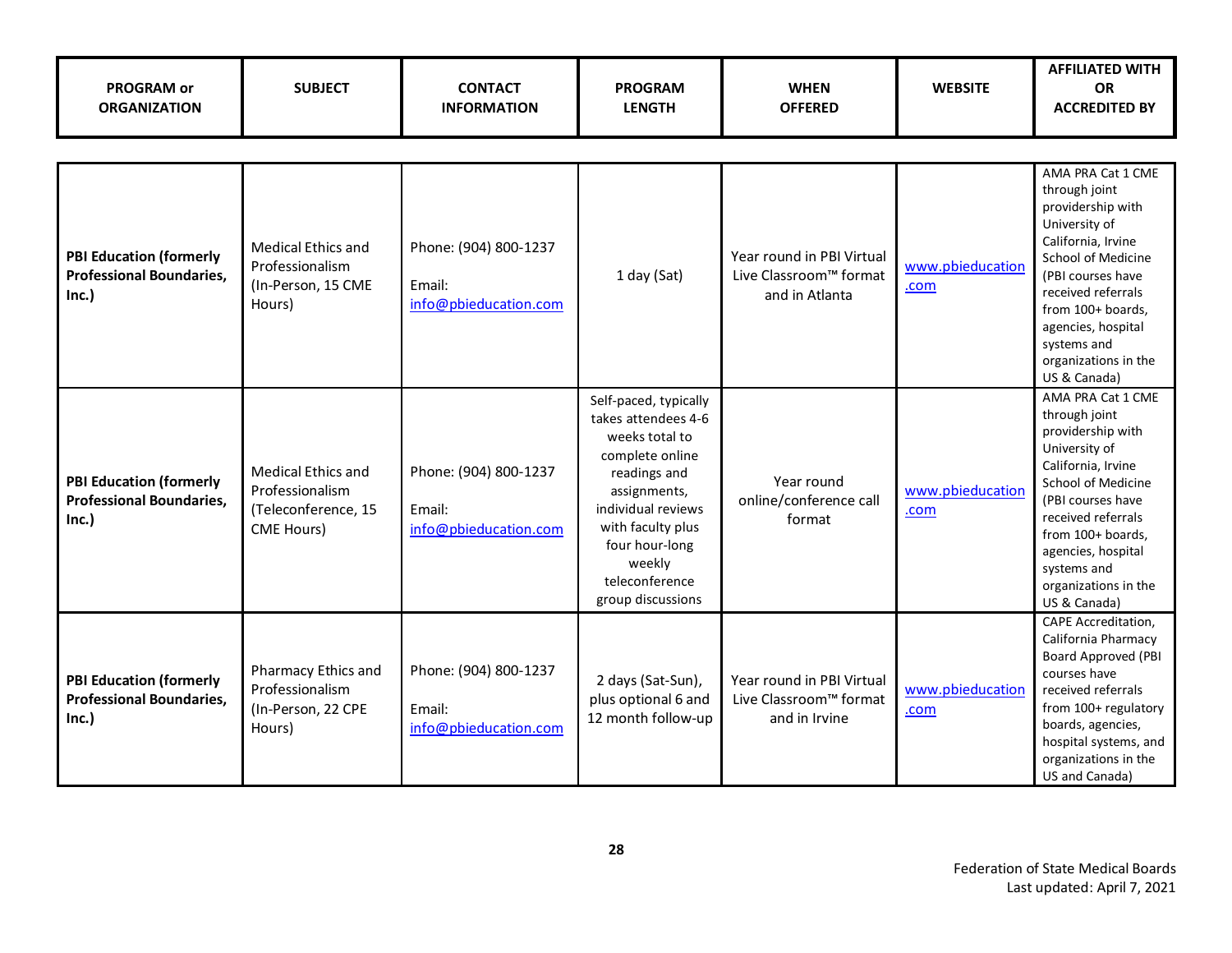| <b>PROGRAM or</b><br><b>ORGANIZATION</b>                                  | <b>SUBJECT</b>                                                                           | <b>CONTACT</b><br><b>INFORMATION</b>                     | <b>PROGRAM</b><br><b>LENGTH</b>                                                                                                                                                                                                 | <b>WHEN</b><br><b>OFFERED</b>                                         | <b>WEBSITE</b>           | <b>AFFILIATED WITH</b><br><b>OR</b><br><b>ACCREDITED BY</b>                                                                                                                                                                                                       |  |  |
|---------------------------------------------------------------------------|------------------------------------------------------------------------------------------|----------------------------------------------------------|---------------------------------------------------------------------------------------------------------------------------------------------------------------------------------------------------------------------------------|-----------------------------------------------------------------------|--------------------------|-------------------------------------------------------------------------------------------------------------------------------------------------------------------------------------------------------------------------------------------------------------------|--|--|
|                                                                           |                                                                                          |                                                          |                                                                                                                                                                                                                                 |                                                                       |                          |                                                                                                                                                                                                                                                                   |  |  |
| <b>PBI Education (formerly</b><br><b>Professional Boundaries,</b><br>Inc. | Medical Ethics and<br>Professionalism<br>(In-Person, 15 CME<br>Hours)                    | Phone: (904) 800-1237<br>Email:<br>info@pbieducation.com | 1 day (Sat)                                                                                                                                                                                                                     | Year round in PBI Virtual<br>Live Classroom™ format<br>and in Atlanta | www.pbieducation<br>.com | AMA PRA Cat 1 CME<br>through joint<br>providership with<br>University of<br>California, Irvine<br>School of Medicine<br>(PBI courses have<br>received referrals<br>from 100+ boards,<br>agencies, hospital<br>systems and<br>organizations in the<br>US & Canada) |  |  |
| <b>PBI Education (formerly</b><br><b>Professional Boundaries,</b><br>Inc. | <b>Medical Ethics and</b><br>Professionalism<br>(Teleconference, 15<br><b>CME Hours)</b> | Phone: (904) 800-1237<br>Email:<br>info@pbieducation.com | Self-paced, typically<br>takes attendees 4-6<br>weeks total to<br>complete online<br>readings and<br>assignments,<br>individual reviews<br>with faculty plus<br>four hour-long<br>weekly<br>teleconference<br>group discussions | Year round<br>online/conference call<br>format                        | www.pbieducation<br>.com | AMA PRA Cat 1 CME<br>through joint<br>providership with<br>University of<br>California, Irvine<br>School of Medicine<br>(PBI courses have<br>received referrals<br>from 100+ boards,<br>agencies, hospital<br>systems and<br>organizations in the<br>US & Canada) |  |  |
| <b>PBI Education (formerly</b><br><b>Professional Boundaries,</b><br>Inc. | Pharmacy Ethics and<br>Professionalism<br>(In-Person, 22 CPE<br>Hours)                   | Phone: (904) 800-1237<br>Email:<br>info@pbieducation.com | 2 days (Sat-Sun),<br>plus optional 6 and<br>12 month follow-up                                                                                                                                                                  | Year round in PBI Virtual<br>Live Classroom™ format<br>and in Irvine  | www.pbieducation<br>.com | <b>CAPE Accreditation,</b><br>California Pharmacy<br><b>Board Approved (PBI</b><br>courses have<br>received referrals<br>from 100+ regulatory<br>boards, agencies,<br>hospital systems, and<br>organizations in the<br>US and Canada)                             |  |  |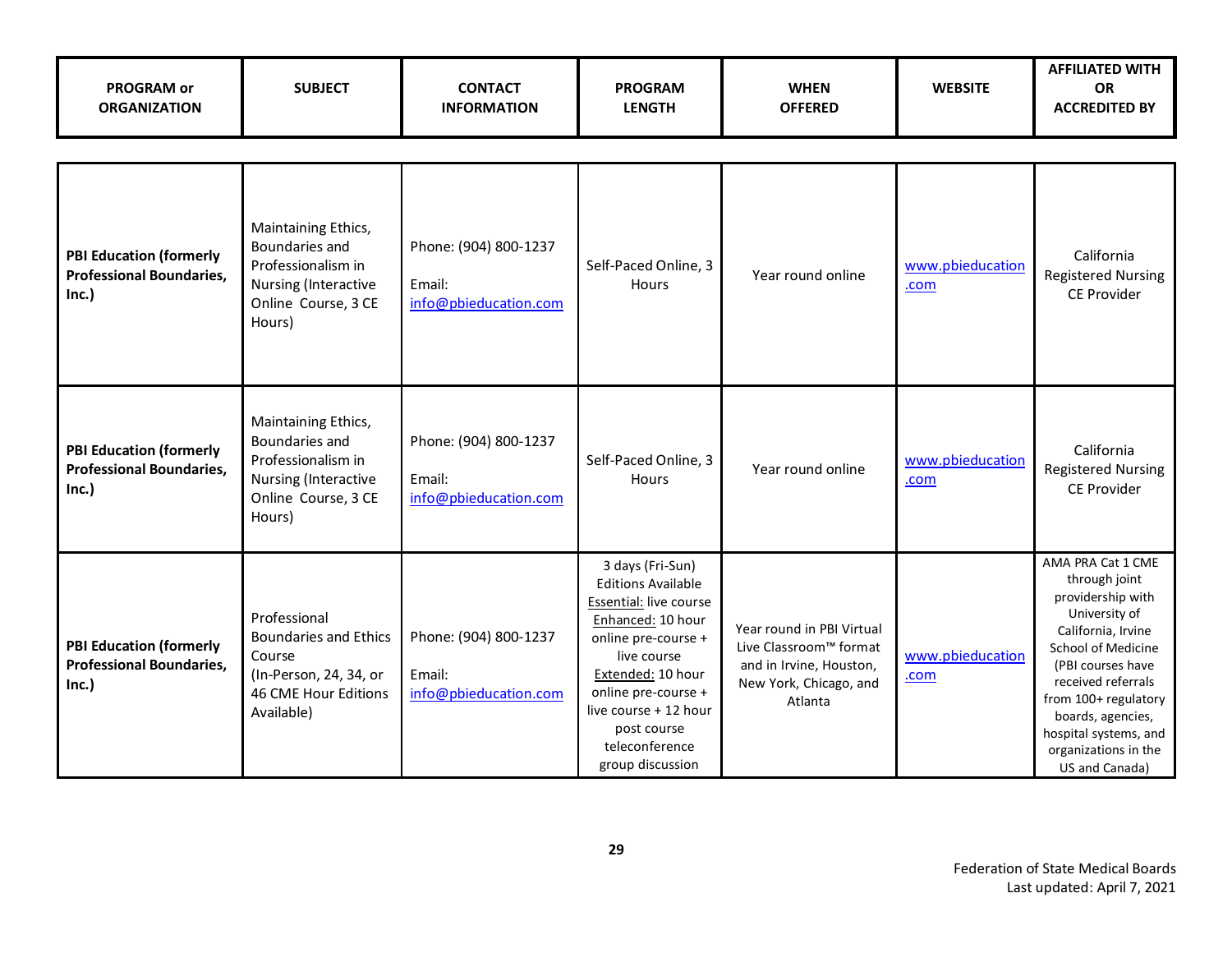| <b>PROGRAM or</b><br><b>ORGANIZATION</b>                                   | <b>SUBJECT</b>                                                                                                         | <b>CONTACT</b><br><b>INFORMATION</b>                     | <b>PROGRAM</b><br><b>LENGTH</b>                                                                                                                                                                                                                              | <b>WHEN</b><br><b>OFFERED</b>                                                                                       | <b>WEBSITE</b>           | <b>AFFILIATED WITH</b><br><b>OR</b><br><b>ACCREDITED BY</b>                                                                                                                                                                                                                     |  |  |
|----------------------------------------------------------------------------|------------------------------------------------------------------------------------------------------------------------|----------------------------------------------------------|--------------------------------------------------------------------------------------------------------------------------------------------------------------------------------------------------------------------------------------------------------------|---------------------------------------------------------------------------------------------------------------------|--------------------------|---------------------------------------------------------------------------------------------------------------------------------------------------------------------------------------------------------------------------------------------------------------------------------|--|--|
|                                                                            |                                                                                                                        |                                                          |                                                                                                                                                                                                                                                              |                                                                                                                     |                          |                                                                                                                                                                                                                                                                                 |  |  |
| <b>PBI Education (formerly</b><br><b>Professional Boundaries,</b><br>Inc.) | Maintaining Ethics,<br>Boundaries and<br>Professionalism in<br>Nursing (Interactive<br>Online Course, 3 CE<br>Hours)   | Phone: (904) 800-1237<br>Email:<br>info@pbieducation.com | Self-Paced Online, 3<br><b>Hours</b>                                                                                                                                                                                                                         | Year round online                                                                                                   | www.pbieducation<br>.com | California<br><b>Registered Nursing</b><br><b>CE Provider</b>                                                                                                                                                                                                                   |  |  |
| <b>PBI Education (formerly</b><br><b>Professional Boundaries,</b><br>Inc.  | Maintaining Ethics,<br>Boundaries and<br>Professionalism in<br>Nursing (Interactive<br>Online Course, 3 CE<br>Hours)   | Phone: (904) 800-1237<br>Email:<br>info@pbieducation.com | Self-Paced Online, 3<br><b>Hours</b>                                                                                                                                                                                                                         | Year round online                                                                                                   | www.pbieducation<br>.com | California<br><b>Registered Nursing</b><br><b>CE Provider</b>                                                                                                                                                                                                                   |  |  |
| <b>PBI Education (formerly</b><br><b>Professional Boundaries,</b><br>Inc.) | Professional<br><b>Boundaries and Ethics</b><br>Course<br>(In-Person, 24, 34, or<br>46 CME Hour Editions<br>Available) | Phone: (904) 800-1237<br>Email:<br>info@pbieducation.com | 3 days (Fri-Sun)<br><b>Editions Available</b><br>Essential: live course<br>Enhanced: 10 hour<br>online pre-course +<br>live course<br>Extended: 10 hour<br>online pre-course +<br>live course + 12 hour<br>post course<br>teleconference<br>group discussion | Year round in PBI Virtual<br>Live Classroom™ format<br>and in Irvine, Houston,<br>New York, Chicago, and<br>Atlanta | www.pbieducation<br>.com | AMA PRA Cat 1 CME<br>through joint<br>providership with<br>University of<br>California, Irvine<br>School of Medicine<br>(PBI courses have<br>received referrals<br>from 100+ regulatory<br>boards, agencies,<br>hospital systems, and<br>organizations in the<br>US and Canada) |  |  |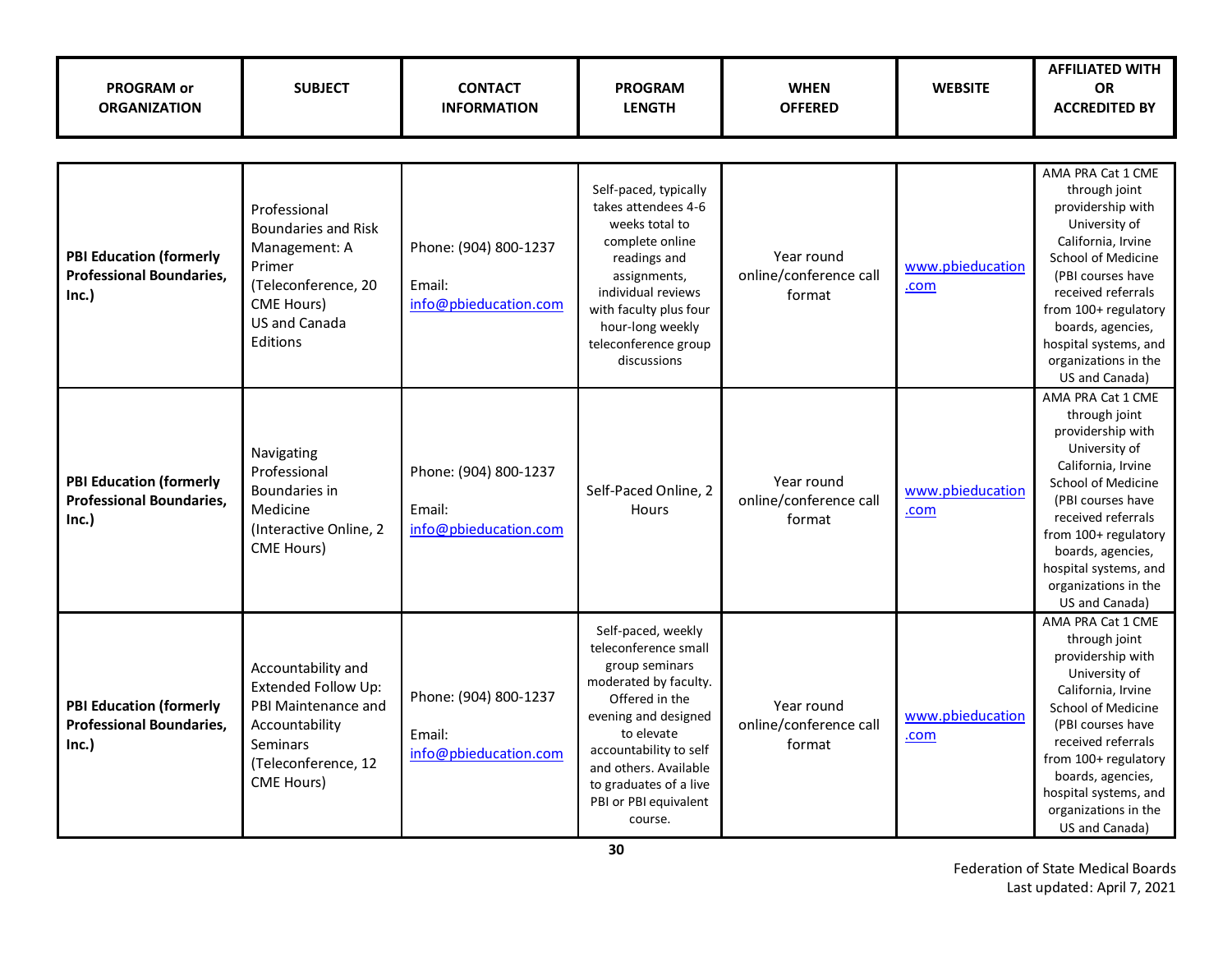| <b>PROGRAM or</b><br><b>ORGANIZATION</b>                                   | <b>SUBJECT</b>                                                                                                                                        | <b>CONTACT</b><br><b>INFORMATION</b>                     | <b>PROGRAM</b><br><b>LENGTH</b>                                                                                                                                                                                                                                | <b>WHEN</b><br><b>OFFERED</b>                  | <b>WEBSITE</b>           | <b>AFFILIATED WITH</b><br><b>OR</b><br><b>ACCREDITED BY</b>                                                                                                                                                                                                                            |
|----------------------------------------------------------------------------|-------------------------------------------------------------------------------------------------------------------------------------------------------|----------------------------------------------------------|----------------------------------------------------------------------------------------------------------------------------------------------------------------------------------------------------------------------------------------------------------------|------------------------------------------------|--------------------------|----------------------------------------------------------------------------------------------------------------------------------------------------------------------------------------------------------------------------------------------------------------------------------------|
|                                                                            |                                                                                                                                                       |                                                          |                                                                                                                                                                                                                                                                |                                                |                          |                                                                                                                                                                                                                                                                                        |
| <b>PBI Education (formerly</b><br><b>Professional Boundaries,</b><br>Inc.) | Professional<br><b>Boundaries and Risk</b><br>Management: A<br>Primer<br>(Teleconference, 20<br><b>CME Hours)</b><br><b>US and Canada</b><br>Editions | Phone: (904) 800-1237<br>Email:<br>info@pbieducation.com | Self-paced, typically<br>takes attendees 4-6<br>weeks total to<br>complete online<br>readings and<br>assignments,<br>individual reviews<br>with faculty plus four<br>hour-long weekly<br>teleconference group<br>discussions                                   | Year round<br>online/conference call<br>format | www.pbieducation<br>.com | AMA PRA Cat 1 CME<br>through joint<br>providership with<br>University of<br>California, Irvine<br>School of Medicine<br>(PBI courses have<br>received referrals<br>from 100+ regulatory<br>boards, agencies,<br>hospital systems, and<br>organizations in the<br>US and Canada)        |
| <b>PBI Education (formerly</b><br><b>Professional Boundaries,</b><br>Inc.) | Navigating<br>Professional<br>Boundaries in<br>Medicine<br>(Interactive Online, 2<br>CME Hours)                                                       | Phone: (904) 800-1237<br>Email:<br>info@pbieducation.com | Self-Paced Online, 2<br><b>Hours</b>                                                                                                                                                                                                                           | Year round<br>online/conference call<br>format | www.pbieducation<br>.com | AMA PRA Cat 1 CME<br>through joint<br>providership with<br>University of<br>California, Irvine<br><b>School of Medicine</b><br>(PBI courses have<br>received referrals<br>from 100+ regulatory<br>boards, agencies,<br>hospital systems, and<br>organizations in the<br>US and Canada) |
| <b>PBI Education (formerly</b><br><b>Professional Boundaries,</b><br>Inc.) | Accountability and<br>Extended Follow Up:<br>PBI Maintenance and<br>Accountability<br><b>Seminars</b><br>(Teleconference, 12<br><b>CME Hours</b> )    | Phone: (904) 800-1237<br>Email:<br>info@pbieducation.com | Self-paced, weekly<br>teleconference small<br>group seminars<br>moderated by faculty.<br>Offered in the<br>evening and designed<br>to elevate<br>accountability to self<br>and others. Available<br>to graduates of a live<br>PBI or PBI equivalent<br>course. | Year round<br>online/conference call<br>format | www.pbieducation<br>.com | AMA PRA Cat 1 CME<br>through joint<br>providership with<br>University of<br>California, Irvine<br><b>School of Medicine</b><br>(PBI courses have<br>received referrals<br>from 100+ regulatory<br>boards, agencies,<br>hospital systems, and<br>organizations in the<br>US and Canada) |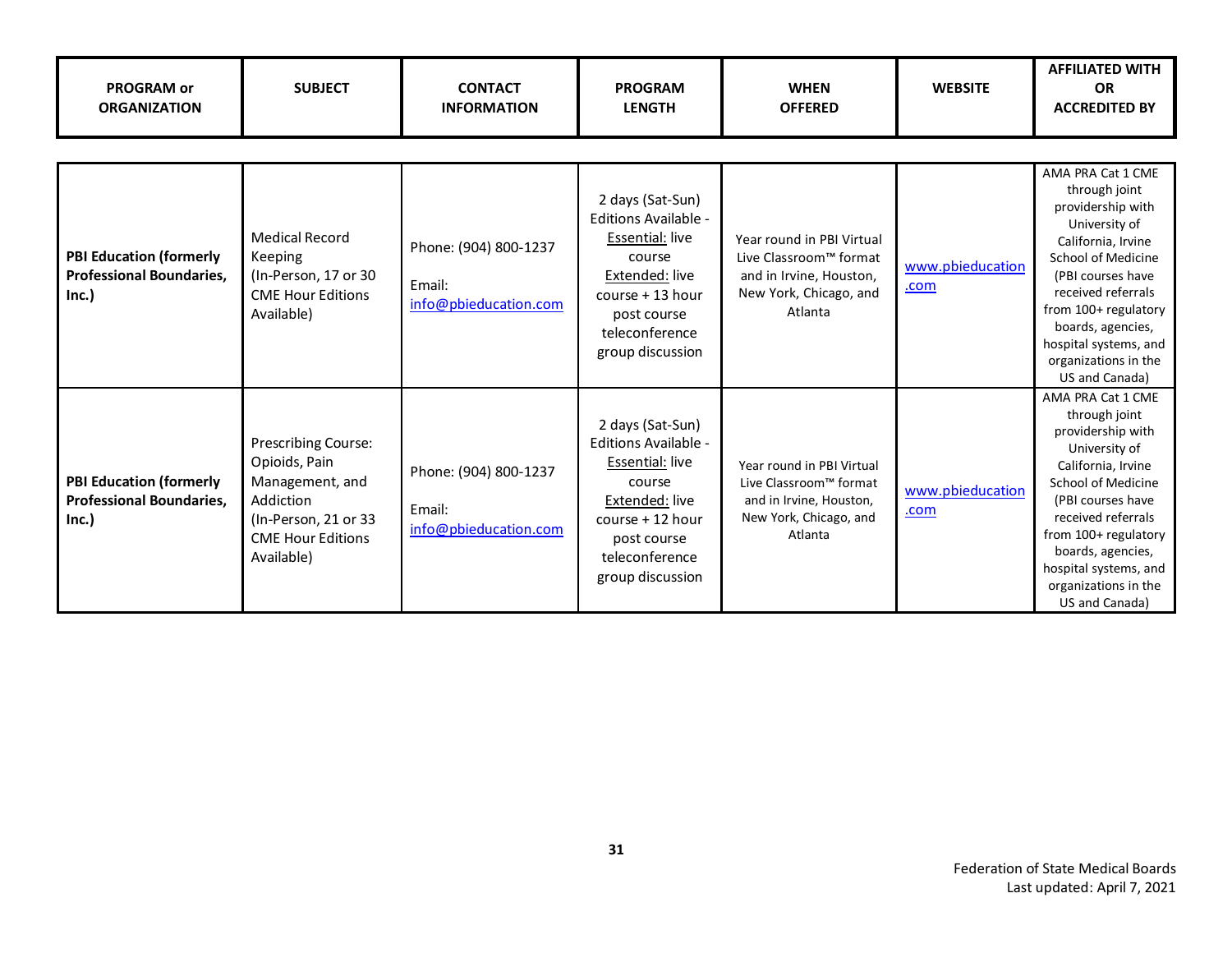| <b>PROGRAM or</b><br><b>ORGANIZATION</b>                                   | <b>SUBJECT</b>                                                                                                                         | <b>CONTACT</b><br><b>INFORMATION</b>                     | <b>PROGRAM</b><br><b>LENGTH</b>                                                                                                                                  | <b>WHEN</b><br><b>OFFERED</b>                                                                                       | <b>WEBSITE</b>           | <b>AFFILIATED WITH</b><br><b>OR</b><br><b>ACCREDITED BY</b>                                                                                                                                                                                                                            |
|----------------------------------------------------------------------------|----------------------------------------------------------------------------------------------------------------------------------------|----------------------------------------------------------|------------------------------------------------------------------------------------------------------------------------------------------------------------------|---------------------------------------------------------------------------------------------------------------------|--------------------------|----------------------------------------------------------------------------------------------------------------------------------------------------------------------------------------------------------------------------------------------------------------------------------------|
|                                                                            |                                                                                                                                        |                                                          |                                                                                                                                                                  |                                                                                                                     |                          |                                                                                                                                                                                                                                                                                        |
| <b>PBI Education (formerly</b><br><b>Professional Boundaries.</b><br>Inc.) | <b>Medical Record</b><br>Keeping<br>(In-Person, 17 or 30<br><b>CME Hour Editions</b><br>Available)                                     | Phone: (904) 800-1237<br>Email:<br>info@pbieducation.com | 2 days (Sat-Sun)<br>Editions Available -<br>Essential: live<br>course<br>Extended: live<br>course + 13 hour<br>post course<br>teleconference<br>group discussion | Year round in PBI Virtual<br>Live Classroom™ format<br>and in Irvine, Houston,<br>New York, Chicago, and<br>Atlanta | www.pbieducation<br>.com | AMA PRA Cat 1 CME<br>through joint<br>providership with<br>University of<br>California, Irvine<br><b>School of Medicine</b><br>(PBI courses have<br>received referrals<br>from 100+ regulatory<br>boards, agencies,<br>hospital systems, and<br>organizations in the<br>US and Canada) |
| <b>PBI Education (formerly</b><br><b>Professional Boundaries,</b><br>Inc.) | Prescribing Course:<br>Opioids, Pain<br>Management, and<br>Addiction<br>(In-Person, 21 or 33<br><b>CME Hour Editions</b><br>Available) | Phone: (904) 800-1237<br>Email:<br>info@pbieducation.com | 2 days (Sat-Sun)<br>Editions Available -<br>Essential: live<br>course<br>Extended: live<br>course + 12 hour<br>post course<br>teleconference<br>group discussion | Year round in PBI Virtual<br>Live Classroom™ format<br>and in Irvine, Houston,<br>New York, Chicago, and<br>Atlanta | www.pbieducation<br>.com | AMA PRA Cat 1 CME<br>through joint<br>providership with<br>University of<br>California, Irvine<br><b>School of Medicine</b><br>(PBI courses have<br>received referrals<br>from 100+ regulatory<br>boards, agencies,<br>hospital systems, and<br>organizations in the<br>US and Canada) |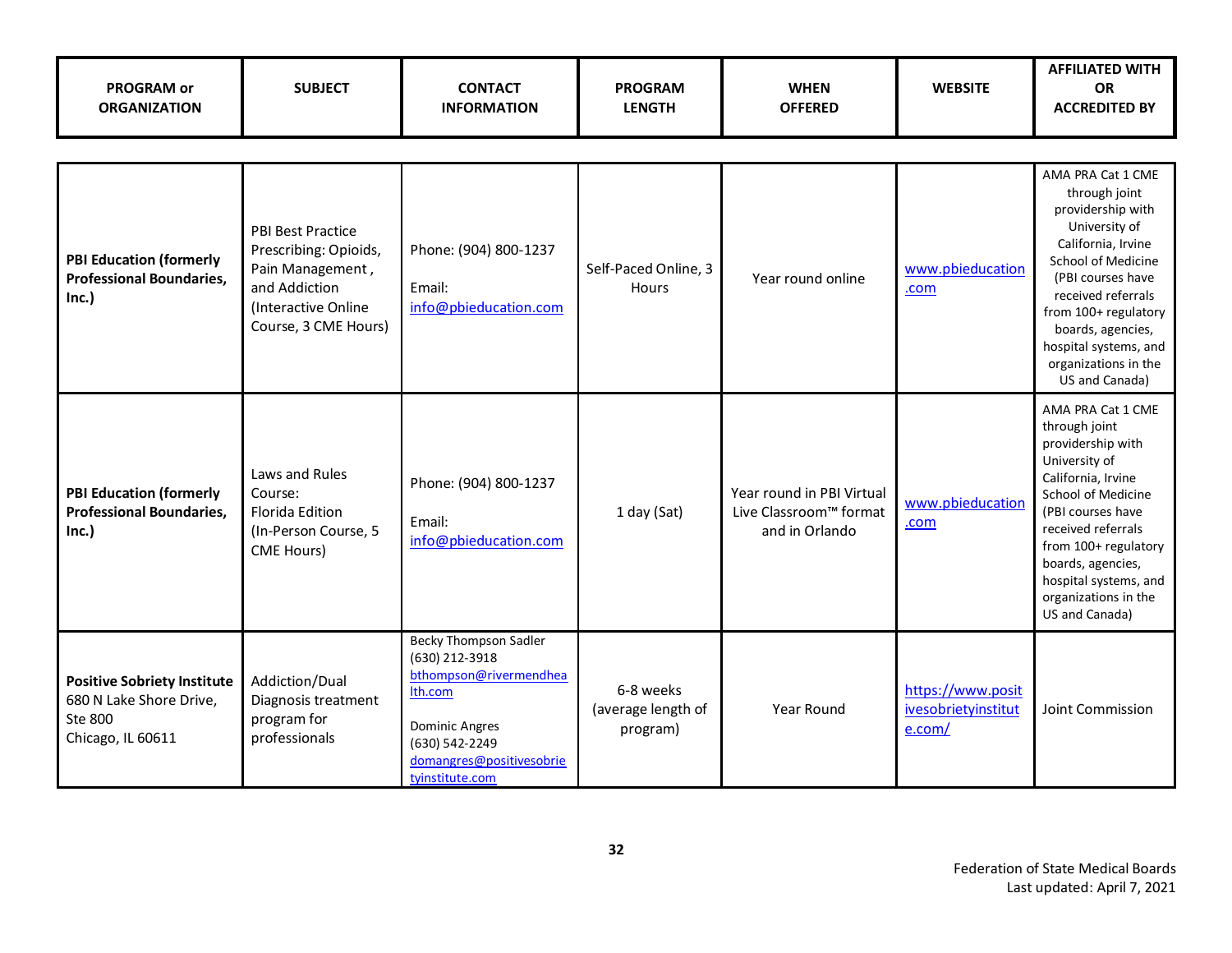| <b>PROGRAM or</b><br><b>ORGANIZATION</b>                                                      | <b>SUBJECT</b>                                                                                                                        | <b>CONTACT</b><br><b>INFORMATION</b>                                                                                                                                          | <b>PROGRAM</b><br><b>LENGTH</b>             | <b>WHEN</b><br><b>OFFERED</b>                                         | <b>WEBSITE</b>                                     | <b>AFFILIATED WITH</b><br><b>OR</b><br><b>ACCREDITED BY</b>                                                                                                                                                                                                                     |  |  |
|-----------------------------------------------------------------------------------------------|---------------------------------------------------------------------------------------------------------------------------------------|-------------------------------------------------------------------------------------------------------------------------------------------------------------------------------|---------------------------------------------|-----------------------------------------------------------------------|----------------------------------------------------|---------------------------------------------------------------------------------------------------------------------------------------------------------------------------------------------------------------------------------------------------------------------------------|--|--|
|                                                                                               |                                                                                                                                       |                                                                                                                                                                               |                                             |                                                                       |                                                    |                                                                                                                                                                                                                                                                                 |  |  |
| <b>PBI Education (formerly</b><br><b>Professional Boundaries,</b><br>Inc.)                    | <b>PBI Best Practice</b><br>Prescribing: Opioids,<br>Pain Management,<br>and Addiction<br>(Interactive Online<br>Course, 3 CME Hours) | Phone: (904) 800-1237<br>Email:<br>info@pbieducation.com                                                                                                                      | Self-Paced Online, 3<br>Hours               | Year round online                                                     | www.pbieducation<br>.com                           | AMA PRA Cat 1 CME<br>through joint<br>providership with<br>University of<br>California, Irvine<br>School of Medicine<br>(PBI courses have<br>received referrals<br>from 100+ regulatory<br>boards, agencies,<br>hospital systems, and<br>organizations in the<br>US and Canada) |  |  |
| <b>PBI Education (formerly</b><br><b>Professional Boundaries,</b><br>Inc.)                    | Laws and Rules<br>Course:<br>Florida Edition<br>(In-Person Course, 5<br><b>CME Hours)</b>                                             | Phone: (904) 800-1237<br>Email:<br>info@pbieducation.com                                                                                                                      | 1 day (Sat)                                 | Year round in PBI Virtual<br>Live Classroom™ format<br>and in Orlando | www.pbieducation<br>.com                           | AMA PRA Cat 1 CME<br>through joint<br>providership with<br>University of<br>California, Irvine<br>School of Medicine<br>(PBI courses have<br>received referrals<br>from 100+ regulatory<br>boards, agencies,<br>hospital systems, and<br>organizations in the<br>US and Canada) |  |  |
| <b>Positive Sobriety Institute</b><br>680 N Lake Shore Drive,<br>Ste 800<br>Chicago, IL 60611 | Addiction/Dual<br>Diagnosis treatment<br>program for<br>professionals                                                                 | <b>Becky Thompson Sadler</b><br>(630) 212-3918<br>bthompson@rivermendhea<br>Ith.com<br><b>Dominic Angres</b><br>(630) 542-2249<br>domangres@positivesobrie<br>tyinstitute.com | 6-8 weeks<br>(average length of<br>program) | Year Round                                                            | https://www.posit<br>ivesobrietyinstitut<br>e.com/ | Joint Commission                                                                                                                                                                                                                                                                |  |  |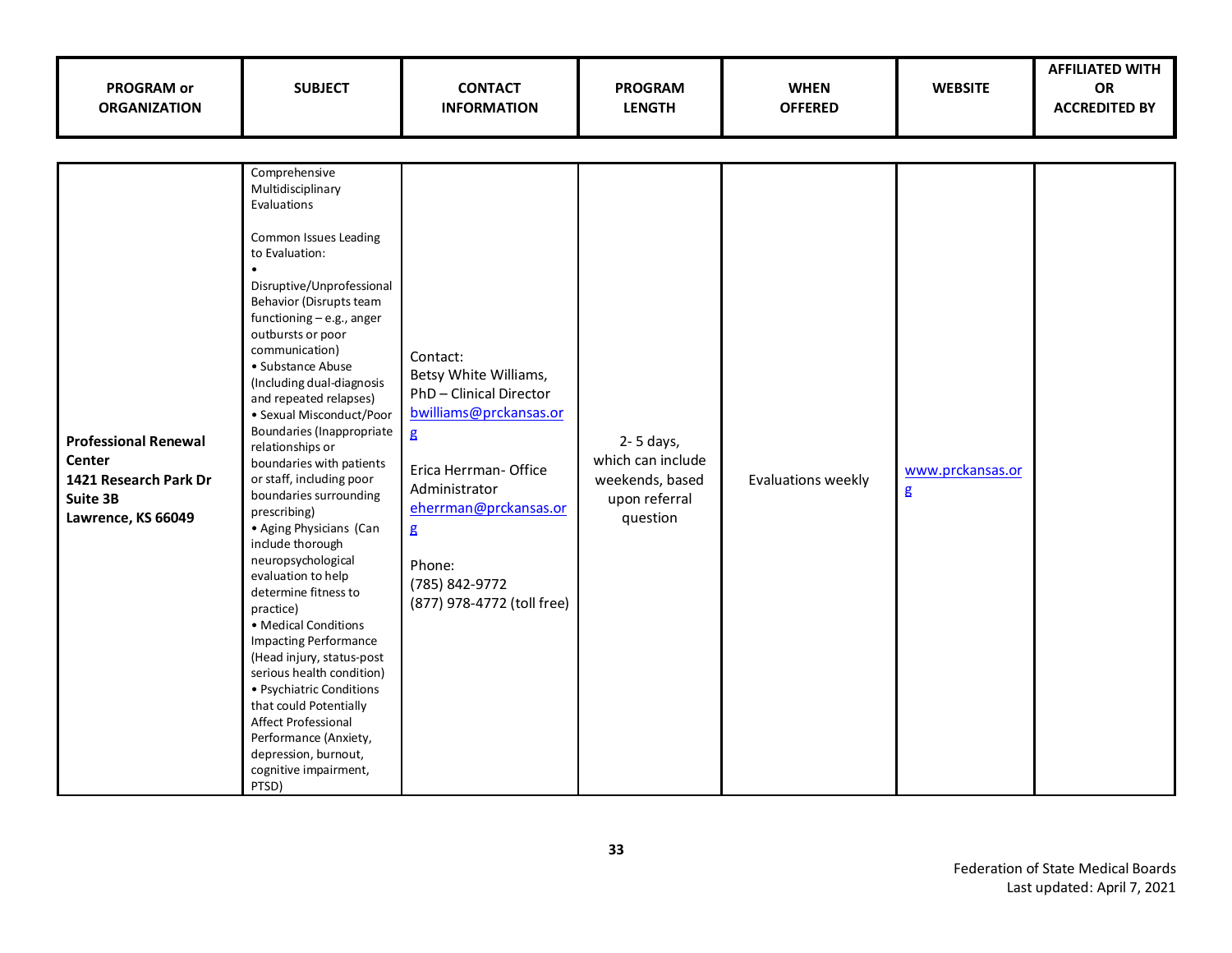| <b>PROGRAM or</b><br><b>ORGANIZATION</b>                                                         | <b>SUBJECT</b>                                                                                                                                                                                                                                                                                                                                                                                                                                                                                                                                                                                                                                                                                                                                                                                                                                                                                                     | <b>CONTACT</b><br><b>INFORMATION</b>                                                                                                                                                                                                              | <b>PROGRAM</b><br><b>LENGTH</b>                                                | <b>WHEN</b><br><b>OFFERED</b> | <b>WEBSITE</b>                              | <b>AFFILIATED WITH</b><br>OR<br><b>ACCREDITED BY</b> |
|--------------------------------------------------------------------------------------------------|--------------------------------------------------------------------------------------------------------------------------------------------------------------------------------------------------------------------------------------------------------------------------------------------------------------------------------------------------------------------------------------------------------------------------------------------------------------------------------------------------------------------------------------------------------------------------------------------------------------------------------------------------------------------------------------------------------------------------------------------------------------------------------------------------------------------------------------------------------------------------------------------------------------------|---------------------------------------------------------------------------------------------------------------------------------------------------------------------------------------------------------------------------------------------------|--------------------------------------------------------------------------------|-------------------------------|---------------------------------------------|------------------------------------------------------|
|                                                                                                  |                                                                                                                                                                                                                                                                                                                                                                                                                                                                                                                                                                                                                                                                                                                                                                                                                                                                                                                    |                                                                                                                                                                                                                                                   |                                                                                |                               |                                             |                                                      |
| <b>Professional Renewal</b><br>Center<br>1421 Research Park Dr<br>Suite 3B<br>Lawrence, KS 66049 | Comprehensive<br>Multidisciplinary<br>Evaluations<br>Common Issues Leading<br>to Evaluation:<br>$\bullet$<br>Disruptive/Unprofessional<br>Behavior (Disrupts team<br>functioning - e.g., anger<br>outbursts or poor<br>communication)<br>• Substance Abuse<br>(Including dual-diagnosis<br>and repeated relapses)<br>• Sexual Misconduct/Poor<br>Boundaries (Inappropriate<br>relationships or<br>boundaries with patients<br>or staff, including poor<br>boundaries surrounding<br>prescribing)<br>• Aging Physicians (Can<br>include thorough<br>neuropsychological<br>evaluation to help<br>determine fitness to<br>practice)<br>• Medical Conditions<br><b>Impacting Performance</b><br>(Head injury, status-post<br>serious health condition)<br>• Psychiatric Conditions<br>that could Potentially<br>Affect Professional<br>Performance (Anxiety,<br>depression, burnout,<br>cognitive impairment,<br>PTSD) | Contact:<br>Betsy White Williams,<br>PhD-Clinical Director<br>bwilliams@prckansas.or<br>$\mathbf{g}$<br>Erica Herrman- Office<br>Administrator<br>eherrman@prckansas.or<br>$\mathbf{g}$<br>Phone:<br>(785) 842-9772<br>(877) 978-4772 (toll free) | 2-5 days,<br>which can include<br>weekends, based<br>upon referral<br>question | Evaluations weekly            | www.prckansas.or<br>$\overline{\mathbf{g}}$ |                                                      |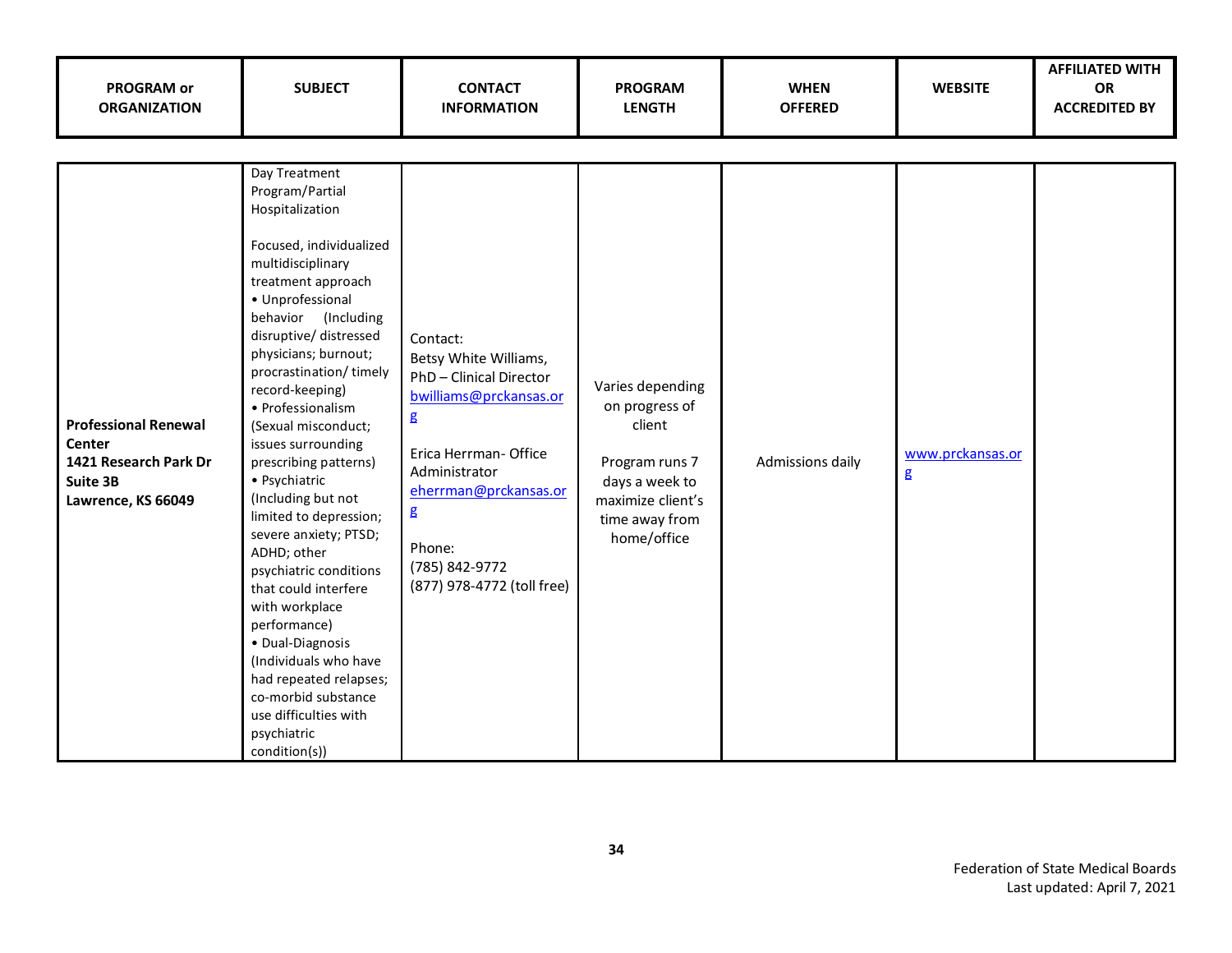| <b>PROGRAM or</b><br><b>ORGANIZATION</b>                                                         | <b>SUBJECT</b>                                                                                                                                                                                                                                                                                                                                                                                                                                                                                                                                                                                                                                                                                                     | <b>CONTACT</b><br><b>INFORMATION</b>                                                                                                                                                                                                           | <b>PROGRAM</b><br><b>LENGTH</b>                                                                                                        | <b>WHEN</b><br><b>OFFERED</b> | <b>WEBSITE</b>                  | <b>AFFILIATED WITH</b><br><b>OR</b><br><b>ACCREDITED BY</b> |
|--------------------------------------------------------------------------------------------------|--------------------------------------------------------------------------------------------------------------------------------------------------------------------------------------------------------------------------------------------------------------------------------------------------------------------------------------------------------------------------------------------------------------------------------------------------------------------------------------------------------------------------------------------------------------------------------------------------------------------------------------------------------------------------------------------------------------------|------------------------------------------------------------------------------------------------------------------------------------------------------------------------------------------------------------------------------------------------|----------------------------------------------------------------------------------------------------------------------------------------|-------------------------------|---------------------------------|-------------------------------------------------------------|
|                                                                                                  |                                                                                                                                                                                                                                                                                                                                                                                                                                                                                                                                                                                                                                                                                                                    |                                                                                                                                                                                                                                                |                                                                                                                                        |                               |                                 |                                                             |
| <b>Professional Renewal</b><br>Center<br>1421 Research Park Dr<br>Suite 3B<br>Lawrence, KS 66049 | Day Treatment<br>Program/Partial<br>Hospitalization<br>Focused, individualized<br>multidisciplinary<br>treatment approach<br>• Unprofessional<br>behavior (Including<br>disruptive/ distressed<br>physicians; burnout;<br>procrastination/timely<br>record-keeping)<br>• Professionalism<br>(Sexual misconduct;<br>issues surrounding<br>prescribing patterns)<br>• Psychiatric<br>(Including but not<br>limited to depression;<br>severe anxiety; PTSD;<br>ADHD; other<br>psychiatric conditions<br>that could interfere<br>with workplace<br>performance)<br>· Dual-Diagnosis<br>(Individuals who have<br>had repeated relapses;<br>co-morbid substance<br>use difficulties with<br>psychiatric<br>condition(s)) | Contact:<br>Betsy White Williams,<br>PhD-Clinical Director<br>bwilliams@prckansas.or<br>$\mathbf g$<br>Erica Herrman-Office<br>Administrator<br>eherrman@prckansas.or<br>$\mathbf g$<br>Phone:<br>(785) 842-9772<br>(877) 978-4772 (toll free) | Varies depending<br>on progress of<br>client<br>Program runs 7<br>days a week to<br>maximize client's<br>time away from<br>home/office | Admissions daily              | www.prckansas.or<br>$\mathbf g$ |                                                             |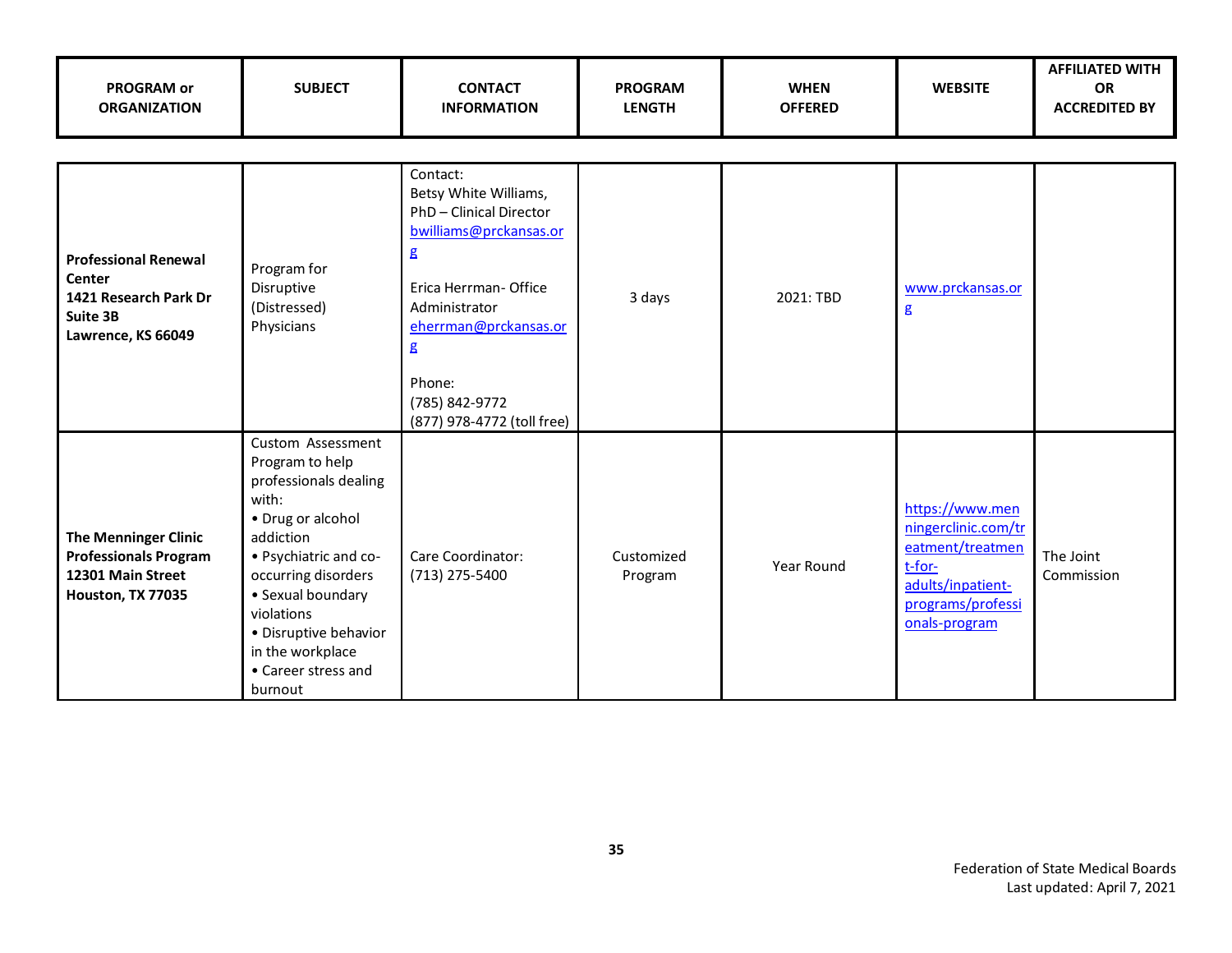| <b>PROGRAM or</b><br><b>ORGANIZATION</b>                                                              | <b>SUBJECT</b>                                                                                                                                                                                                                                                             | <b>CONTACT</b><br><b>INFORMATION</b>                                                                                                                                                                                        | <b>PROGRAM</b><br><b>LENGTH</b> | <b>WHEN</b><br><b>OFFERED</b> | <b>WEBSITE</b>                                                                                                                  | <b>AFFILIATED WITH</b><br>OR<br><b>ACCREDITED BY</b> |
|-------------------------------------------------------------------------------------------------------|----------------------------------------------------------------------------------------------------------------------------------------------------------------------------------------------------------------------------------------------------------------------------|-----------------------------------------------------------------------------------------------------------------------------------------------------------------------------------------------------------------------------|---------------------------------|-------------------------------|---------------------------------------------------------------------------------------------------------------------------------|------------------------------------------------------|
| <b>Professional Renewal</b><br>Center<br>1421 Research Park Dr<br>Suite 3B<br>Lawrence, KS 66049      | Program for<br>Disruptive<br>(Distressed)<br>Physicians                                                                                                                                                                                                                    | Contact:<br>Betsy White Williams,<br>PhD-Clinical Director<br>bwilliams@prckansas.or<br>g<br>Erica Herrman- Office<br>Administrator<br>eherrman@prckansas.or<br>g<br>Phone:<br>(785) 842-9772<br>(877) 978-4772 (toll free) | 3 days                          | 2021: TBD                     | www.prckansas.or<br>$\mathbf{g}$                                                                                                |                                                      |
| <b>The Menninger Clinic</b><br><b>Professionals Program</b><br>12301 Main Street<br>Houston, TX 77035 | Custom Assessment<br>Program to help<br>professionals dealing<br>with:<br>• Drug or alcohol<br>addiction<br>• Psychiatric and co-<br>occurring disorders<br>• Sexual boundary<br>violations<br>• Disruptive behavior<br>in the workplace<br>• Career stress and<br>burnout | Care Coordinator:<br>(713) 275-5400                                                                                                                                                                                         | Customized<br>Program           | Year Round                    | https://www.men<br>ningerclinic.com/tr<br>eatment/treatmen<br>t-for-<br>adults/inpatient-<br>programs/professi<br>onals-program | The Joint<br>Commission                              |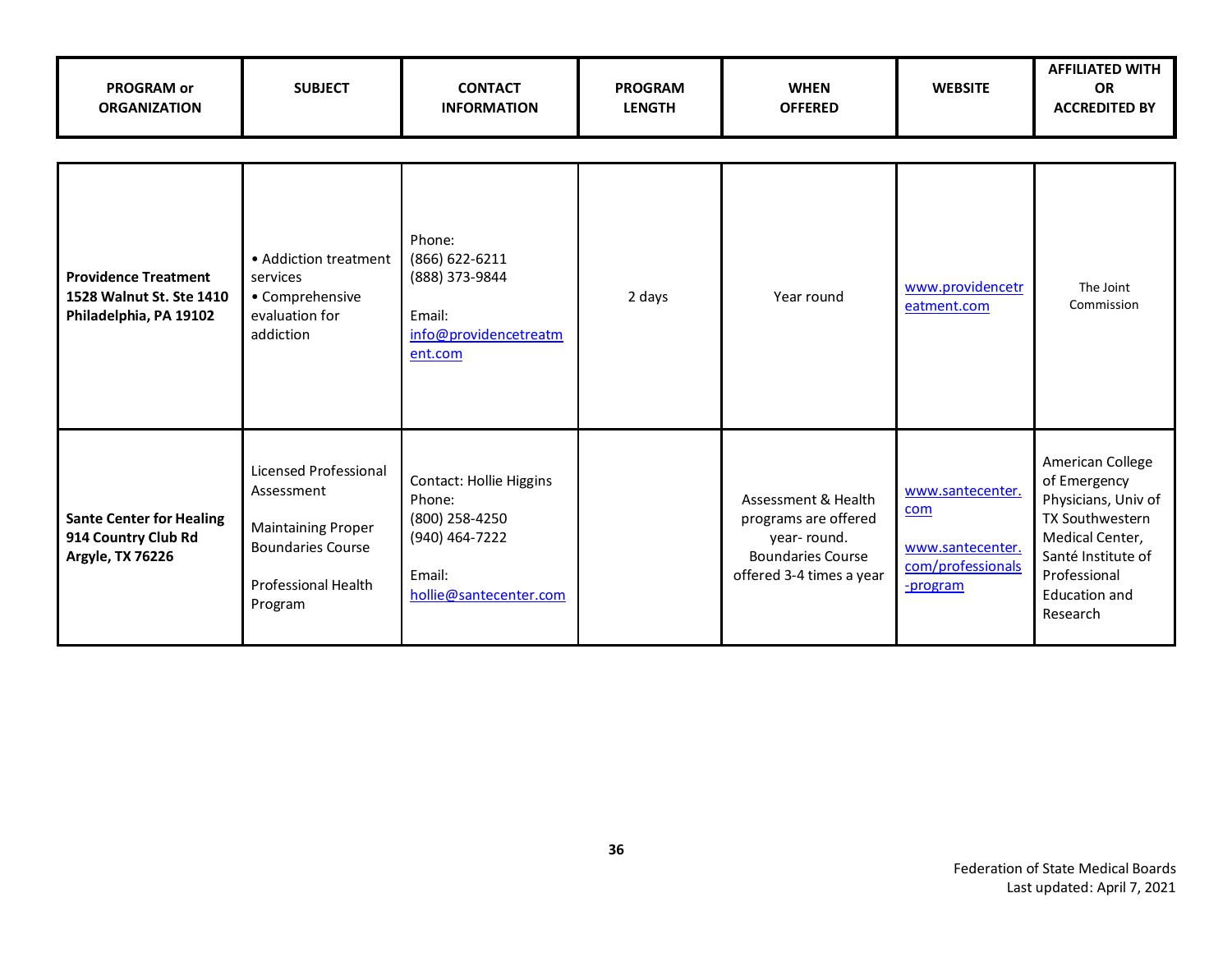| <b>PROGRAM or</b><br><b>ORGANIZATION</b>                                          | <b>SUBJECT</b>                                                                                                                 | <b>CONTACT</b><br><b>INFORMATION</b>                                                                             | <b>PROGRAM</b><br><b>LENGTH</b> | <b>WHEN</b><br><b>OFFERED</b>                                                                                      | <b>WEBSITE</b>                                                               | <b>AFFILIATED WITH</b><br><b>OR</b><br><b>ACCREDITED BY</b>                                                                                                      |
|-----------------------------------------------------------------------------------|--------------------------------------------------------------------------------------------------------------------------------|------------------------------------------------------------------------------------------------------------------|---------------------------------|--------------------------------------------------------------------------------------------------------------------|------------------------------------------------------------------------------|------------------------------------------------------------------------------------------------------------------------------------------------------------------|
| <b>Providence Treatment</b><br>1528 Walnut St. Ste 1410<br>Philadelphia, PA 19102 | • Addiction treatment<br>services<br>• Comprehensive<br>evaluation for<br>addiction                                            | Phone:<br>(866) 622-6211<br>(888) 373-9844<br>Email:<br>info@providencetreatm<br>ent.com                         | 2 days                          | Year round                                                                                                         | www.providencetr<br>eatment.com                                              | The Joint<br>Commission                                                                                                                                          |
| <b>Sante Center for Healing</b><br>914 Country Club Rd<br><b>Argyle, TX 76226</b> | Licensed Professional<br>Assessment<br><b>Maintaining Proper</b><br><b>Boundaries Course</b><br>Professional Health<br>Program | <b>Contact: Hollie Higgins</b><br>Phone:<br>(800) 258-4250<br>(940) 464-7222<br>Email:<br>hollie@santecenter.com |                                 | Assessment & Health<br>programs are offered<br>year-round.<br><b>Boundaries Course</b><br>offered 3-4 times a year | www.santecenter.<br>com<br>www.santecenter.<br>com/professionals<br>-program | American College<br>of Emergency<br>Physicians, Univ of<br>TX Southwestern<br>Medical Center,<br>Santé Institute of<br>Professional<br>Education and<br>Research |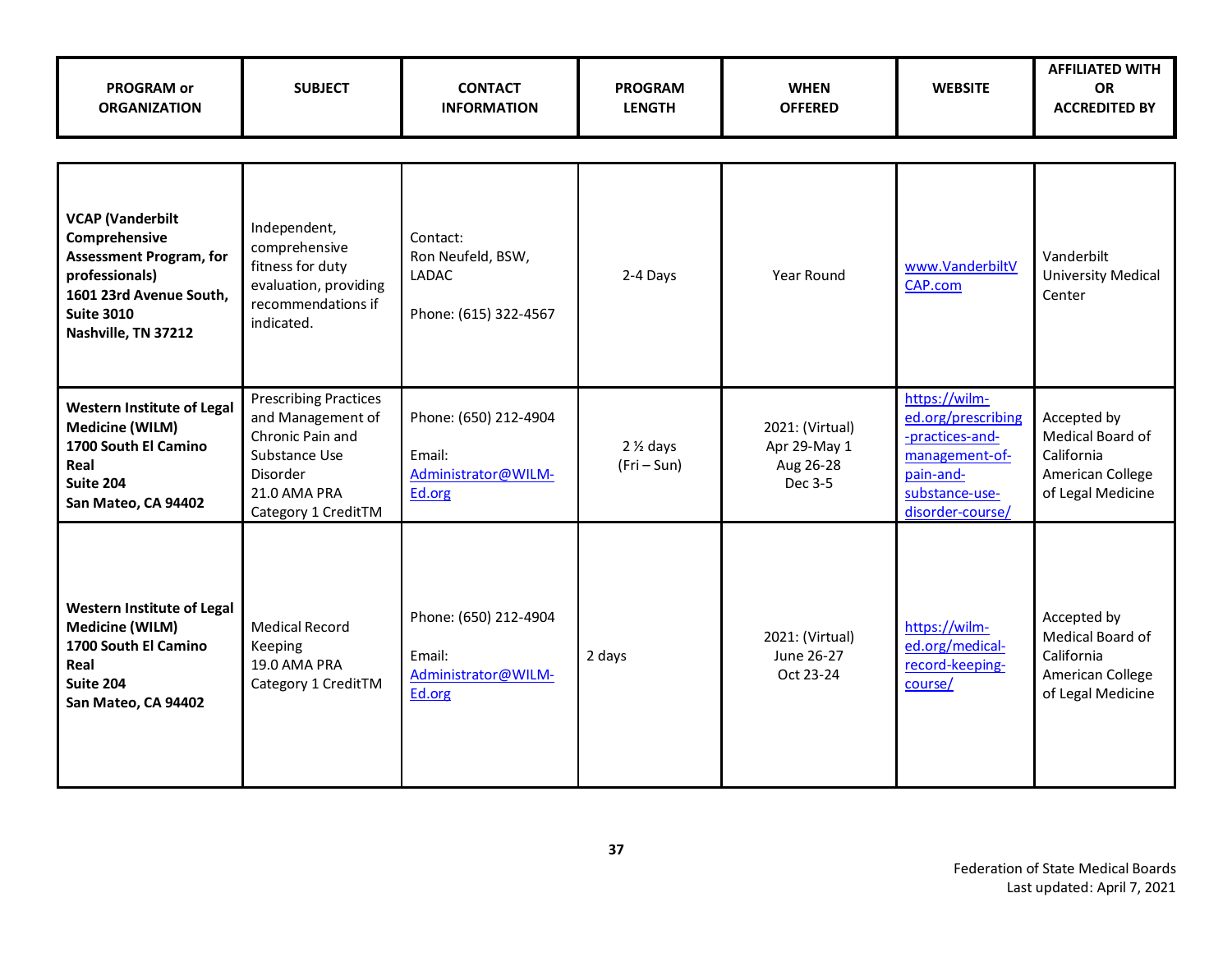| <b>PROGRAM or</b><br><b>ORGANIZATION</b>                                                                                                                            | <b>SUBJECT</b>                                                                                                                            | <b>CONTACT</b><br><b>INFORMATION</b>                                   | <b>PROGRAM</b><br><b>LENGTH</b>    | <b>WHEN</b><br><b>OFFERED</b>                           | <b>WEBSITE</b>                                                                                                              | <b>AFFILIATED WITH</b><br><b>OR</b><br><b>ACCREDITED BY</b>                            |
|---------------------------------------------------------------------------------------------------------------------------------------------------------------------|-------------------------------------------------------------------------------------------------------------------------------------------|------------------------------------------------------------------------|------------------------------------|---------------------------------------------------------|-----------------------------------------------------------------------------------------------------------------------------|----------------------------------------------------------------------------------------|
|                                                                                                                                                                     |                                                                                                                                           |                                                                        |                                    |                                                         |                                                                                                                             |                                                                                        |
| <b>VCAP (Vanderbilt</b><br>Comprehensive<br><b>Assessment Program, for</b><br>professionals)<br>1601 23rd Avenue South,<br><b>Suite 3010</b><br>Nashville, TN 37212 | Independent,<br>comprehensive<br>fitness for duty<br>evaluation, providing<br>recommendations if<br>indicated.                            | Contact:<br>Ron Neufeld, BSW,<br><b>LADAC</b><br>Phone: (615) 322-4567 | 2-4 Days                           | Year Round                                              | www.VanderbiltV<br>CAP.com                                                                                                  | Vanderbilt<br><b>University Medical</b><br>Center                                      |
| <b>Western Institute of Legal</b><br><b>Medicine (WILM)</b><br>1700 South El Camino<br>Real<br>Suite 204<br>San Mateo, CA 94402                                     | <b>Prescribing Practices</b><br>and Management of<br>Chronic Pain and<br>Substance Use<br>Disorder<br>21.0 AMA PRA<br>Category 1 CreditTM | Phone: (650) 212-4904<br>Email:<br>Administrator@WILM-<br>Ed.org       | $2\frac{1}{2}$ days<br>$(Fri-Sun)$ | 2021: (Virtual)<br>Apr 29-May 1<br>Aug 26-28<br>Dec 3-5 | https://wilm-<br>ed.org/prescribing<br>-practices-and-<br>management-of-<br>pain-and-<br>substance-use-<br>disorder-course/ | Accepted by<br>Medical Board of<br>California<br>American College<br>of Legal Medicine |
| <b>Western Institute of Legal</b><br><b>Medicine (WILM)</b><br>1700 South El Camino<br>Real<br>Suite 204<br>San Mateo, CA 94402                                     | <b>Medical Record</b><br>Keeping<br>19.0 AMA PRA<br>Category 1 CreditTM                                                                   | Phone: (650) 212-4904<br>Email:<br>Administrator@WILM-<br>Ed.org       | 2 days                             | 2021: (Virtual)<br>June 26-27<br>Oct 23-24              | https://wilm-<br>ed.org/medical-<br>record-keeping-<br>course/                                                              | Accepted by<br>Medical Board of<br>California<br>American College<br>of Legal Medicine |